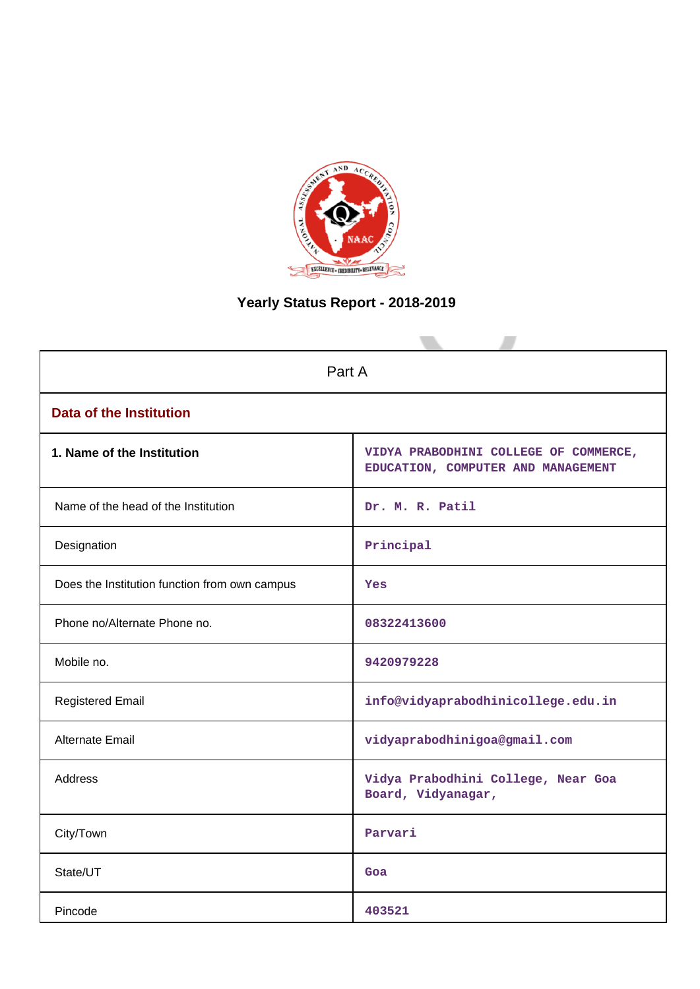

# **Yearly Status Report - 2018-2019**

| Part A                                        |                                                                             |  |  |
|-----------------------------------------------|-----------------------------------------------------------------------------|--|--|
| <b>Data of the Institution</b>                |                                                                             |  |  |
| 1. Name of the Institution                    | VIDYA PRABODHINI COLLEGE OF COMMERCE,<br>EDUCATION, COMPUTER AND MANAGEMENT |  |  |
| Name of the head of the Institution           | Dr. M. R. Patil                                                             |  |  |
| Designation                                   | Principal                                                                   |  |  |
| Does the Institution function from own campus | Yes                                                                         |  |  |
| Phone no/Alternate Phone no.                  | 08322413600                                                                 |  |  |
| Mobile no.                                    | 9420979228                                                                  |  |  |
| <b>Registered Email</b>                       | info@vidyaprabodhinicollege.edu.in                                          |  |  |
| Alternate Email                               | vidyaprabodhinigoa@gmail.com                                                |  |  |
| <b>Address</b>                                | Vidya Prabodhini College, Near Goa<br>Board, Vidyanagar,                    |  |  |
| City/Town                                     | Parvari                                                                     |  |  |
| State/UT                                      | Goa                                                                         |  |  |
| Pincode                                       | 403521                                                                      |  |  |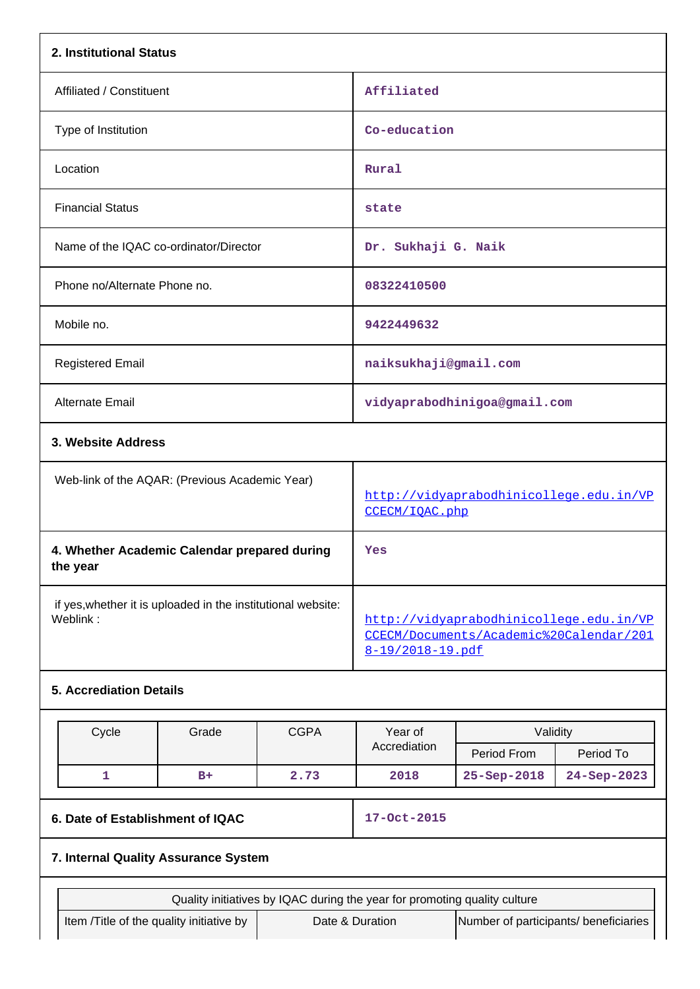| 2. Institutional Status                                                  |                                                                                                        |                                                                           |                                       |             |
|--------------------------------------------------------------------------|--------------------------------------------------------------------------------------------------------|---------------------------------------------------------------------------|---------------------------------------|-------------|
| Affiliated / Constituent                                                 | Affiliated                                                                                             |                                                                           |                                       |             |
| Type of Institution                                                      |                                                                                                        | Co-education                                                              |                                       |             |
| Location                                                                 |                                                                                                        | Rural                                                                     |                                       |             |
| <b>Financial Status</b>                                                  |                                                                                                        | state                                                                     |                                       |             |
| Name of the IQAC co-ordinator/Director                                   |                                                                                                        | Dr. Sukhaji G. Naik                                                       |                                       |             |
| Phone no/Alternate Phone no.                                             |                                                                                                        | 08322410500                                                               |                                       |             |
| Mobile no.                                                               |                                                                                                        | 9422449632                                                                |                                       |             |
| <b>Registered Email</b>                                                  |                                                                                                        | naiksukhaji@gmail.com                                                     |                                       |             |
| Alternate Email                                                          |                                                                                                        |                                                                           | vidyaprabodhinigoa@gmail.com          |             |
| 3. Website Address                                                       |                                                                                                        |                                                                           |                                       |             |
| Web-link of the AQAR: (Previous Academic Year)                           |                                                                                                        | http://vidyaprabodhinicollege.edu.in/VP<br>CCECM/IQAC.php                 |                                       |             |
| 4. Whether Academic Calendar prepared during<br>the year                 |                                                                                                        | Yes                                                                       |                                       |             |
| if yes, whether it is uploaded in the institutional website:<br>Weblink: | http://vidyaprabodhinicollege.edu.in/VP<br>CCECM/Documents/Academic%20Calendar/201<br>8-19/2018-19.pdf |                                                                           |                                       |             |
| <b>5. Accrediation Details</b>                                           |                                                                                                        |                                                                           |                                       |             |
| Cycle<br>Grade                                                           | <b>CGPA</b>                                                                                            | Year of<br>Validity                                                       |                                       |             |
|                                                                          |                                                                                                        | Accrediation                                                              | Period From                           | Period To   |
| $\mathbf{1}$<br>$B+$                                                     | 2.73                                                                                                   | 2018                                                                      | 25-Sep-2018                           | 24-Sep-2023 |
| 6. Date of Establishment of IQAC                                         | 17-Oct-2015                                                                                            |                                                                           |                                       |             |
| 7. Internal Quality Assurance System                                     |                                                                                                        |                                                                           |                                       |             |
|                                                                          |                                                                                                        | Quality initiatives by IQAC during the year for promoting quality culture |                                       |             |
| Item /Title of the quality initiative by                                 |                                                                                                        | Date & Duration                                                           | Number of participants/ beneficiaries |             |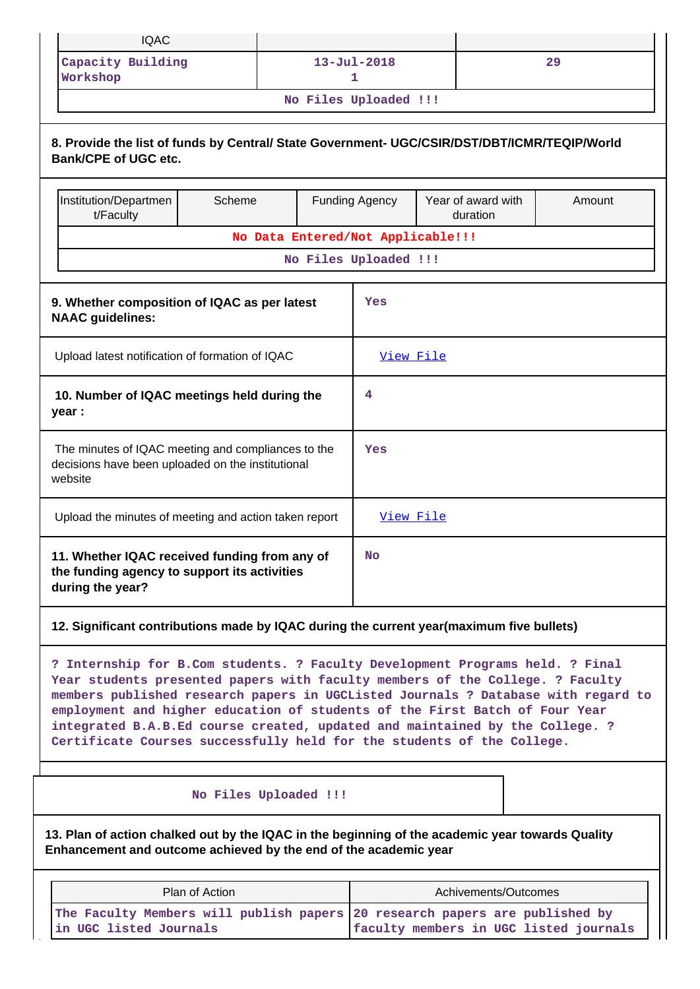| <b>IQAC</b>                                                                                                                                                                                                                                                                                                                                                                                                                                                                                  |                                                                                                         |  |                                   |                                |        |  |  |
|----------------------------------------------------------------------------------------------------------------------------------------------------------------------------------------------------------------------------------------------------------------------------------------------------------------------------------------------------------------------------------------------------------------------------------------------------------------------------------------------|---------------------------------------------------------------------------------------------------------|--|-----------------------------------|--------------------------------|--------|--|--|
| Capacity Building<br>Workshop                                                                                                                                                                                                                                                                                                                                                                                                                                                                |                                                                                                         |  | $13 - Ju1 - 2018$<br>1.           |                                | 29     |  |  |
|                                                                                                                                                                                                                                                                                                                                                                                                                                                                                              |                                                                                                         |  | No Files Uploaded !!!             |                                |        |  |  |
| 8. Provide the list of funds by Central/ State Government- UGC/CSIR/DST/DBT/ICMR/TEQIP/World<br><b>Bank/CPE of UGC etc.</b>                                                                                                                                                                                                                                                                                                                                                                  |                                                                                                         |  |                                   |                                |        |  |  |
| Institution/Departmen<br>t/Faculty                                                                                                                                                                                                                                                                                                                                                                                                                                                           | Scheme                                                                                                  |  | <b>Funding Agency</b>             | Year of award with<br>duration | Amount |  |  |
|                                                                                                                                                                                                                                                                                                                                                                                                                                                                                              |                                                                                                         |  | No Data Entered/Not Applicable!!! |                                |        |  |  |
|                                                                                                                                                                                                                                                                                                                                                                                                                                                                                              |                                                                                                         |  | No Files Uploaded !!!             |                                |        |  |  |
| 9. Whether composition of IQAC as per latest<br><b>NAAC</b> guidelines:                                                                                                                                                                                                                                                                                                                                                                                                                      |                                                                                                         |  | Yes                               |                                |        |  |  |
| Upload latest notification of formation of IQAC                                                                                                                                                                                                                                                                                                                                                                                                                                              |                                                                                                         |  | View File                         |                                |        |  |  |
| 10. Number of IQAC meetings held during the<br>4<br>year :                                                                                                                                                                                                                                                                                                                                                                                                                                   |                                                                                                         |  |                                   |                                |        |  |  |
| website                                                                                                                                                                                                                                                                                                                                                                                                                                                                                      | The minutes of IQAC meeting and compliances to the<br>decisions have been uploaded on the institutional |  |                                   |                                | Yes    |  |  |
| Upload the minutes of meeting and action taken report                                                                                                                                                                                                                                                                                                                                                                                                                                        |                                                                                                         |  | View File                         |                                |        |  |  |
| during the year?                                                                                                                                                                                                                                                                                                                                                                                                                                                                             | 11. Whether IQAC received funding from any of<br>the funding agency to support its activities           |  |                                   |                                |        |  |  |
| 12. Significant contributions made by IQAC during the current year(maximum five bullets)                                                                                                                                                                                                                                                                                                                                                                                                     |                                                                                                         |  |                                   |                                |        |  |  |
| ? Internship for B.Com students. ? Faculty Development Programs held. ? Final<br>Year students presented papers with faculty members of the College. ? Faculty<br>members published research papers in UGCListed Journals ? Database with regard to<br>employment and higher education of students of the First Batch of Four Year<br>integrated B.A.B.Ed course created, updated and maintained by the College. ?<br>Certificate Courses successfully held for the students of the College. |                                                                                                         |  |                                   |                                |        |  |  |
|                                                                                                                                                                                                                                                                                                                                                                                                                                                                                              | No Files Uploaded !!!                                                                                   |  |                                   |                                |        |  |  |
| 13. Plan of action chalked out by the IQAC in the beginning of the academic year towards Quality<br>Enhancement and outcome achieved by the end of the academic year                                                                                                                                                                                                                                                                                                                         |                                                                                                         |  |                                   |                                |        |  |  |
|                                                                                                                                                                                                                                                                                                                                                                                                                                                                                              |                                                                                                         |  |                                   |                                |        |  |  |

| Plan of Action                                                              | Achivements/Outcomes                   |
|-----------------------------------------------------------------------------|----------------------------------------|
| The Faculty Members will publish papers 20 research papers are published by |                                        |
| in UGC listed Journals                                                      | faculty members in UGC listed journals |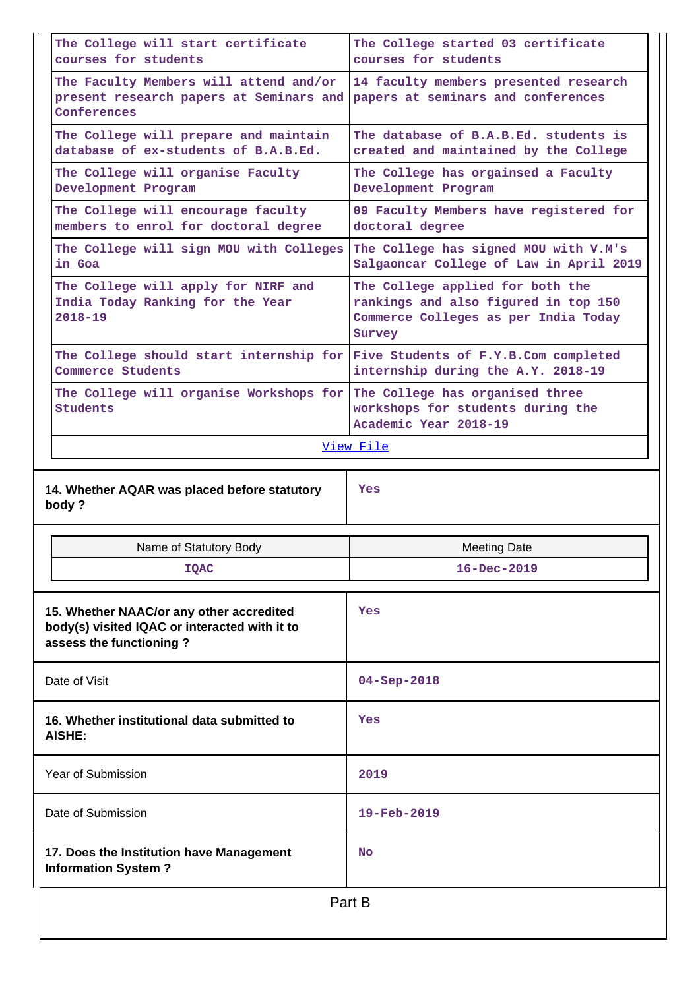| The College will start certificate<br>courses for students                                                           | The College started 03 certificate<br>courses for students                                                                 |
|----------------------------------------------------------------------------------------------------------------------|----------------------------------------------------------------------------------------------------------------------------|
| The Faculty Members will attend and/or<br>present research papers at Seminars and<br>Conferences                     | 14 faculty members presented research<br>papers at seminars and conferences                                                |
| The College will prepare and maintain<br>database of ex-students of B.A.B.Ed.                                        | The database of B.A.B.Ed. students is<br>created and maintained by the College                                             |
| The College will organise Faculty<br>Development Program                                                             | The College has orgainsed a Faculty<br>Development Program                                                                 |
| The College will encourage faculty<br>members to enrol for doctoral degree                                           | 09 Faculty Members have registered for<br>doctoral degree                                                                  |
| The College will sign MOU with Colleges<br>in Goa                                                                    | The College has signed MOU with V.M's<br>Salgaoncar College of Law in April 2019                                           |
| The College will apply for NIRF and<br>India Today Ranking for the Year<br>$2018 - 19$                               | The College applied for both the<br>rankings and also figured in top 150<br>Commerce Colleges as per India Today<br>Survey |
| The College should start internship for<br>Commerce Students                                                         | Five Students of F.Y.B.Com completed<br>internship during the A.Y. 2018-19                                                 |
| The College will organise Workshops for<br><b>Students</b>                                                           | The College has organised three<br>workshops for students during the<br>Academic Year 2018-19                              |
|                                                                                                                      | View File                                                                                                                  |
|                                                                                                                      |                                                                                                                            |
| 14. Whether AQAR was placed before statutory<br>body?                                                                | Yes                                                                                                                        |
| Name of Statutory Body                                                                                               | <b>Meeting Date</b>                                                                                                        |
| <b>IOAC</b>                                                                                                          | $16 - Dec - 2019$                                                                                                          |
| 15. Whether NAAC/or any other accredited<br>body(s) visited IQAC or interacted with it to<br>assess the functioning? | Yes                                                                                                                        |
| Date of Visit                                                                                                        | $04 - Sep - 2018$                                                                                                          |
| 16. Whether institutional data submitted to<br>AISHE:                                                                | Yes                                                                                                                        |
| <b>Year of Submission</b>                                                                                            | 2019                                                                                                                       |
| Date of Submission                                                                                                   | 19-Feb-2019                                                                                                                |
| 17. Does the Institution have Management<br><b>Information System?</b>                                               | <b>No</b>                                                                                                                  |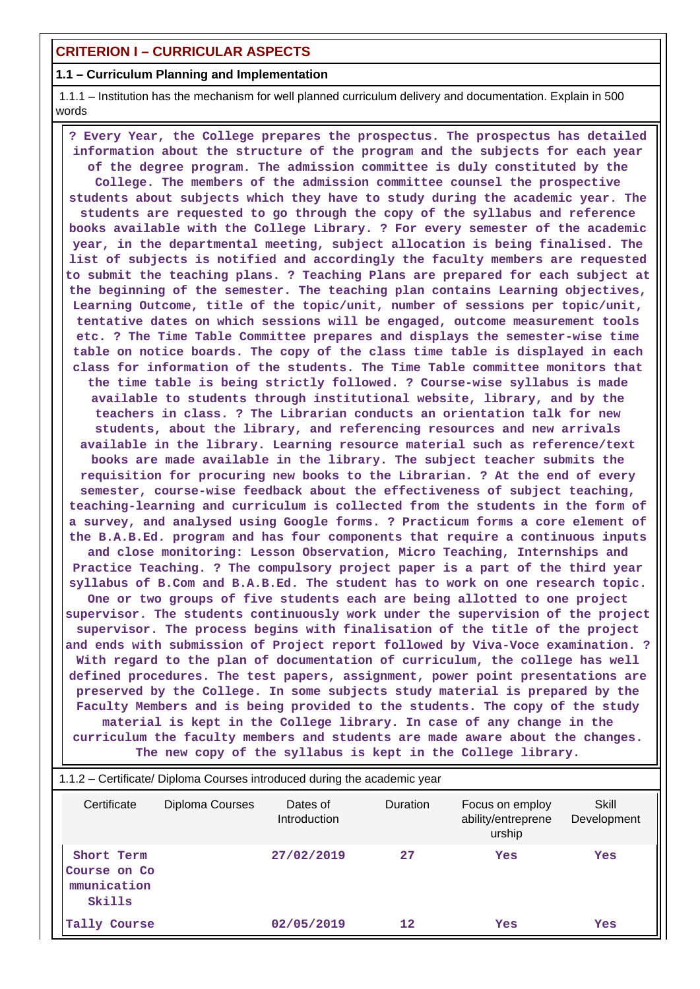# **CRITERION I – CURRICULAR ASPECTS**

# **1.1 – Curriculum Planning and Implementation**

 1.1.1 – Institution has the mechanism for well planned curriculum delivery and documentation. Explain in 500 words

 **? Every Year, the College prepares the prospectus. The prospectus has detailed information about the structure of the program and the subjects for each year of the degree program. The admission committee is duly constituted by the College. The members of the admission committee counsel the prospective students about subjects which they have to study during the academic year. The students are requested to go through the copy of the syllabus and reference books available with the College Library. ? For every semester of the academic year, in the departmental meeting, subject allocation is being finalised. The list of subjects is notified and accordingly the faculty members are requested to submit the teaching plans. ? Teaching Plans are prepared for each subject at the beginning of the semester. The teaching plan contains Learning objectives, Learning Outcome, title of the topic/unit, number of sessions per topic/unit, tentative dates on which sessions will be engaged, outcome measurement tools etc. ? The Time Table Committee prepares and displays the semester-wise time table on notice boards. The copy of the class time table is displayed in each class for information of the students. The Time Table committee monitors that the time table is being strictly followed. ? Course-wise syllabus is made available to students through institutional website, library, and by the teachers in class. ? The Librarian conducts an orientation talk for new students, about the library, and referencing resources and new arrivals available in the library. Learning resource material such as reference/text books are made available in the library. The subject teacher submits the requisition for procuring new books to the Librarian. ? At the end of every semester, course-wise feedback about the effectiveness of subject teaching, teaching-learning and curriculum is collected from the students in the form of a survey, and analysed using Google forms. ? Practicum forms a core element of the B.A.B.Ed. program and has four components that require a continuous inputs and close monitoring: Lesson Observation, Micro Teaching, Internships and Practice Teaching. ? The compulsory project paper is a part of the third year syllabus of B.Com and B.A.B.Ed. The student has to work on one research topic. One or two groups of five students each are being allotted to one project supervisor. The students continuously work under the supervision of the project supervisor. The process begins with finalisation of the title of the project and ends with submission of Project report followed by Viva-Voce examination. ? With regard to the plan of documentation of curriculum, the college has well defined procedures. The test papers, assignment, power point presentations are preserved by the College. In some subjects study material is prepared by the Faculty Members and is being provided to the students. The copy of the study material is kept in the College library. In case of any change in the curriculum the faculty members and students are made aware about the changes. The new copy of the syllabus is kept in the College library.**

| 1.1.2 – Certificate/ Diploma Courses introduced during the academic year |                 |                          |                 |                                                 |                      |  |
|--------------------------------------------------------------------------|-----------------|--------------------------|-----------------|-------------------------------------------------|----------------------|--|
| Certificate                                                              | Diploma Courses | Dates of<br>Introduction | <b>Duration</b> | Focus on employ<br>ability/entreprene<br>urship | Skill<br>Development |  |
| Short Term<br>Course on Co<br>mmunication<br>Skills                      |                 | 27/02/2019               | 27              | Yes                                             | Yes                  |  |
| Tally Course                                                             |                 | 02/05/2019               | $12 \$          | Yes                                             | Yes                  |  |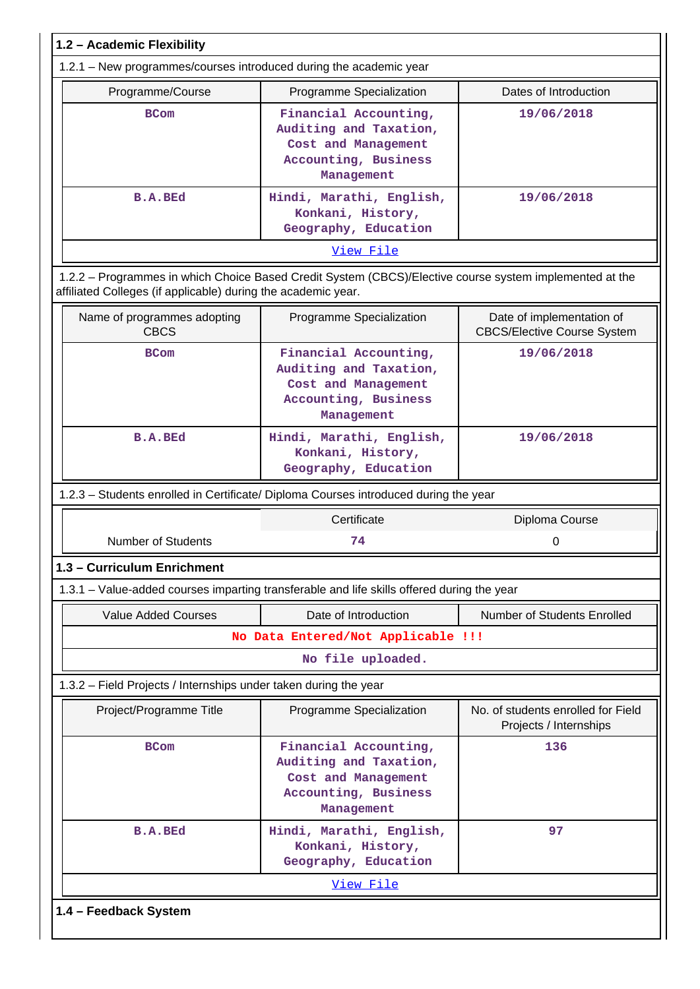| 1.2 - Academic Flexibility                                         |                                                                                                              |                                                                 |
|--------------------------------------------------------------------|--------------------------------------------------------------------------------------------------------------|-----------------------------------------------------------------|
| 1.2.1 - New programmes/courses introduced during the academic year |                                                                                                              |                                                                 |
| Programme/Course                                                   | Programme Specialization                                                                                     | Dates of Introduction                                           |
| <b>BCom</b>                                                        | Financial Accounting,<br>Auditing and Taxation,<br>Cost and Management<br>Accounting, Business<br>Management | 19/06/2018                                                      |
| <b>B.A.BEd</b>                                                     | Hindi, Marathi, English,<br>Konkani, History,<br>Geography, Education                                        | 19/06/2018                                                      |
|                                                                    | View File                                                                                                    |                                                                 |
| affiliated Colleges (if applicable) during the academic year.      | 1.2.2 - Programmes in which Choice Based Credit System (CBCS)/Elective course system implemented at the      |                                                                 |
| Name of programmes adopting<br><b>CBCS</b>                         | Programme Specialization                                                                                     | Date of implementation of<br><b>CBCS/Elective Course System</b> |
| <b>BCom</b>                                                        | Financial Accounting,<br>Auditing and Taxation,<br>Cost and Management<br>Accounting, Business<br>Management | 19/06/2018                                                      |
| <b>B.A.BEd</b>                                                     | Hindi, Marathi, English,<br>Konkani, History,<br>Geography, Education                                        | 19/06/2018                                                      |
|                                                                    | 1.2.3 - Students enrolled in Certificate/ Diploma Courses introduced during the year                         |                                                                 |
|                                                                    | Certificate                                                                                                  | Diploma Course                                                  |
| <b>Number of Students</b>                                          | 74                                                                                                           | 0                                                               |
| 1.3 - Curriculum Enrichment                                        |                                                                                                              |                                                                 |
|                                                                    | 1.3.1 - Value-added courses imparting transferable and life skills offered during the year                   |                                                                 |
| <b>Value Added Courses</b>                                         | Date of Introduction                                                                                         | Number of Students Enrolled                                     |
|                                                                    | No Data Entered/Not Applicable !!!                                                                           |                                                                 |
|                                                                    | No file uploaded.                                                                                            |                                                                 |
| 1.3.2 – Field Projects / Internships under taken during the year   |                                                                                                              |                                                                 |
| Project/Programme Title                                            | Programme Specialization                                                                                     | No. of students enrolled for Field<br>Projects / Internships    |
| <b>BCom</b>                                                        | Financial Accounting,<br>Auditing and Taxation,<br>Cost and Management<br>Accounting, Business<br>Management | 136                                                             |
| <b>B.A.BEd</b>                                                     | Hindi, Marathi, English,<br>Konkani, History,<br>Geography, Education                                        | 97                                                              |
|                                                                    | View File                                                                                                    |                                                                 |
| 1.4 - Feedback System                                              |                                                                                                              |                                                                 |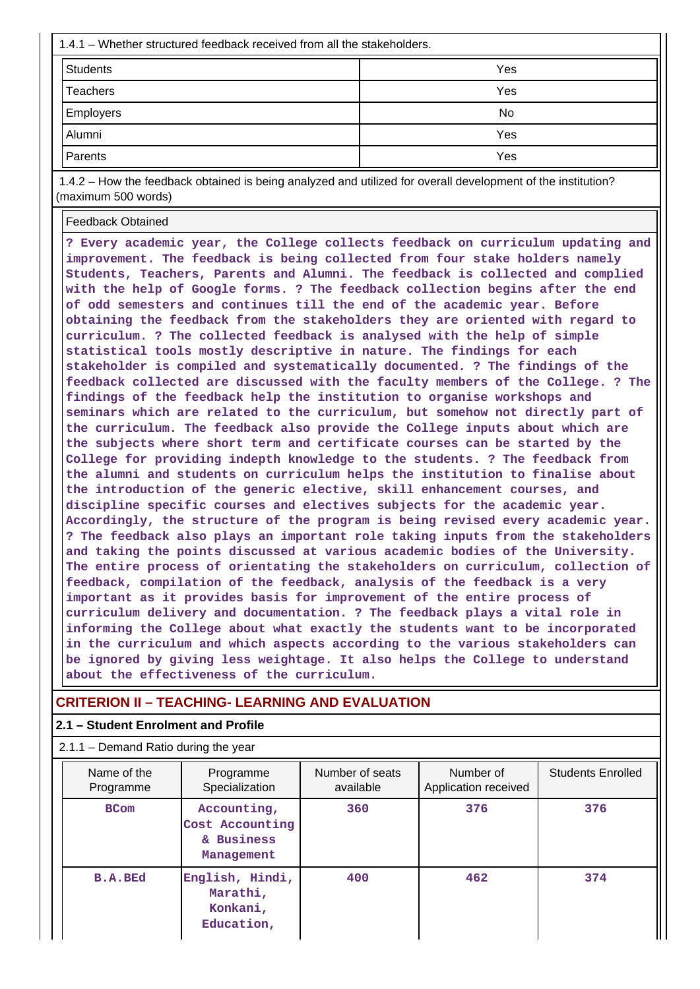| 1.4.1 – Whether structured feedback received from all the stakeholders. |     |  |  |  |  |
|-------------------------------------------------------------------------|-----|--|--|--|--|
| <b>Students</b>                                                         | Yes |  |  |  |  |
| <b>Teachers</b>                                                         | Yes |  |  |  |  |
| <b>Employers</b>                                                        | No  |  |  |  |  |
| Alumni                                                                  | Yes |  |  |  |  |
| Parents                                                                 | Yes |  |  |  |  |

 1.4.2 – How the feedback obtained is being analyzed and utilized for overall development of the institution? (maximum 500 words)

Feedback Obtained

**? Every academic year, the College collects feedback on curriculum updating and improvement. The feedback is being collected from four stake holders namely Students, Teachers, Parents and Alumni. The feedback is collected and complied with the help of Google forms. ? The feedback collection begins after the end of odd semesters and continues till the end of the academic year. Before obtaining the feedback from the stakeholders they are oriented with regard to curriculum. ? The collected feedback is analysed with the help of simple statistical tools mostly descriptive in nature. The findings for each stakeholder is compiled and systematically documented. ? The findings of the feedback collected are discussed with the faculty members of the College. ? The findings of the feedback help the institution to organise workshops and seminars which are related to the curriculum, but somehow not directly part of the curriculum. The feedback also provide the College inputs about which are the subjects where short term and certificate courses can be started by the College for providing indepth knowledge to the students. ? The feedback from the alumni and students on curriculum helps the institution to finalise about the introduction of the generic elective, skill enhancement courses, and discipline specific courses and electives subjects for the academic year. Accordingly, the structure of the program is being revised every academic year. ? The feedback also plays an important role taking inputs from the stakeholders and taking the points discussed at various academic bodies of the University. The entire process of orientating the stakeholders on curriculum, collection of feedback, compilation of the feedback, analysis of the feedback is a very important as it provides basis for improvement of the entire process of curriculum delivery and documentation. ? The feedback plays a vital role in informing the College about what exactly the students want to be incorporated in the curriculum and which aspects according to the various stakeholders can be ignored by giving less weightage. It also helps the College to understand about the effectiveness of the curriculum.**

## **CRITERION II – TEACHING- LEARNING AND EVALUATION**

#### **2.1 – Student Enrolment and Profile**

2.1.1 – Demand Ratio during the year

| Name of the<br>Programme | Programme<br>Specialization                                | Number of seats<br>available | Number of<br>Application received | <b>Students Enrolled</b> |
|--------------------------|------------------------------------------------------------|------------------------------|-----------------------------------|--------------------------|
| <b>BCom</b>              | Accounting,<br>Cost Accounting<br>& Business<br>Management | 360                          | 376                               | 376                      |
| <b>B.A.BEd</b>           | English, Hindi,<br>Marathi,<br>Konkani,<br>Education,      | 400                          | 462                               | 374                      |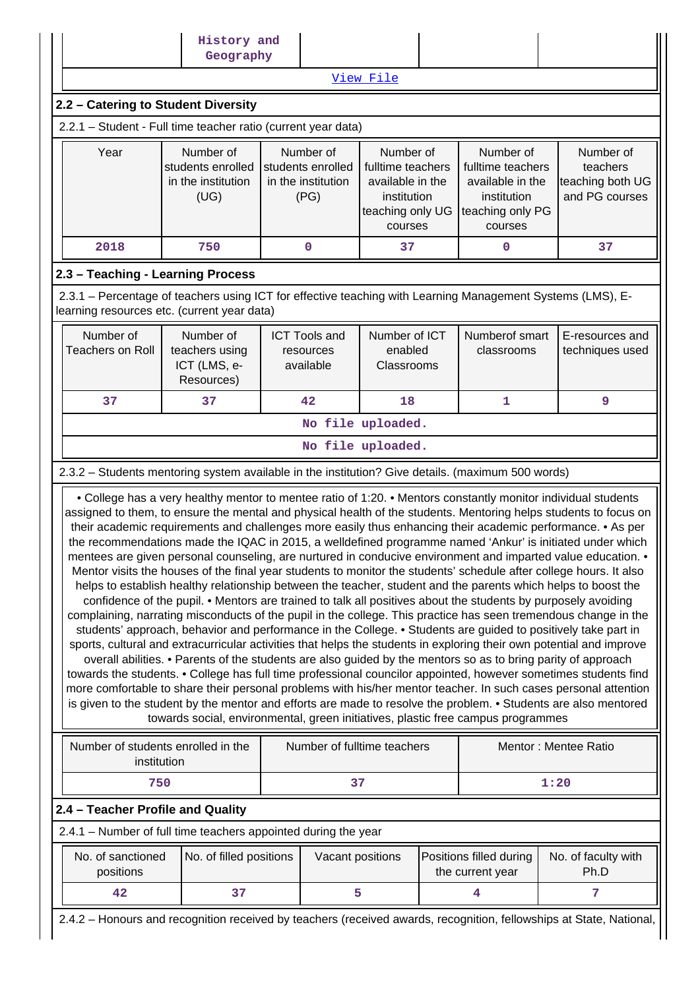|                                                                                                                                                           | History and<br>Geography                                                                                                                                                                                                                                                                                                                                                                                                                                                                                                                                                                                                                                                                                                                                                                                                                                                                                                                                                                                                                                                                                                                                                                                                                                                                                                                                                                                                                                                                                                                                                                                                                                                                                                                                                                                                                                       |                                                              |                                                                                                  |  |                                                                                                  |                                                                                                                     |  |
|-----------------------------------------------------------------------------------------------------------------------------------------------------------|----------------------------------------------------------------------------------------------------------------------------------------------------------------------------------------------------------------------------------------------------------------------------------------------------------------------------------------------------------------------------------------------------------------------------------------------------------------------------------------------------------------------------------------------------------------------------------------------------------------------------------------------------------------------------------------------------------------------------------------------------------------------------------------------------------------------------------------------------------------------------------------------------------------------------------------------------------------------------------------------------------------------------------------------------------------------------------------------------------------------------------------------------------------------------------------------------------------------------------------------------------------------------------------------------------------------------------------------------------------------------------------------------------------------------------------------------------------------------------------------------------------------------------------------------------------------------------------------------------------------------------------------------------------------------------------------------------------------------------------------------------------------------------------------------------------------------------------------------------------|--------------------------------------------------------------|--------------------------------------------------------------------------------------------------|--|--------------------------------------------------------------------------------------------------|---------------------------------------------------------------------------------------------------------------------|--|
|                                                                                                                                                           |                                                                                                                                                                                                                                                                                                                                                                                                                                                                                                                                                                                                                                                                                                                                                                                                                                                                                                                                                                                                                                                                                                                                                                                                                                                                                                                                                                                                                                                                                                                                                                                                                                                                                                                                                                                                                                                                |                                                              | View File                                                                                        |  |                                                                                                  |                                                                                                                     |  |
| 2.2 - Catering to Student Diversity                                                                                                                       |                                                                                                                                                                                                                                                                                                                                                                                                                                                                                                                                                                                                                                                                                                                                                                                                                                                                                                                                                                                                                                                                                                                                                                                                                                                                                                                                                                                                                                                                                                                                                                                                                                                                                                                                                                                                                                                                |                                                              |                                                                                                  |  |                                                                                                  |                                                                                                                     |  |
| 2.2.1 - Student - Full time teacher ratio (current year data)                                                                                             |                                                                                                                                                                                                                                                                                                                                                                                                                                                                                                                                                                                                                                                                                                                                                                                                                                                                                                                                                                                                                                                                                                                                                                                                                                                                                                                                                                                                                                                                                                                                                                                                                                                                                                                                                                                                                                                                |                                                              |                                                                                                  |  |                                                                                                  |                                                                                                                     |  |
| Year                                                                                                                                                      | Number of<br>students enrolled<br>in the institution<br>(UG)                                                                                                                                                                                                                                                                                                                                                                                                                                                                                                                                                                                                                                                                                                                                                                                                                                                                                                                                                                                                                                                                                                                                                                                                                                                                                                                                                                                                                                                                                                                                                                                                                                                                                                                                                                                                   | Number of<br>students enrolled<br>in the institution<br>(PG) | Number of<br>fulltime teachers<br>available in the<br>institution<br>teaching only UG<br>courses |  | Number of<br>fulltime teachers<br>available in the<br>institution<br>teaching only PG<br>courses | Number of<br>teachers<br>teaching both UG<br>and PG courses                                                         |  |
| 2018                                                                                                                                                      | 750                                                                                                                                                                                                                                                                                                                                                                                                                                                                                                                                                                                                                                                                                                                                                                                                                                                                                                                                                                                                                                                                                                                                                                                                                                                                                                                                                                                                                                                                                                                                                                                                                                                                                                                                                                                                                                                            | 0                                                            | 37                                                                                               |  | 0                                                                                                | 37                                                                                                                  |  |
| 2.3 - Teaching - Learning Process                                                                                                                         |                                                                                                                                                                                                                                                                                                                                                                                                                                                                                                                                                                                                                                                                                                                                                                                                                                                                                                                                                                                                                                                                                                                                                                                                                                                                                                                                                                                                                                                                                                                                                                                                                                                                                                                                                                                                                                                                |                                                              |                                                                                                  |  |                                                                                                  |                                                                                                                     |  |
| 2.3.1 - Percentage of teachers using ICT for effective teaching with Learning Management Systems (LMS), E-<br>learning resources etc. (current year data) |                                                                                                                                                                                                                                                                                                                                                                                                                                                                                                                                                                                                                                                                                                                                                                                                                                                                                                                                                                                                                                                                                                                                                                                                                                                                                                                                                                                                                                                                                                                                                                                                                                                                                                                                                                                                                                                                |                                                              |                                                                                                  |  |                                                                                                  |                                                                                                                     |  |
| Number of<br><b>Teachers on Roll</b>                                                                                                                      | Number of<br>teachers using<br>ICT (LMS, e-<br>Resources)                                                                                                                                                                                                                                                                                                                                                                                                                                                                                                                                                                                                                                                                                                                                                                                                                                                                                                                                                                                                                                                                                                                                                                                                                                                                                                                                                                                                                                                                                                                                                                                                                                                                                                                                                                                                      | <b>ICT Tools and</b><br>resources<br>available               | Number of ICT<br>enabled<br>Classrooms                                                           |  | Numberof smart<br>classrooms                                                                     | E-resources and<br>techniques used                                                                                  |  |
| 37                                                                                                                                                        | 37                                                                                                                                                                                                                                                                                                                                                                                                                                                                                                                                                                                                                                                                                                                                                                                                                                                                                                                                                                                                                                                                                                                                                                                                                                                                                                                                                                                                                                                                                                                                                                                                                                                                                                                                                                                                                                                             | 42                                                           | 18                                                                                               |  | $\mathbf{1}$                                                                                     | 9                                                                                                                   |  |
|                                                                                                                                                           |                                                                                                                                                                                                                                                                                                                                                                                                                                                                                                                                                                                                                                                                                                                                                                                                                                                                                                                                                                                                                                                                                                                                                                                                                                                                                                                                                                                                                                                                                                                                                                                                                                                                                                                                                                                                                                                                |                                                              | No file uploaded.                                                                                |  |                                                                                                  |                                                                                                                     |  |
|                                                                                                                                                           |                                                                                                                                                                                                                                                                                                                                                                                                                                                                                                                                                                                                                                                                                                                                                                                                                                                                                                                                                                                                                                                                                                                                                                                                                                                                                                                                                                                                                                                                                                                                                                                                                                                                                                                                                                                                                                                                |                                                              | No file uploaded.                                                                                |  |                                                                                                  |                                                                                                                     |  |
| 2.3.2 - Students mentoring system available in the institution? Give details. (maximum 500 words)                                                         |                                                                                                                                                                                                                                                                                                                                                                                                                                                                                                                                                                                                                                                                                                                                                                                                                                                                                                                                                                                                                                                                                                                                                                                                                                                                                                                                                                                                                                                                                                                                                                                                                                                                                                                                                                                                                                                                |                                                              |                                                                                                  |  |                                                                                                  |                                                                                                                     |  |
|                                                                                                                                                           | • College has a very healthy mentor to mentee ratio of 1:20. • Mentors constantly monitor individual students<br>assigned to them, to ensure the mental and physical health of the students. Mentoring helps students to focus on<br>their academic requirements and challenges more easily thus enhancing their academic performance. • As per<br>the recommendations made the IQAC in 2015, a welldefined programme named 'Ankur' is initiated under which<br>mentees are given personal counseling, are nurtured in conducive environment and imparted value education. •<br>Mentor visits the houses of the final year students to monitor the students' schedule after college hours. It also<br>helps to establish healthy relationship between the teacher, student and the parents which helps to boost the<br>confidence of the pupil. • Mentors are trained to talk all positives about the students by purposely avoiding<br>complaining, narrating misconducts of the pupil in the college. This practice has seen tremendous change in the<br>students' approach, behavior and performance in the College. • Students are guided to positively take part in<br>sports, cultural and extracurricular activities that helps the students in exploring their own potential and improve<br>overall abilities. • Parents of the students are also guided by the mentors so as to bring parity of approach<br>towards the students. • College has full time professional councilor appointed, however sometimes students find<br>more comfortable to share their personal problems with his/her mentor teacher. In such cases personal attention<br>is given to the student by the mentor and efforts are made to resolve the problem. • Students are also mentored<br>towards social, environmental, green initiatives, plastic free campus programmes |                                                              |                                                                                                  |  |                                                                                                  |                                                                                                                     |  |
| Number of students enrolled in the<br>institution                                                                                                         |                                                                                                                                                                                                                                                                                                                                                                                                                                                                                                                                                                                                                                                                                                                                                                                                                                                                                                                                                                                                                                                                                                                                                                                                                                                                                                                                                                                                                                                                                                                                                                                                                                                                                                                                                                                                                                                                |                                                              | Number of fulltime teachers                                                                      |  |                                                                                                  | Mentor: Mentee Ratio                                                                                                |  |
| 750                                                                                                                                                       |                                                                                                                                                                                                                                                                                                                                                                                                                                                                                                                                                                                                                                                                                                                                                                                                                                                                                                                                                                                                                                                                                                                                                                                                                                                                                                                                                                                                                                                                                                                                                                                                                                                                                                                                                                                                                                                                |                                                              | 37                                                                                               |  |                                                                                                  | 1:20                                                                                                                |  |
| 2.4 - Teacher Profile and Quality                                                                                                                         |                                                                                                                                                                                                                                                                                                                                                                                                                                                                                                                                                                                                                                                                                                                                                                                                                                                                                                                                                                                                                                                                                                                                                                                                                                                                                                                                                                                                                                                                                                                                                                                                                                                                                                                                                                                                                                                                |                                                              |                                                                                                  |  |                                                                                                  |                                                                                                                     |  |
| 2.4.1 - Number of full time teachers appointed during the year                                                                                            |                                                                                                                                                                                                                                                                                                                                                                                                                                                                                                                                                                                                                                                                                                                                                                                                                                                                                                                                                                                                                                                                                                                                                                                                                                                                                                                                                                                                                                                                                                                                                                                                                                                                                                                                                                                                                                                                |                                                              |                                                                                                  |  |                                                                                                  |                                                                                                                     |  |
| No. of sanctioned<br>positions                                                                                                                            | No. of filled positions                                                                                                                                                                                                                                                                                                                                                                                                                                                                                                                                                                                                                                                                                                                                                                                                                                                                                                                                                                                                                                                                                                                                                                                                                                                                                                                                                                                                                                                                                                                                                                                                                                                                                                                                                                                                                                        |                                                              | Vacant positions                                                                                 |  | Positions filled during<br>the current year                                                      | No. of faculty with<br>Ph.D                                                                                         |  |
| 42                                                                                                                                                        | 37                                                                                                                                                                                                                                                                                                                                                                                                                                                                                                                                                                                                                                                                                                                                                                                                                                                                                                                                                                                                                                                                                                                                                                                                                                                                                                                                                                                                                                                                                                                                                                                                                                                                                                                                                                                                                                                             |                                                              | 5                                                                                                |  | 4                                                                                                | 7                                                                                                                   |  |
|                                                                                                                                                           |                                                                                                                                                                                                                                                                                                                                                                                                                                                                                                                                                                                                                                                                                                                                                                                                                                                                                                                                                                                                                                                                                                                                                                                                                                                                                                                                                                                                                                                                                                                                                                                                                                                                                                                                                                                                                                                                |                                                              |                                                                                                  |  |                                                                                                  | 2.4.2 - Honours and recognition received by teachers (received awards, recognition, fellowships at State, National, |  |

 $\overline{\phantom{a}}$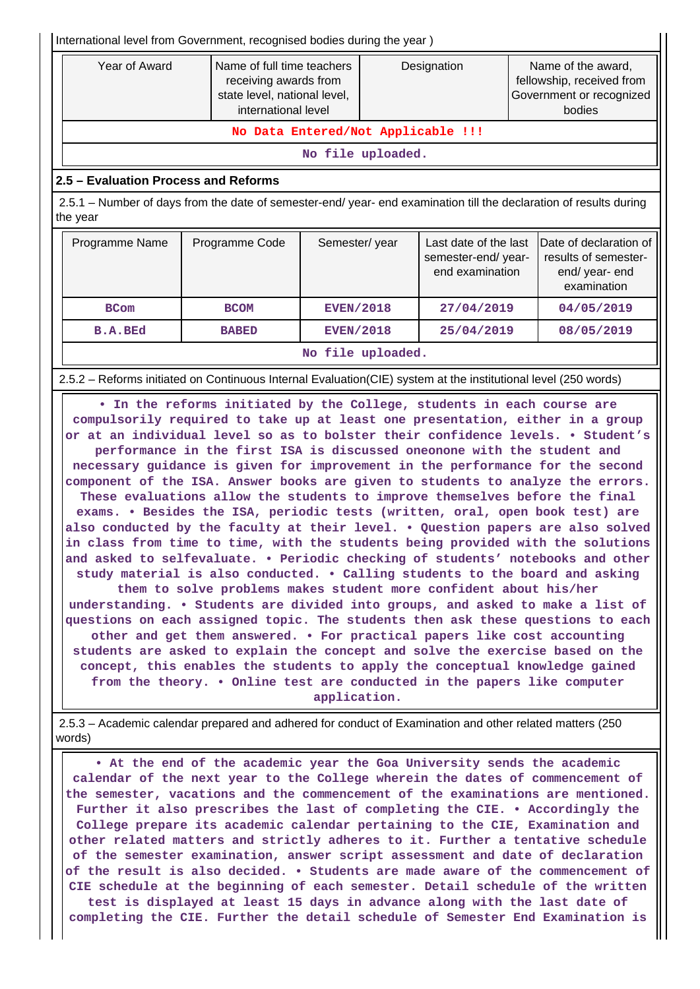International level from Government, recognised bodies during the year )

| Year of Award | Name of full time teachers<br>receiving awards from<br>state level, national level,<br>international level | Designation | Name of the award,<br>fellowship, received from<br>Government or recognized<br>bodies |
|---------------|------------------------------------------------------------------------------------------------------------|-------------|---------------------------------------------------------------------------------------|
|               | No Data Entered/Not Applicable !!!                                                                         |             |                                                                                       |
|               | No file uploaded.                                                                                          |             |                                                                                       |

#### **2.5 – Evaluation Process and Reforms**

 2.5.1 – Number of days from the date of semester-end/ year- end examination till the declaration of results during the year

| Programme Name | Programme Code    | Semester/year    | Last date of the last<br>semester-end/year-<br>end examination | Date of declaration of<br>results of semester-<br>end/year-end<br>examination |  |  |  |
|----------------|-------------------|------------------|----------------------------------------------------------------|-------------------------------------------------------------------------------|--|--|--|
| <b>BCom</b>    | <b>BCOM</b>       | <b>EVEN/2018</b> | 27/04/2019                                                     | 04/05/2019                                                                    |  |  |  |
| <b>B.A.BEd</b> | <b>BABED</b>      | <b>EVEN/2018</b> | 25/04/2019                                                     | 08/05/2019                                                                    |  |  |  |
|                | No file uploaded. |                  |                                                                |                                                                               |  |  |  |

2.5.2 – Reforms initiated on Continuous Internal Evaluation(CIE) system at the institutional level (250 words)

 **• In the reforms initiated by the College, students in each course are compulsorily required to take up at least one presentation, either in a group or at an individual level so as to bolster their confidence levels. • Student's performance in the first ISA is discussed oneonone with the student and necessary guidance is given for improvement in the performance for the second component of the ISA. Answer books are given to students to analyze the errors. These evaluations allow the students to improve themselves before the final exams. • Besides the ISA, periodic tests (written, oral, open book test) are also conducted by the faculty at their level. • Question papers are also solved in class from time to time, with the students being provided with the solutions and asked to selfevaluate. • Periodic checking of students' notebooks and other study material is also conducted. • Calling students to the board and asking**

**them to solve problems makes student more confident about his/her understanding. • Students are divided into groups, and asked to make a list of questions on each assigned topic. The students then ask these questions to each other and get them answered. • For practical papers like cost accounting students are asked to explain the concept and solve the exercise based on the concept, this enables the students to apply the conceptual knowledge gained from the theory. • Online test are conducted in the papers like computer application.**

 2.5.3 – Academic calendar prepared and adhered for conduct of Examination and other related matters (250 words)

 **• At the end of the academic year the Goa University sends the academic calendar of the next year to the College wherein the dates of commencement of the semester, vacations and the commencement of the examinations are mentioned. Further it also prescribes the last of completing the CIE. • Accordingly the College prepare its academic calendar pertaining to the CIE, Examination and other related matters and strictly adheres to it. Further a tentative schedule of the semester examination, answer script assessment and date of declaration of the result is also decided. • Students are made aware of the commencement of CIE schedule at the beginning of each semester. Detail schedule of the written test is displayed at least 15 days in advance along with the last date of completing the CIE. Further the detail schedule of Semester End Examination is**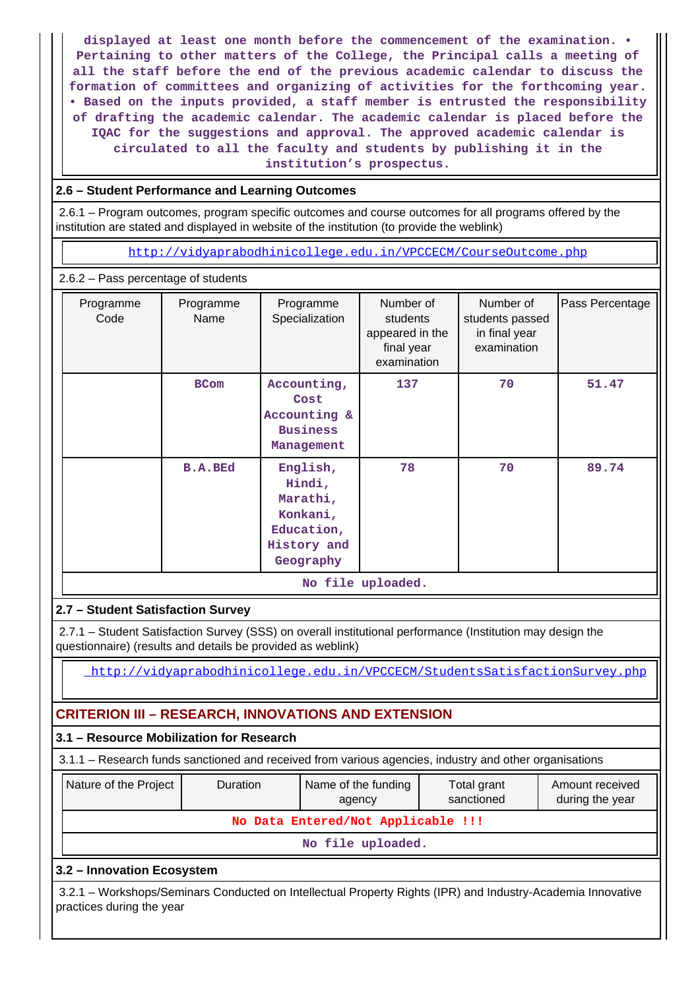**displayed at least one month before the commencement of the examination. • Pertaining to other matters of the College, the Principal calls a meeting of all the staff before the end of the previous academic calendar to discuss the formation of committees and organizing of activities for the forthcoming year. • Based on the inputs provided, a staff member is entrusted the responsibility of drafting the academic calendar. The academic calendar is placed before the IQAC for the suggestions and approval. The approved academic calendar is circulated to all the faculty and students by publishing it in the institution's prospectus.**

## **2.6 – Student Performance and Learning Outcomes**

 2.6.1 – Program outcomes, program specific outcomes and course outcomes for all programs offered by the institution are stated and displayed in website of the institution (to provide the weblink)

<http://vidyaprabodhinicollege.edu.in/VPCCECM/CourseOutcome.php>

## 2.6.2 – Pass percentage of students

| Programme<br>Code | Programme<br>Name | Programme<br>Specialization                                                          | Number of<br>students<br>appeared in the<br>final year<br>examination | Number of<br>students passed<br>in final year<br>examination | Pass Percentage |  |  |
|-------------------|-------------------|--------------------------------------------------------------------------------------|-----------------------------------------------------------------------|--------------------------------------------------------------|-----------------|--|--|
|                   | <b>BCom</b>       | Accounting,<br>Cost<br>Accounting &<br><b>Business</b><br>Management                 | 137                                                                   | 70                                                           | 51.47           |  |  |
| <b>B.A.BEd</b>    |                   | English,<br>Hindi,<br>Marathi,<br>Konkani,<br>Education,<br>History and<br>Geography | 78                                                                    | 70                                                           | 89.74           |  |  |
| No file uploaded. |                   |                                                                                      |                                                                       |                                                              |                 |  |  |

## **2.7 – Student Satisfaction Survey**

 2.7.1 – Student Satisfaction Survey (SSS) on overall institutional performance (Institution may design the questionnaire) (results and details be provided as weblink)

<http://vidyaprabodhinicollege.edu.in/VPCCECM/StudentsSatisfactionSurvey.php>

# **CRITERION III – RESEARCH, INNOVATIONS AND EXTENSION**

## **3.1 – Resource Mobilization for Research**

| 3.1.1 – Research funds sanctioned and received from various agencies, industry and other organisations |                 |                               |                           |                                    |  |  |  |  |  |
|--------------------------------------------------------------------------------------------------------|-----------------|-------------------------------|---------------------------|------------------------------------|--|--|--|--|--|
| Nature of the Project                                                                                  | <b>Duration</b> | Name of the funding<br>agency | Total grant<br>sanctioned | Amount received<br>during the year |  |  |  |  |  |
| No Data Entered/Not Applicable !!!                                                                     |                 |                               |                           |                                    |  |  |  |  |  |

**No file uploaded.**

## **3.2 – Innovation Ecosystem**

 3.2.1 – Workshops/Seminars Conducted on Intellectual Property Rights (IPR) and Industry-Academia Innovative practices during the year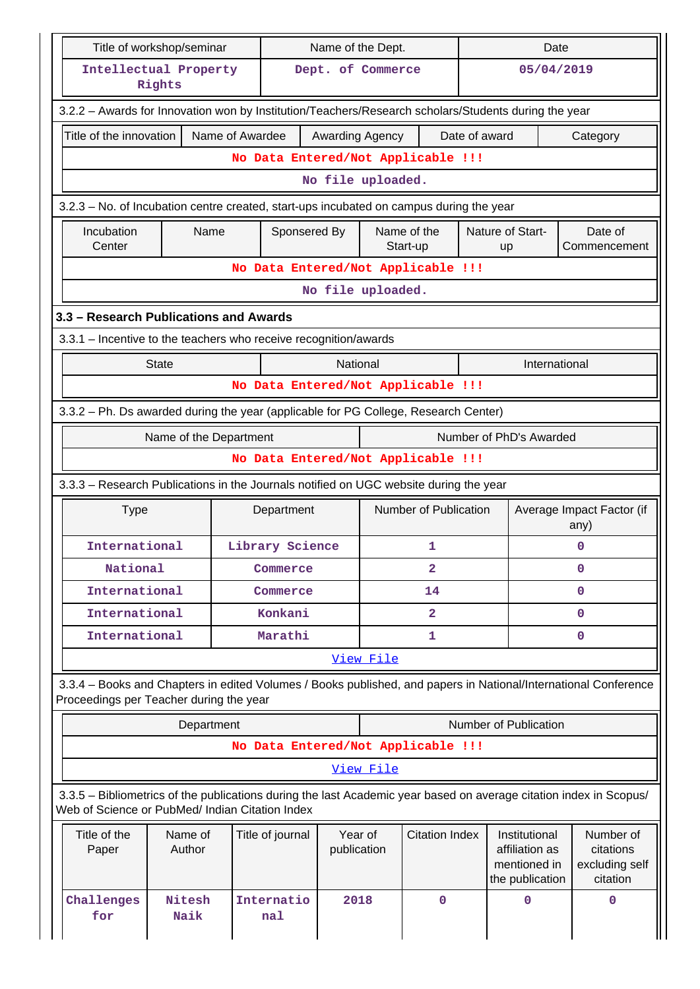|                                                                                                      | Title of workshop/seminar                                       |                 |                       | Name of the Dept. |                                                                    |                                                      | Date          |                         |                                                                                                                    |  |
|------------------------------------------------------------------------------------------------------|-----------------------------------------------------------------|-----------------|-----------------------|-------------------|--------------------------------------------------------------------|------------------------------------------------------|---------------|-------------------------|--------------------------------------------------------------------------------------------------------------------|--|
| Intellectual Property                                                                                | Rights                                                          |                 |                       | Dept. of Commerce |                                                                    |                                                      |               | 05/04/2019              |                                                                                                                    |  |
| 3.2.2 - Awards for Innovation won by Institution/Teachers/Research scholars/Students during the year |                                                                 |                 |                       |                   |                                                                    |                                                      |               |                         |                                                                                                                    |  |
| Title of the innovation                                                                              |                                                                 | Name of Awardee |                       | Awarding Agency   |                                                                    |                                                      | Date of award |                         | Category                                                                                                           |  |
|                                                                                                      |                                                                 |                 |                       |                   |                                                                    | No Data Entered/Not Applicable !!!                   |               |                         |                                                                                                                    |  |
|                                                                                                      |                                                                 |                 |                       | No file uploaded. |                                                                    |                                                      |               |                         |                                                                                                                    |  |
| 3.2.3 - No. of Incubation centre created, start-ups incubated on campus during the year              |                                                                 |                 |                       |                   |                                                                    |                                                      |               |                         |                                                                                                                    |  |
| Incubation<br>Center                                                                                 | Name                                                            |                 |                       |                   |                                                                    | Name of the<br>Start-up                              |               | Nature of Start-<br>up  | Date of<br>Commencement                                                                                            |  |
|                                                                                                      |                                                                 |                 |                       |                   |                                                                    | No Data Entered/Not Applicable !!!                   |               |                         |                                                                                                                    |  |
|                                                                                                      |                                                                 |                 |                       | No file uploaded. |                                                                    |                                                      |               |                         |                                                                                                                    |  |
| 3.3 - Research Publications and Awards                                                               |                                                                 |                 |                       |                   |                                                                    |                                                      |               |                         |                                                                                                                    |  |
| 3.3.1 – Incentive to the teachers who receive recognition/awards                                     |                                                                 |                 |                       |                   |                                                                    |                                                      |               |                         |                                                                                                                    |  |
|                                                                                                      | <b>State</b>                                                    |                 |                       | National          |                                                                    |                                                      |               | International           |                                                                                                                    |  |
|                                                                                                      |                                                                 |                 |                       |                   |                                                                    | No Data Entered/Not Applicable !!!                   |               |                         |                                                                                                                    |  |
| 3.3.2 - Ph. Ds awarded during the year (applicable for PG College, Research Center)                  |                                                                 |                 |                       |                   |                                                                    |                                                      |               |                         |                                                                                                                    |  |
|                                                                                                      | Name of the Department                                          |                 |                       |                   |                                                                    |                                                      |               | Number of PhD's Awarded |                                                                                                                    |  |
|                                                                                                      |                                                                 |                 |                       |                   |                                                                    | No Data Entered/Not Applicable !!!                   |               |                         |                                                                                                                    |  |
| 3.3.3 - Research Publications in the Journals notified on UGC website during the year                |                                                                 |                 |                       |                   |                                                                    |                                                      |               |                         |                                                                                                                    |  |
| <b>Type</b>                                                                                          |                                                                 |                 | Department            |                   |                                                                    | Number of Publication                                |               |                         | Average Impact Factor (if<br>any)                                                                                  |  |
| International                                                                                        |                                                                 |                 | Library Science       | 1                 |                                                                    |                                                      |               |                         | 0                                                                                                                  |  |
| National                                                                                             |                                                                 |                 | Commerce              |                   | $\mathbf{2}$                                                       |                                                      |               | 0                       |                                                                                                                    |  |
| International                                                                                        |                                                                 |                 | Commerce              |                   |                                                                    | 14                                                   |               | 0                       |                                                                                                                    |  |
| International                                                                                        |                                                                 |                 | Konkani               |                   |                                                                    | $\overline{\mathbf{2}}$                              |               | 0                       |                                                                                                                    |  |
| International                                                                                        |                                                                 |                 | Marathi               |                   |                                                                    | 1                                                    |               |                         | 0                                                                                                                  |  |
|                                                                                                      |                                                                 |                 |                       |                   | View File                                                          |                                                      |               |                         |                                                                                                                    |  |
| Proceedings per Teacher during the year                                                              |                                                                 |                 |                       |                   |                                                                    |                                                      |               |                         | 3.3.4 – Books and Chapters in edited Volumes / Books published, and papers in National/International Conference    |  |
|                                                                                                      |                                                                 | Department      |                       |                   |                                                                    |                                                      |               | Number of Publication   |                                                                                                                    |  |
|                                                                                                      |                                                                 |                 |                       |                   |                                                                    | No Data Entered/Not Applicable !!!                   |               |                         |                                                                                                                    |  |
|                                                                                                      |                                                                 |                 |                       |                   | <u>View File</u>                                                   |                                                      |               |                         |                                                                                                                    |  |
| Web of Science or PubMed/ Indian Citation Index                                                      |                                                                 |                 |                       |                   |                                                                    |                                                      |               |                         | 3.3.5 – Bibliometrics of the publications during the last Academic year based on average citation index in Scopus/ |  |
| Title of the<br>Paper                                                                                | Name of<br>Year of<br>Title of journal<br>Author<br>publication |                 | <b>Citation Index</b> |                   | Institutional<br>affiliation as<br>mentioned in<br>the publication | Number of<br>citations<br>excluding self<br>citation |               |                         |                                                                                                                    |  |
| Challenges<br>for                                                                                    | Nitesh<br>Naik                                                  |                 | Internatio<br>nal     | 2018              |                                                                    | $\mathbf 0$                                          |               | 0                       | $\mathbf{0}$                                                                                                       |  |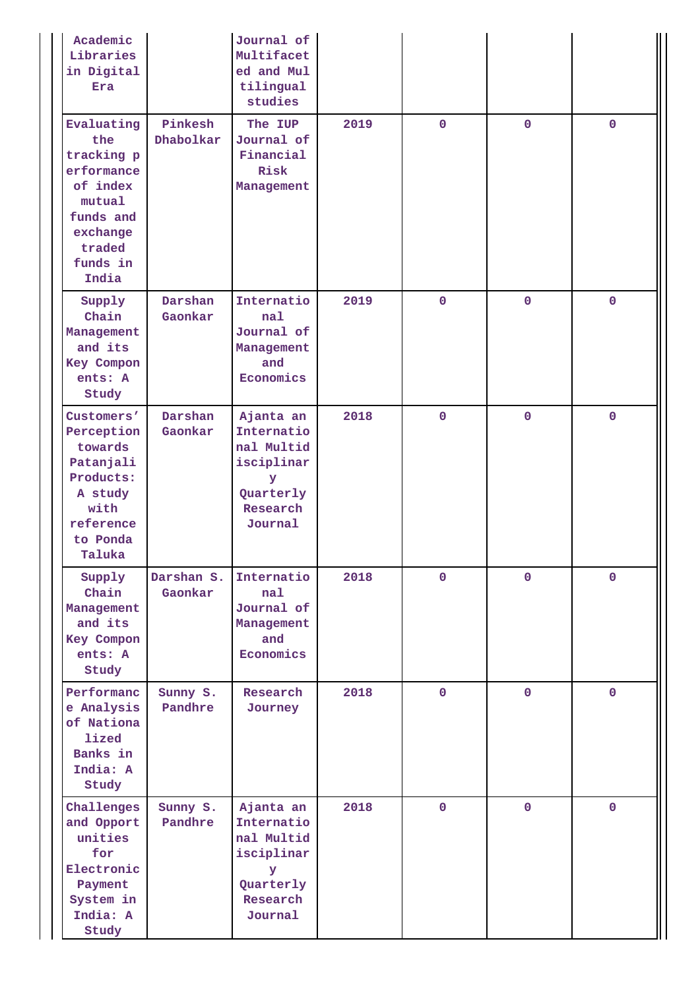| Academic<br>Libraries<br>in Digital<br>Era                                                                                  |                       | Journal of<br>Multifacet<br>ed and Mul<br>tilingual<br>studies                               |      |              |              |              |
|-----------------------------------------------------------------------------------------------------------------------------|-----------------------|----------------------------------------------------------------------------------------------|------|--------------|--------------|--------------|
| Evaluating<br>the<br>tracking p<br>erformance<br>of index<br>mutual<br>funds and<br>exchange<br>traded<br>funds in<br>India | Pinkesh<br>Dhabolkar  | The IUP<br>Journal of<br>Financial<br>Risk<br>Management                                     | 2019 | $\mathbf{0}$ | $\mathbf 0$  | $\mathbf 0$  |
| Supply<br>Chain<br>Management<br>and its<br>Key Compon<br>ents: A<br>Study                                                  | Darshan<br>Gaonkar    | Internatio<br>nal<br>Journal of<br>Management<br>and<br>Economics                            | 2019 | $\mathbf{0}$ | $\mathbf 0$  | $\mathbf 0$  |
| Customers'<br>Perception<br>towards<br>Patanjali<br>Products:<br>A study<br>with<br>reference<br>to Ponda<br>Taluka         | Darshan<br>Gaonkar    | Ajanta an<br>Internatio<br>nal Multid<br>isciplinar<br>У<br>Quarterly<br>Research<br>Journal | 2018 | $\mathbf 0$  | $\mathbf 0$  | $\mathbf 0$  |
| Supply<br>Chain<br>Management<br>and its<br>Key Compon<br>ents: A<br>Study                                                  | Darshan S.<br>Gaonkar | Internatio<br>nal<br>Journal of<br>Management<br>and<br>Economics                            | 2018 | $\mathbf{O}$ | $\mathbf{O}$ | $\mathbf{0}$ |
| Performanc<br>e Analysis<br>of Nationa<br>lized<br>Banks in<br>India: A<br>Study                                            | Sunny S.<br>Pandhre   | Research<br>Journey                                                                          | 2018 | $\mathbf{O}$ | $\mathbf 0$  | $\mathbf{0}$ |
| Challenges<br>and Opport<br>unities<br>for<br>Electronic<br>Payment<br>System in<br>India: A<br>Study                       | Sunny S.<br>Pandhre   | Ajanta an<br>Internatio<br>nal Multid<br>isciplinar<br>У<br>Quarterly<br>Research<br>Journal | 2018 | $\mathbf 0$  | $\mathbf 0$  | $\mathbf 0$  |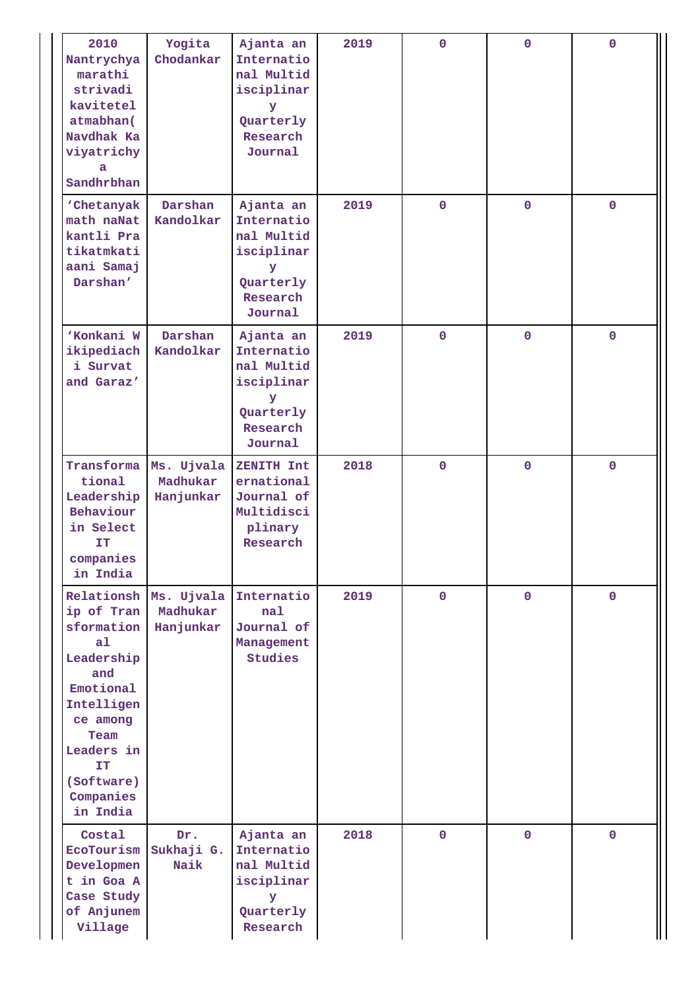| 2010<br>Nantrychya<br>marathi<br>strivadi<br>kavitetel<br>atmabhan(<br>Navdhak Ka<br>viyatrichy<br>a<br>Sandhrbhan                                                                             | Yogita<br>Chodankar                 | Ajanta an<br>Internatio<br>nal Multid<br>isciplinar<br>У<br>Quarterly<br>Research<br>Journal | 2019 | $\mathbf 0$ | $\mathbf 0$ | $\mathbf 0$  |
|------------------------------------------------------------------------------------------------------------------------------------------------------------------------------------------------|-------------------------------------|----------------------------------------------------------------------------------------------|------|-------------|-------------|--------------|
| 'Chetanyak<br>math naNat<br>kantli Pra<br>tikatmkati<br>aani Samaj<br>Darshan'                                                                                                                 | Darshan<br>Kandolkar                | Ajanta an<br>Internatio<br>nal Multid<br>isciplinar<br>У<br>Quarterly<br>Research<br>Journal | 2019 | $\mathbf 0$ | $\mathbf 0$ | $\mathbf 0$  |
| 'Konkani W<br>ikipediach<br>i Survat<br>and Garaz'                                                                                                                                             | Darshan<br>Kandolkar                | Ajanta an<br>Internatio<br>nal Multid<br>isciplinar<br>У<br>Quarterly<br>Research<br>Journal | 2019 | $\mathbf 0$ | $\mathbf 0$ | $\mathbf 0$  |
| Transforma<br>tional<br>Leadership<br>Behaviour<br>in Select<br>IT<br>companies<br>in India                                                                                                    | Ms. Ujvala<br>Madhukar<br>Hanjunkar | ZENITH Int<br>ernational<br>Journal of<br>Multidisci<br>plinary<br>Research                  | 2018 | $\mathbf 0$ | $\mathbf 0$ | $\mathbf 0$  |
| Relationsh<br>ip of Tran<br>sformation<br>a <sub>1</sub><br>Leadership<br>and<br>Emotional<br>Intelligen<br>ce among<br>Team<br>Leaders in<br><b>IT</b><br>(Software)<br>Companies<br>in India | Ms. Ujvala<br>Madhukar<br>Hanjunkar | Internatio<br>nal<br>Journal of<br>Management<br>Studies                                     | 2019 | $\mathbf 0$ | $\mathbf 0$ | $\mathbf{0}$ |
| Costal<br>EcoTourism<br>Developmen<br>t in Goa A<br>Case Study<br>of Anjunem<br>Village                                                                                                        | Dr.<br>Sukhaji G.<br>Naik           | Ajanta an<br>Internatio<br>nal Multid<br>isciplinar<br>У<br>Quarterly<br>Research            | 2018 | $\mathbf 0$ | $\mathbf 0$ | $\mathbf 0$  |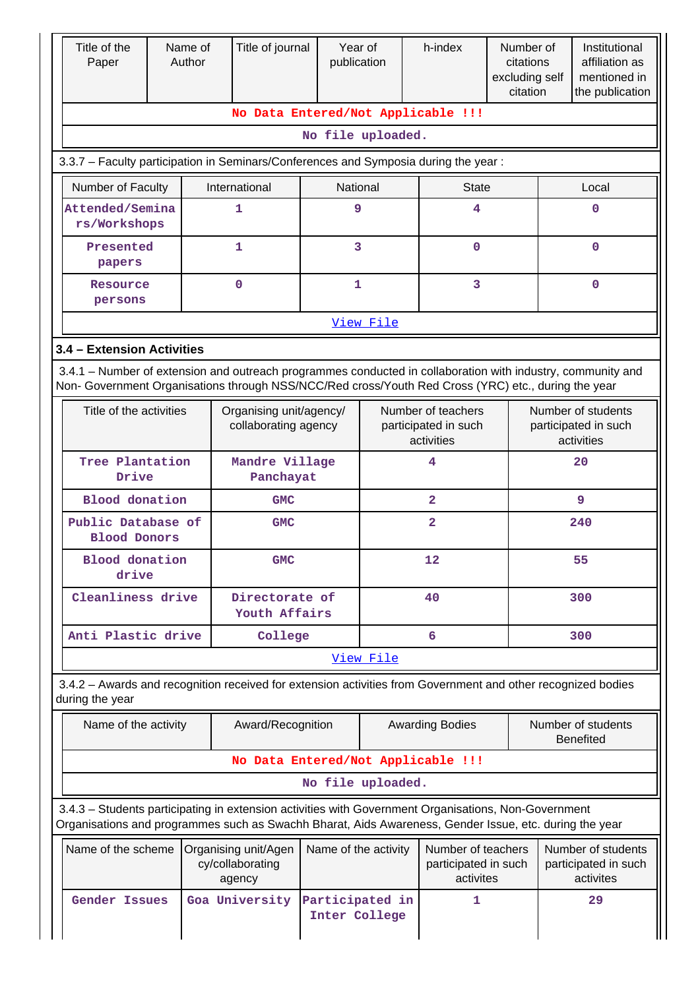| Title of the<br>Paper                                                                                                                                                                                              | Name of<br>Author | Title of journal                                   | publication                      | Year of   | h-index                                                  | Number of<br>citations<br>excluding self<br>citation    | Institutional<br>affiliation as<br>mentioned in<br>the publication |                                                          |  |
|--------------------------------------------------------------------------------------------------------------------------------------------------------------------------------------------------------------------|-------------------|----------------------------------------------------|----------------------------------|-----------|----------------------------------------------------------|---------------------------------------------------------|--------------------------------------------------------------------|----------------------------------------------------------|--|
|                                                                                                                                                                                                                    |                   |                                                    |                                  |           | No Data Entered/Not Applicable !!!                       |                                                         |                                                                    |                                                          |  |
|                                                                                                                                                                                                                    |                   |                                                    | No file uploaded.                |           |                                                          |                                                         |                                                                    |                                                          |  |
| 3.3.7 - Faculty participation in Seminars/Conferences and Symposia during the year:                                                                                                                                |                   |                                                    |                                  |           |                                                          |                                                         |                                                                    |                                                          |  |
| Number of Faculty<br>Attended/Semina                                                                                                                                                                               |                   | International<br>1                                 | National                         | 9         | <b>State</b><br>4                                        |                                                         |                                                                    | Local<br>$\mathbf 0$                                     |  |
| rs/Workshops                                                                                                                                                                                                       |                   |                                                    |                                  |           |                                                          |                                                         |                                                                    |                                                          |  |
| Presented<br>papers                                                                                                                                                                                                |                   | 1                                                  |                                  | 3         | 0                                                        |                                                         |                                                                    | $\mathbf 0$                                              |  |
| Resource<br>persons                                                                                                                                                                                                |                   | 0                                                  | 1                                |           | 3                                                        |                                                         |                                                                    | $\mathbf 0$                                              |  |
|                                                                                                                                                                                                                    | View File         |                                                    |                                  |           |                                                          |                                                         |                                                                    |                                                          |  |
| 3.4 - Extension Activities                                                                                                                                                                                         |                   |                                                    |                                  |           |                                                          |                                                         |                                                                    |                                                          |  |
| 3.4.1 – Number of extension and outreach programmes conducted in collaboration with industry, community and<br>Non- Government Organisations through NSS/NCC/Red cross/Youth Red Cross (YRC) etc., during the year |                   |                                                    |                                  |           |                                                          |                                                         |                                                                    |                                                          |  |
| Title of the activities                                                                                                                                                                                            |                   | Organising unit/agency/<br>collaborating agency    |                                  |           | Number of teachers<br>participated in such<br>activities |                                                         |                                                                    | Number of students<br>participated in such<br>activities |  |
| Tree Plantation<br>Drive                                                                                                                                                                                           |                   | Mandre Village<br>Panchayat                        |                                  | 4         |                                                          |                                                         | 20                                                                 |                                                          |  |
| <b>Blood</b> donation                                                                                                                                                                                              |                   | <b>GMC</b>                                         |                                  |           | $\overline{a}$                                           |                                                         | 9                                                                  |                                                          |  |
| Public Database of<br><b>Blood Donors</b>                                                                                                                                                                          |                   | <b>GMC</b>                                         |                                  |           |                                                          |                                                         | 240                                                                |                                                          |  |
| <b>Blood</b> donation<br>drive                                                                                                                                                                                     |                   |                                                    | <b>GMC</b>                       |           | 12                                                       |                                                         | 55                                                                 |                                                          |  |
| Cleanliness drive                                                                                                                                                                                                  |                   |                                                    | Directorate of<br>Youth Affairs  |           | 40                                                       |                                                         | 300                                                                |                                                          |  |
| Anti Plastic drive                                                                                                                                                                                                 |                   | College                                            |                                  |           | 6                                                        |                                                         | 300                                                                |                                                          |  |
|                                                                                                                                                                                                                    |                   |                                                    |                                  | View File |                                                          |                                                         |                                                                    |                                                          |  |
| 3.4.2 - Awards and recognition received for extension activities from Government and other recognized bodies<br>during the year                                                                                    |                   |                                                    |                                  |           |                                                          |                                                         |                                                                    |                                                          |  |
| Name of the activity                                                                                                                                                                                               |                   | Award/Recognition                                  |                                  |           | <b>Awarding Bodies</b>                                   |                                                         | Number of students<br><b>Benefited</b>                             |                                                          |  |
|                                                                                                                                                                                                                    |                   |                                                    |                                  |           | No Data Entered/Not Applicable !!!                       |                                                         |                                                                    |                                                          |  |
|                                                                                                                                                                                                                    |                   |                                                    | No file uploaded.                |           |                                                          |                                                         |                                                                    |                                                          |  |
| 3.4.3 - Students participating in extension activities with Government Organisations, Non-Government<br>Organisations and programmes such as Swachh Bharat, Aids Awareness, Gender Issue, etc. during the year     |                   |                                                    |                                  |           |                                                          |                                                         |                                                                    |                                                          |  |
| Name of the scheme                                                                                                                                                                                                 |                   | Organising unit/Agen<br>cy/collaborating<br>agency | Name of the activity             |           |                                                          | Number of teachers<br>participated in such<br>activites |                                                                    | Number of students<br>participated in such<br>activites  |  |
| <b>Gender Issues</b>                                                                                                                                                                                               |                   | Goa University                                     | Participated in<br>Inter College |           | 1                                                        |                                                         |                                                                    | 29                                                       |  |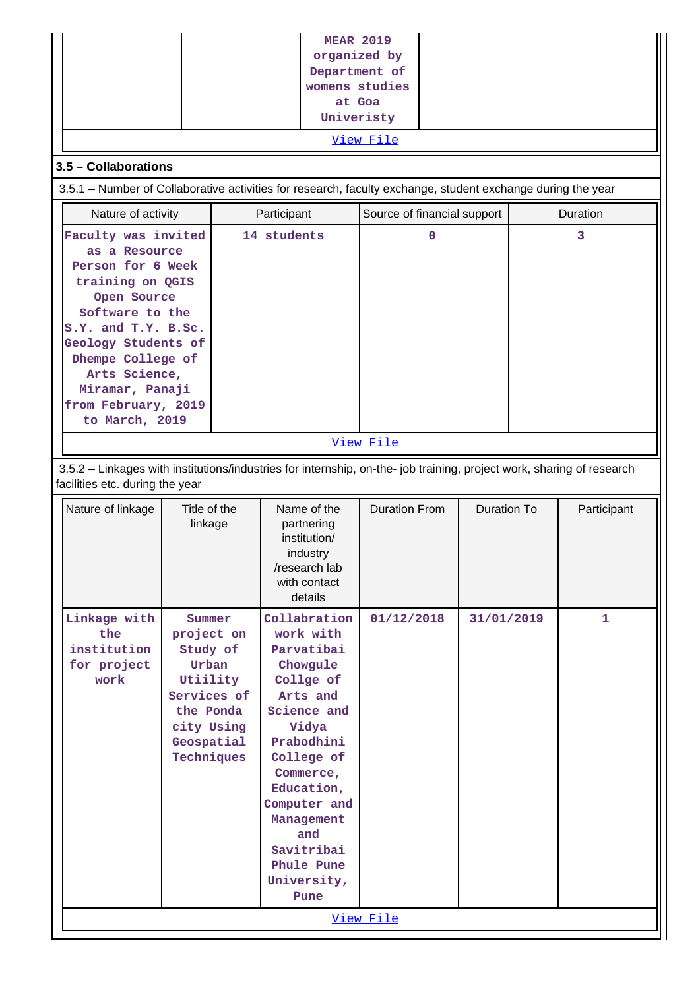| 3.5 - Collaborations                                                                                                                                                                                                                                            | <b>MEAR 2019</b><br>organized by<br>Department of<br>womens studies<br>at Goa<br>Univeristy                                 | <u>View File</u> |                                                                                                                                                                                                                                                     |                             |   |                    |          |             |  |  |
|-----------------------------------------------------------------------------------------------------------------------------------------------------------------------------------------------------------------------------------------------------------------|-----------------------------------------------------------------------------------------------------------------------------|------------------|-----------------------------------------------------------------------------------------------------------------------------------------------------------------------------------------------------------------------------------------------------|-----------------------------|---|--------------------|----------|-------------|--|--|
| 3.5.1 - Number of Collaborative activities for research, faculty exchange, student exchange during the year                                                                                                                                                     |                                                                                                                             |                  |                                                                                                                                                                                                                                                     |                             |   |                    |          |             |  |  |
| Nature of activity                                                                                                                                                                                                                                              |                                                                                                                             |                  | Participant                                                                                                                                                                                                                                         | Source of financial support |   |                    | Duration |             |  |  |
|                                                                                                                                                                                                                                                                 |                                                                                                                             |                  | 14 students                                                                                                                                                                                                                                         |                             | 0 |                    |          | 3           |  |  |
| Faculty was invited<br>as a Resource<br>Person for 6 Week<br>training on QGIS<br>Open Source<br>Software to the<br>S.Y. and T.Y. B.Sc.<br>Geology Students of<br>Dhempe College of<br>Arts Science,<br>Miramar, Panaji<br>from February, 2019<br>to March, 2019 |                                                                                                                             |                  |                                                                                                                                                                                                                                                     |                             |   |                    |          |             |  |  |
|                                                                                                                                                                                                                                                                 |                                                                                                                             |                  |                                                                                                                                                                                                                                                     | View File                   |   |                    |          |             |  |  |
|                                                                                                                                                                                                                                                                 |                                                                                                                             |                  |                                                                                                                                                                                                                                                     |                             |   |                    |          |             |  |  |
| 3.5.2 - Linkages with institutions/industries for internship, on-the- job training, project work, sharing of research<br>facilities etc. during the year                                                                                                        |                                                                                                                             |                  |                                                                                                                                                                                                                                                     |                             |   |                    |          |             |  |  |
| Nature of linkage                                                                                                                                                                                                                                               | Title of the<br>linkage                                                                                                     |                  | Name of the<br>partnering<br>institution/<br>industry<br>/research lab<br>with contact<br>details                                                                                                                                                   | <b>Duration From</b>        |   | <b>Duration To</b> |          | Participant |  |  |
| Linkage with<br>the<br>institution<br>for project<br>work                                                                                                                                                                                                       | Summer<br>project on<br>Study of<br>Urban<br>Utiility<br>Services of<br>the Ponda<br>city Using<br>Geospatial<br>Techniques |                  | Collabration<br>work with<br>Parvatibai<br>Chowgule<br>Collge of<br>Arts and<br>Science and<br>Vidya<br>Prabodhini<br>College of<br>Commerce,<br>Education,<br>Computer and<br>Management<br>and<br>Savitribai<br>Phule Pune<br>University,<br>Pune | 01/12/2018<br>View File     |   | 31/01/2019         |          | 1           |  |  |
|                                                                                                                                                                                                                                                                 |                                                                                                                             |                  |                                                                                                                                                                                                                                                     |                             |   |                    |          |             |  |  |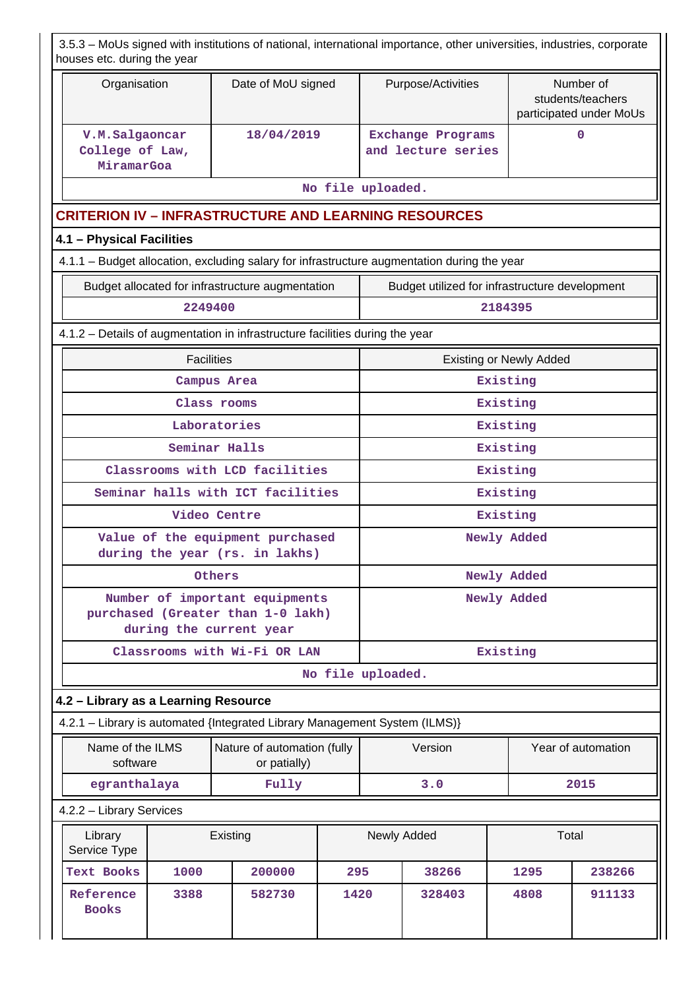|                                                                              | houses etc. during the year                                                |                   |                                                                     |              |                   |             | 3.5.3 – MoUs signed with institutions of national, international importance, other universities, industries, corporate |  |                                |                                                           |  |
|------------------------------------------------------------------------------|----------------------------------------------------------------------------|-------------------|---------------------------------------------------------------------|--------------|-------------------|-------------|------------------------------------------------------------------------------------------------------------------------|--|--------------------------------|-----------------------------------------------------------|--|
|                                                                              | Organisation                                                               |                   | Date of MoU signed                                                  |              |                   |             | Purpose/Activities                                                                                                     |  |                                | Number of<br>students/teachers<br>participated under MoUs |  |
|                                                                              | V.M.Salgaoncar<br>College of Law,<br>MiramarGoa                            |                   |                                                                     | 18/04/2019   |                   |             | <b>Exchange Programs</b><br>and lecture series                                                                         |  |                                | 0                                                         |  |
|                                                                              |                                                                            |                   |                                                                     |              | No file uploaded. |             |                                                                                                                        |  |                                |                                                           |  |
|                                                                              | <b>CRITERION IV – INFRASTRUCTURE AND LEARNING RESOURCES</b>                |                   |                                                                     |              |                   |             |                                                                                                                        |  |                                |                                                           |  |
|                                                                              | 4.1 - Physical Facilities                                                  |                   |                                                                     |              |                   |             |                                                                                                                        |  |                                |                                                           |  |
|                                                                              |                                                                            |                   |                                                                     |              |                   |             | 4.1.1 - Budget allocation, excluding salary for infrastructure augmentation during the year                            |  |                                |                                                           |  |
|                                                                              |                                                                            |                   | Budget allocated for infrastructure augmentation                    |              |                   |             | Budget utilized for infrastructure development                                                                         |  |                                |                                                           |  |
|                                                                              |                                                                            | 2249400           |                                                                     |              |                   |             |                                                                                                                        |  | 2184395                        |                                                           |  |
| 4.1.2 - Details of augmentation in infrastructure facilities during the year |                                                                            |                   |                                                                     |              |                   |             |                                                                                                                        |  |                                |                                                           |  |
|                                                                              |                                                                            | <b>Facilities</b> |                                                                     |              |                   |             |                                                                                                                        |  | <b>Existing or Newly Added</b> |                                                           |  |
|                                                                              | Campus Area                                                                |                   |                                                                     |              |                   |             |                                                                                                                        |  | Existing                       |                                                           |  |
|                                                                              | Class rooms                                                                |                   |                                                                     |              |                   |             | Existing                                                                                                               |  |                                |                                                           |  |
|                                                                              | Laboratories<br>Seminar Halls                                              |                   |                                                                     |              |                   |             | Existing<br>Existing                                                                                                   |  |                                |                                                           |  |
|                                                                              |                                                                            |                   | Classrooms with LCD facilities                                      |              |                   |             |                                                                                                                        |  | Existing                       |                                                           |  |
|                                                                              |                                                                            |                   | Seminar halls with ICT facilities                                   |              |                   |             |                                                                                                                        |  | Existing                       |                                                           |  |
|                                                                              |                                                                            |                   | Video Centre                                                        |              |                   |             |                                                                                                                        |  | Existing                       |                                                           |  |
|                                                                              |                                                                            |                   | Value of the equipment purchased                                    |              |                   |             |                                                                                                                        |  | Newly Added                    |                                                           |  |
|                                                                              |                                                                            |                   | during the year (rs. in lakhs)                                      |              |                   |             |                                                                                                                        |  |                                |                                                           |  |
|                                                                              |                                                                            |                   | Others                                                              |              |                   | Newly Added |                                                                                                                        |  |                                |                                                           |  |
|                                                                              |                                                                            |                   | Number of important equipments<br>purchased (Greater than 1-0 lakh) |              |                   | Newly Added |                                                                                                                        |  |                                |                                                           |  |
|                                                                              |                                                                            |                   | during the current year                                             |              |                   |             |                                                                                                                        |  |                                |                                                           |  |
|                                                                              |                                                                            |                   | Classrooms with Wi-Fi OR LAN                                        |              |                   |             |                                                                                                                        |  | Existing                       |                                                           |  |
|                                                                              |                                                                            |                   |                                                                     |              | No file uploaded. |             |                                                                                                                        |  |                                |                                                           |  |
|                                                                              | 4.2 - Library as a Learning Resource                                       |                   |                                                                     |              |                   |             |                                                                                                                        |  |                                |                                                           |  |
|                                                                              | 4.2.1 - Library is automated {Integrated Library Management System (ILMS)} |                   |                                                                     |              |                   |             |                                                                                                                        |  |                                |                                                           |  |
|                                                                              | Name of the ILMS<br>software                                               |                   | Nature of automation (fully                                         | or patially) |                   |             | Version                                                                                                                |  |                                | Year of automation                                        |  |
|                                                                              | egranthalaya                                                               |                   |                                                                     | Fully        |                   |             | 3.0                                                                                                                    |  |                                | 2015                                                      |  |
|                                                                              | 4.2.2 - Library Services                                                   |                   |                                                                     |              |                   |             |                                                                                                                        |  |                                |                                                           |  |
|                                                                              | Library<br>Service Type                                                    |                   | Existing                                                            |              |                   |             | Newly Added                                                                                                            |  | Total                          |                                                           |  |
|                                                                              | <b>Text Books</b>                                                          | 1000              | 200000                                                              |              | 295               |             | 38266                                                                                                                  |  | 1295                           | 238266                                                    |  |
|                                                                              | Reference<br><b>Books</b>                                                  | 3388              | 582730                                                              |              | 1420              |             | 328403                                                                                                                 |  | 4808                           | 911133                                                    |  |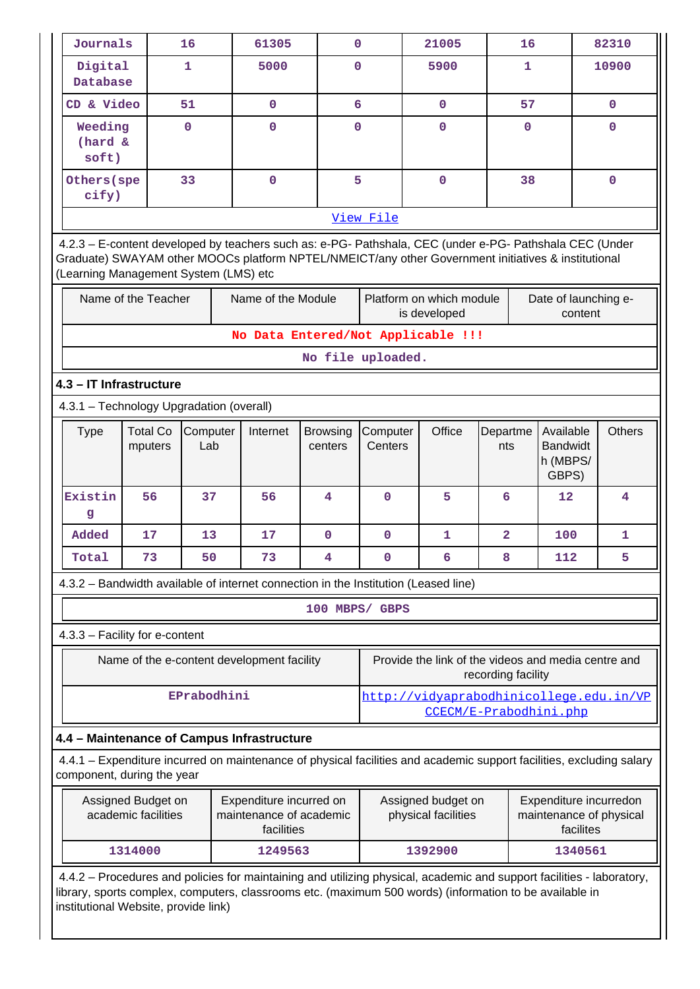| Journals                                                                                                                                           |                                                                                                                                                                                                                                                                          | 16              | 61305                                      | 0                                                           |                                                                           |                                                                                                             | 21005                                                                |                | 16          |                      |             | 82310       |
|----------------------------------------------------------------------------------------------------------------------------------------------------|--------------------------------------------------------------------------------------------------------------------------------------------------------------------------------------------------------------------------------------------------------------------------|-----------------|--------------------------------------------|-------------------------------------------------------------|---------------------------------------------------------------------------|-------------------------------------------------------------------------------------------------------------|----------------------------------------------------------------------|----------------|-------------|----------------------|-------------|-------------|
| Digital<br>Database                                                                                                                                |                                                                                                                                                                                                                                                                          | 1               | 5000                                       | $\Omega$                                                    |                                                                           |                                                                                                             | 5900                                                                 |                | 1           |                      |             | 10900       |
| CD & Video                                                                                                                                         |                                                                                                                                                                                                                                                                          | 51              | $\mathbf 0$                                | $6\overline{6}$                                             |                                                                           |                                                                                                             | $\mathbf 0$                                                          |                | 57          |                      |             | $\mathbf 0$ |
| Weeding<br>(hard &<br>soft)                                                                                                                        |                                                                                                                                                                                                                                                                          | $\mathbf 0$     | $\mathbf 0$<br>$\mathbf 0$                 |                                                             |                                                                           | $\mathbf 0$                                                                                                 |                                                                      |                | $\mathbf 0$ |                      |             | $\mathbf 0$ |
| Others (spe<br>cify)                                                                                                                               |                                                                                                                                                                                                                                                                          | 33              | $\mathbf 0$                                | 5                                                           |                                                                           | $\mathbf 0$                                                                                                 |                                                                      | 38             |             |                      | $\mathbf 0$ |             |
|                                                                                                                                                    |                                                                                                                                                                                                                                                                          |                 |                                            |                                                             | View File                                                                 |                                                                                                             |                                                                      |                |             |                      |             |             |
|                                                                                                                                                    | 4.2.3 - E-content developed by teachers such as: e-PG- Pathshala, CEC (under e-PG- Pathshala CEC (Under<br>Graduate) SWAYAM other MOOCs platform NPTEL/NMEICT/any other Government initiatives & institutional<br>(Learning Management System (LMS) etc                  |                 |                                            |                                                             |                                                                           |                                                                                                             |                                                                      |                |             |                      |             |             |
|                                                                                                                                                    | Name of the Teacher                                                                                                                                                                                                                                                      |                 | Name of the Module                         |                                                             |                                                                           |                                                                                                             | Platform on which module<br>is developed                             |                |             | Date of launching e- | content     |             |
|                                                                                                                                                    |                                                                                                                                                                                                                                                                          |                 | No Data Entered/Not Applicable !!!         |                                                             |                                                                           |                                                                                                             |                                                                      |                |             |                      |             |             |
|                                                                                                                                                    |                                                                                                                                                                                                                                                                          |                 |                                            | No file uploaded.                                           |                                                                           |                                                                                                             |                                                                      |                |             |                      |             |             |
| 4.3 - IT Infrastructure                                                                                                                            |                                                                                                                                                                                                                                                                          |                 |                                            |                                                             |                                                                           |                                                                                                             |                                                                      |                |             |                      |             |             |
| 4.3.1 - Technology Upgradation (overall)                                                                                                           |                                                                                                                                                                                                                                                                          |                 |                                            |                                                             |                                                                           |                                                                                                             |                                                                      |                |             |                      |             |             |
| <b>Type</b>                                                                                                                                        | <b>Total Co</b><br>mputers                                                                                                                                                                                                                                               | Computer<br>Lab | Internet                                   | Office<br>Computer<br><b>Browsing</b><br>Centers<br>centers |                                                                           |                                                                                                             | Available<br>Departme<br><b>Bandwidt</b><br>nts<br>h (MBPS/<br>GBPS) |                |             | <b>Others</b>        |             |             |
| Existin<br>g                                                                                                                                       | 56                                                                                                                                                                                                                                                                       | 37              | 56                                         | 4                                                           | $\mathbf 0$                                                               | 5                                                                                                           |                                                                      | 6              | 12          |                      |             | 4           |
| Added                                                                                                                                              | 17                                                                                                                                                                                                                                                                       | 13              | 17                                         | $\mathbf 0$                                                 | $\mathbf 0$                                                               |                                                                                                             | $\mathbf{1}$                                                         | $\overline{a}$ |             | 100                  |             | 1           |
| Total                                                                                                                                              | 73                                                                                                                                                                                                                                                                       | 50              | 73                                         | 4                                                           | $\pmb{0}$                                                                 |                                                                                                             | 6                                                                    | 8              |             | 112                  |             | 5           |
| 4.3.2 - Bandwidth available of internet connection in the Institution (Leased line)                                                                |                                                                                                                                                                                                                                                                          |                 |                                            |                                                             |                                                                           |                                                                                                             |                                                                      |                |             |                      |             |             |
|                                                                                                                                                    |                                                                                                                                                                                                                                                                          |                 |                                            | 100 MBPS/ GBPS                                              |                                                                           |                                                                                                             |                                                                      |                |             |                      |             |             |
| 4.3.3 - Facility for e-content                                                                                                                     |                                                                                                                                                                                                                                                                          |                 |                                            |                                                             |                                                                           |                                                                                                             |                                                                      |                |             |                      |             |             |
|                                                                                                                                                    |                                                                                                                                                                                                                                                                          |                 | Name of the e-content development facility |                                                             | Provide the link of the videos and media centre and<br>recording facility |                                                                                                             |                                                                      |                |             |                      |             |             |
|                                                                                                                                                    |                                                                                                                                                                                                                                                                          | EPrabodhini     |                                            |                                                             |                                                                           |                                                                                                             | http://vidyaprabodhinicollege.edu.in/VP<br>CCECM/E-Prabodhini.php    |                |             |                      |             |             |
| 4.4 - Maintenance of Campus Infrastructure                                                                                                         |                                                                                                                                                                                                                                                                          |                 |                                            |                                                             |                                                                           |                                                                                                             |                                                                      |                |             |                      |             |             |
| 4.4.1 – Expenditure incurred on maintenance of physical facilities and academic support facilities, excluding salary<br>component, during the year |                                                                                                                                                                                                                                                                          |                 |                                            |                                                             |                                                                           |                                                                                                             |                                                                      |                |             |                      |             |             |
| Assigned Budget on<br>Expenditure incurred on<br>maintenance of academic<br>academic facilities<br>facilities                                      |                                                                                                                                                                                                                                                                          |                 |                                            |                                                             |                                                                           | Assigned budget on<br>Expenditure incurredon<br>physical facilities<br>maintenance of physical<br>facilites |                                                                      |                |             |                      |             |             |
| 1249563<br>1314000                                                                                                                                 |                                                                                                                                                                                                                                                                          |                 |                                            |                                                             |                                                                           | 1392900<br>1340561                                                                                          |                                                                      |                |             |                      |             |             |
|                                                                                                                                                    | 4.4.2 - Procedures and policies for maintaining and utilizing physical, academic and support facilities - laboratory,<br>library, sports complex, computers, classrooms etc. (maximum 500 words) (information to be available in<br>institutional Website, provide link) |                 |                                            |                                                             |                                                                           |                                                                                                             |                                                                      |                |             |                      |             |             |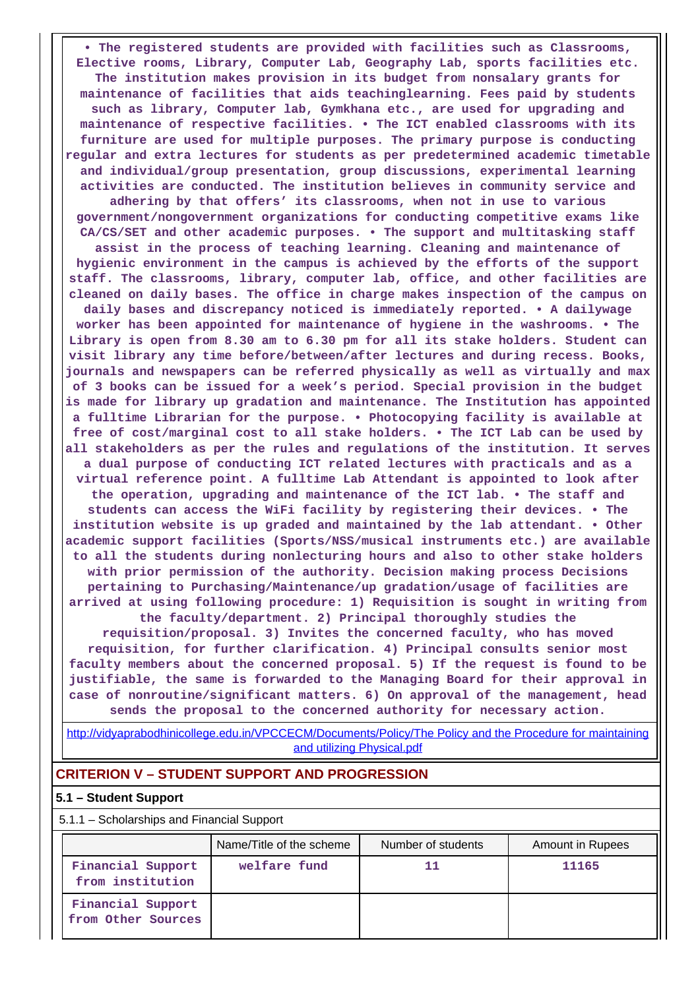**• The registered students are provided with facilities such as Classrooms, Elective rooms, Library, Computer Lab, Geography Lab, sports facilities etc. The institution makes provision in its budget from nonsalary grants for maintenance of facilities that aids teachinglearning. Fees paid by students such as library, Computer lab, Gymkhana etc., are used for upgrading and maintenance of respective facilities. • The ICT enabled classrooms with its furniture are used for multiple purposes. The primary purpose is conducting regular and extra lectures for students as per predetermined academic timetable and individual/group presentation, group discussions, experimental learning activities are conducted. The institution believes in community service and adhering by that offers' its classrooms, when not in use to various government/nongovernment organizations for conducting competitive exams like CA/CS/SET and other academic purposes. • The support and multitasking staff assist in the process of teaching learning. Cleaning and maintenance of hygienic environment in the campus is achieved by the efforts of the support staff. The classrooms, library, computer lab, office, and other facilities are cleaned on daily bases. The office in charge makes inspection of the campus on daily bases and discrepancy noticed is immediately reported. • A dailywage worker has been appointed for maintenance of hygiene in the washrooms. • The Library is open from 8.30 am to 6.30 pm for all its stake holders. Student can visit library any time before/between/after lectures and during recess. Books, journals and newspapers can be referred physically as well as virtually and max of 3 books can be issued for a week's period. Special provision in the budget is made for library up gradation and maintenance. The Institution has appointed a fulltime Librarian for the purpose. • Photocopying facility is available at free of cost/marginal cost to all stake holders. • The ICT Lab can be used by all stakeholders as per the rules and regulations of the institution. It serves a dual purpose of conducting ICT related lectures with practicals and as a virtual reference point. A fulltime Lab Attendant is appointed to look after the operation, upgrading and maintenance of the ICT lab. • The staff and students can access the WiFi facility by registering their devices. • The institution website is up graded and maintained by the lab attendant. • Other academic support facilities (Sports/NSS/musical instruments etc.) are available to all the students during nonlecturing hours and also to other stake holders with prior permission of the authority. Decision making process Decisions pertaining to Purchasing/Maintenance/up gradation/usage of facilities are arrived at using following procedure: 1) Requisition is sought in writing from the faculty/department. 2) Principal thoroughly studies the requisition/proposal. 3) Invites the concerned faculty, who has moved requisition, for further clarification. 4) Principal consults senior most faculty members about the concerned proposal. 5) If the request is found to be**

**justifiable, the same is forwarded to the Managing Board for their approval in case of nonroutine/significant matters. 6) On approval of the management, head sends the proposal to the concerned authority for necessary action.**

[http://vidyaprabodhinicollege.edu.in/VPCCECM/Documents/Policy/The Policy and the Procedure for maintaining](http://vidyaprabodhinicollege.edu.in/VPCCECM/Documents/Policy/The Policy and the Procedure for maintaining and utilizing Physical.pdf) [and utilizing Physical.pdf](http://vidyaprabodhinicollege.edu.in/VPCCECM/Documents/Policy/The Policy and the Procedure for maintaining and utilizing Physical.pdf)

## **CRITERION V – STUDENT SUPPORT AND PROGRESSION**

#### **5.1 – Student Support**

5.1.1 – Scholarships and Financial Support

|                                         | Name/Title of the scheme | Number of students | Amount in Rupees |
|-----------------------------------------|--------------------------|--------------------|------------------|
| Financial Support<br>from institution   | welfare fund             | 11                 | 11165            |
| Financial Support<br>from Other Sources |                          |                    |                  |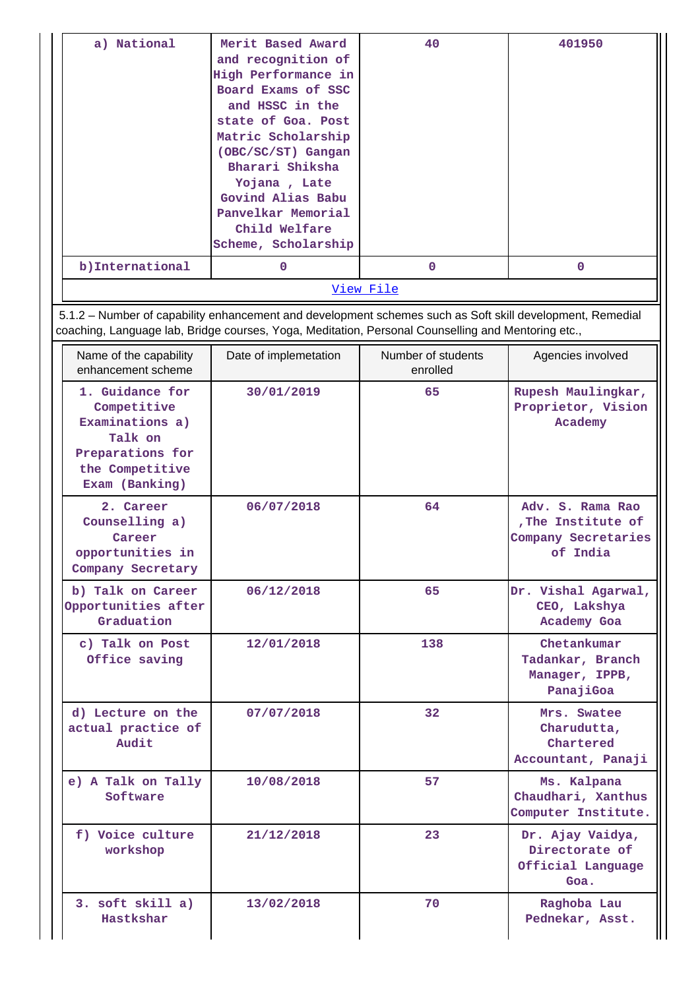| a) National      | Merit Based Award<br>and recognition of<br>High Performance in<br>Board Exams of SSC<br>and HSSC in the<br>state of Goa. Post<br>Matric Scholarship<br>(OBC/SC/ST) Gangan<br>Bharari Shiksha<br>Yojana, Late<br>Govind Alias Babu<br>Panvelkar Memorial<br>Child Welfare<br>Scheme, Scholarship | 40          | 401950 |  |  |  |  |
|------------------|-------------------------------------------------------------------------------------------------------------------------------------------------------------------------------------------------------------------------------------------------------------------------------------------------|-------------|--------|--|--|--|--|
| b) International | 0                                                                                                                                                                                                                                                                                               | $\mathbf 0$ | O      |  |  |  |  |
| <u>View File</u> |                                                                                                                                                                                                                                                                                                 |             |        |  |  |  |  |

 5.1.2 – Number of capability enhancement and development schemes such as Soft skill development, Remedial coaching, Language lab, Bridge courses, Yoga, Meditation, Personal Counselling and Mentoring etc.,

| Name of the capability<br>enhancement scheme                                                                          | Date of implemetation | Number of students<br>enrolled | Agencies involved                                                         |
|-----------------------------------------------------------------------------------------------------------------------|-----------------------|--------------------------------|---------------------------------------------------------------------------|
| 1. Guidance for<br>Competitive<br>Examinations a)<br>Talk on<br>Preparations for<br>the Competitive<br>Exam (Banking) | 30/01/2019            | 65                             | Rupesh Maulingkar,<br>Proprietor, Vision<br>Academy                       |
| 2. Career<br>Counselling a)<br>Career<br>opportunities in<br>Company Secretary                                        | 06/07/2018            | 64                             | Adv. S. Rama Rao<br>, The Institute of<br>Company Secretaries<br>of India |
| b) Talk on Career<br>Opportunities after<br>Graduation                                                                | 06/12/2018            | 65                             | Dr. Vishal Agarwal,<br>CEO, Lakshya<br>Academy Goa                        |
| c) Talk on Post<br>Office saving                                                                                      | 12/01/2018            | 138                            | Chetankumar<br>Tadankar, Branch<br>Manager, IPPB,<br>PanajiGoa            |
| d) Lecture on the<br>actual practice of<br>Audit                                                                      | 07/07/2018            | 32                             | Mrs. Swatee<br>Charudutta,<br>Chartered<br>Accountant, Panaji             |
| e) A Talk on Tally<br>Software                                                                                        | 10/08/2018            | 57                             | Ms. Kalpana<br>Chaudhari, Xanthus<br>Computer Institute.                  |
| f) Voice culture<br>workshop                                                                                          | 21/12/2018            | 23                             | Dr. Ajay Vaidya,<br>Directorate of<br>Official Language<br>Goa.           |
| 3. soft skill a)<br>Hastkshar                                                                                         | 13/02/2018            | 70                             | Raghoba Lau<br>Pednekar, Asst.                                            |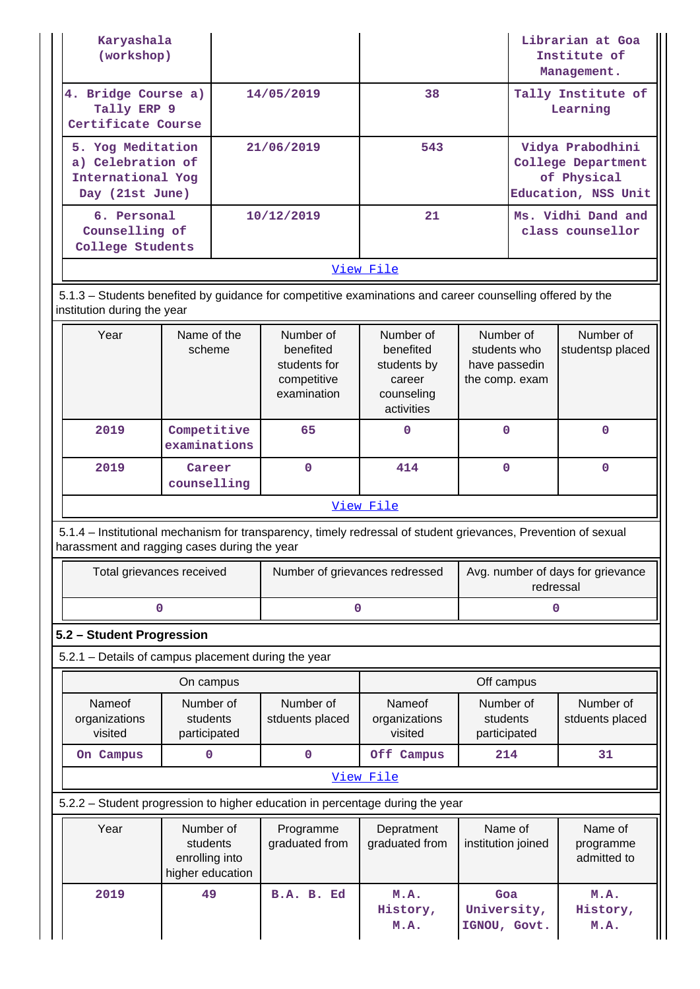| Karyashala<br>(workshop)                                                       |                                                             |                                                                                                                |                                                                             |                                                              | Librarian at Goa<br>Institute of<br>Management.                              |  |
|--------------------------------------------------------------------------------|-------------------------------------------------------------|----------------------------------------------------------------------------------------------------------------|-----------------------------------------------------------------------------|--------------------------------------------------------------|------------------------------------------------------------------------------|--|
| 4. Bridge Course a)<br>Tally ERP 9<br>Certificate Course                       |                                                             | 14/05/2019                                                                                                     | 38                                                                          |                                                              | Tally Institute of<br>Learning                                               |  |
| 5. Yog Meditation<br>a) Celebration of<br>International Yog<br>Day (21st June) |                                                             | 21/06/2019                                                                                                     | 543                                                                         |                                                              | Vidya Prabodhini<br>College Department<br>of Physical<br>Education, NSS Unit |  |
| 6. Personal<br>Counselling of<br>College Students                              |                                                             | 10/12/2019                                                                                                     | 21                                                                          |                                                              | Ms. Vidhi Dand and<br>class counsellor                                       |  |
|                                                                                |                                                             |                                                                                                                | View File                                                                   |                                                              |                                                                              |  |
| institution during the year                                                    |                                                             | 5.1.3 – Students benefited by guidance for competitive examinations and career counselling offered by the      |                                                                             |                                                              |                                                                              |  |
| Year                                                                           | Name of the<br>scheme                                       | Number of<br>benefited<br>students for<br>competitive<br>examination                                           | Number of<br>benefited<br>students by<br>career<br>counseling<br>activities | Number of<br>students who<br>have passedin<br>the comp. exam | Number of<br>studentsp placed                                                |  |
| 2019                                                                           | Competitive<br>examinations                                 | 65                                                                                                             | $\Omega$                                                                    | 0                                                            | 0                                                                            |  |
| 2019                                                                           | Career<br>counselling                                       | $\mathbf 0$                                                                                                    | 414                                                                         | $\mathbf 0$                                                  | $\mathbf 0$                                                                  |  |
|                                                                                |                                                             |                                                                                                                | View File                                                                   |                                                              |                                                                              |  |
| harassment and ragging cases during the year                                   |                                                             | 5.1.4 – Institutional mechanism for transparency, timely redressal of student grievances, Prevention of sexual |                                                                             |                                                              |                                                                              |  |
|                                                                                | Total grievances received                                   | Number of grievances redressed                                                                                 |                                                                             | Avg. number of days for grievance                            | redressal                                                                    |  |
|                                                                                | 0                                                           | 0                                                                                                              |                                                                             |                                                              | 0                                                                            |  |
| 5.2 - Student Progression                                                      |                                                             |                                                                                                                |                                                                             |                                                              |                                                                              |  |
| 5.2.1 - Details of campus placement during the year                            |                                                             |                                                                                                                |                                                                             |                                                              |                                                                              |  |
|                                                                                | On campus                                                   |                                                                                                                |                                                                             | Off campus                                                   |                                                                              |  |
| Nameof<br>organizations<br>visited                                             | Number of<br>students<br>participated                       | Number of<br>stduents placed                                                                                   | Nameof<br>organizations<br>visited                                          | Number of<br>students<br>participated                        | Number of<br>stduents placed                                                 |  |
| On Campus                                                                      | $\mathbf 0$                                                 | $\mathbf 0$                                                                                                    | Off Campus                                                                  | 214                                                          | 31                                                                           |  |
|                                                                                |                                                             |                                                                                                                | View File                                                                   |                                                              |                                                                              |  |
|                                                                                |                                                             | 5.2.2 - Student progression to higher education in percentage during the year                                  |                                                                             |                                                              |                                                                              |  |
| Year                                                                           | Number of<br>students<br>enrolling into<br>higher education | Programme<br>graduated from                                                                                    | Depratment<br>graduated from                                                | Name of<br>institution joined                                | Name of<br>programme<br>admitted to                                          |  |
| 2019                                                                           | 49                                                          | B.A. B. Ed                                                                                                     | M.A.<br>History,                                                            | Goa<br>University,                                           | M.A.                                                                         |  |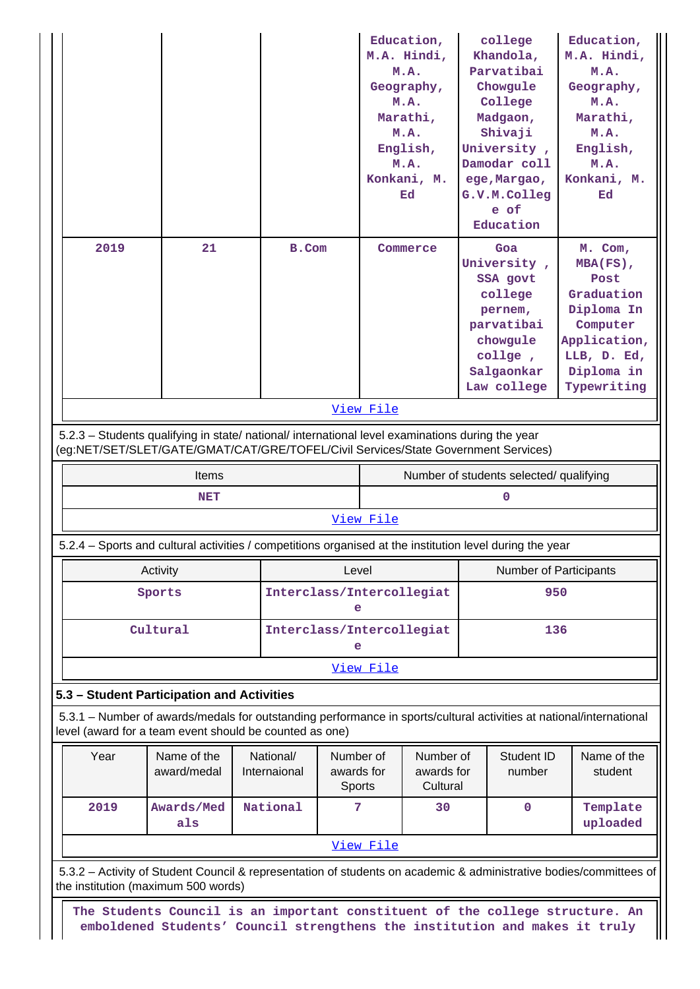|                 |                                                                                                          |  |                           |                                   | Education,<br>M.A. Hindi,           |  | college<br>Khandola,                    | Education,<br>M.A. Hindi,                                                                                           |
|-----------------|----------------------------------------------------------------------------------------------------------|--|---------------------------|-----------------------------------|-------------------------------------|--|-----------------------------------------|---------------------------------------------------------------------------------------------------------------------|
|                 |                                                                                                          |  |                           |                                   | M.A.                                |  | Parvatibai                              | M.A.                                                                                                                |
|                 |                                                                                                          |  |                           |                                   | Geography,                          |  | Chowgule                                | Geography,                                                                                                          |
|                 |                                                                                                          |  |                           |                                   | M.A.                                |  | College                                 | M.A.                                                                                                                |
|                 |                                                                                                          |  |                           |                                   | Marathi,                            |  | Madgaon,                                | Marathi,                                                                                                            |
|                 |                                                                                                          |  |                           |                                   | M.A.                                |  | Shivaji                                 | M.A.                                                                                                                |
|                 |                                                                                                          |  |                           |                                   | English,                            |  | University,                             | English,                                                                                                            |
|                 |                                                                                                          |  |                           |                                   | M.A.                                |  | Damodar coll                            | M.A.                                                                                                                |
|                 |                                                                                                          |  |                           |                                   | Konkani, M.                         |  | ege, Margao,                            | Konkani, M.                                                                                                         |
|                 |                                                                                                          |  |                           |                                   | Ed                                  |  | G.V.M.Colleg                            | Ed                                                                                                                  |
|                 |                                                                                                          |  |                           |                                   |                                     |  | e of                                    |                                                                                                                     |
|                 |                                                                                                          |  |                           |                                   |                                     |  | Education                               |                                                                                                                     |
| 2019            | 21                                                                                                       |  | B.Com                     |                                   | Commerce                            |  | Goa                                     | M. Com,                                                                                                             |
|                 |                                                                                                          |  |                           |                                   |                                     |  | University,                             | MBA(FS),                                                                                                            |
|                 |                                                                                                          |  |                           |                                   |                                     |  | SSA govt                                | Post                                                                                                                |
|                 |                                                                                                          |  |                           |                                   |                                     |  | college                                 | Graduation                                                                                                          |
|                 |                                                                                                          |  |                           |                                   |                                     |  | pernem,                                 | Diploma In                                                                                                          |
|                 |                                                                                                          |  |                           |                                   |                                     |  | parvatibai                              | Computer                                                                                                            |
|                 |                                                                                                          |  |                           |                                   |                                     |  | chowgule                                | Application,                                                                                                        |
|                 |                                                                                                          |  |                           |                                   |                                     |  | collge,                                 | LLB, D. Ed,                                                                                                         |
|                 |                                                                                                          |  |                           |                                   |                                     |  | Salgaonkar                              | Diploma in                                                                                                          |
|                 |                                                                                                          |  |                           |                                   |                                     |  | Law college                             | Typewriting                                                                                                         |
|                 |                                                                                                          |  |                           | View File                         |                                     |  |                                         |                                                                                                                     |
|                 | 5.2.3 - Students qualifying in state/ national/ international level examinations during the year         |  |                           |                                   |                                     |  |                                         |                                                                                                                     |
|                 | (eg:NET/SET/SLET/GATE/GMAT/CAT/GRE/TOFEL/Civil Services/State Government Services)                       |  |                           |                                   |                                     |  |                                         |                                                                                                                     |
|                 | <b>Items</b>                                                                                             |  |                           |                                   |                                     |  | Number of students selected/ qualifying |                                                                                                                     |
| 0<br><b>NET</b> |                                                                                                          |  |                           |                                   |                                     |  |                                         |                                                                                                                     |
|                 |                                                                                                          |  |                           |                                   |                                     |  |                                         |                                                                                                                     |
|                 |                                                                                                          |  |                           | View File                         |                                     |  |                                         |                                                                                                                     |
|                 | 5.2.4 - Sports and cultural activities / competitions organised at the institution level during the year |  |                           |                                   |                                     |  |                                         |                                                                                                                     |
|                 | Activity                                                                                                 |  |                           | Level                             |                                     |  | Number of Participants                  |                                                                                                                     |
|                 | Sports                                                                                                   |  |                           | Interclass/Intercollegiat<br>e    |                                     |  | 950                                     |                                                                                                                     |
|                 | Cultural                                                                                                 |  |                           | Interclass/Intercollegiat         |                                     |  | 136                                     |                                                                                                                     |
|                 |                                                                                                          |  |                           | е                                 |                                     |  |                                         |                                                                                                                     |
|                 |                                                                                                          |  |                           | View File                         |                                     |  |                                         |                                                                                                                     |
|                 | 5.3 - Student Participation and Activities                                                               |  |                           |                                   |                                     |  |                                         |                                                                                                                     |
|                 | level (award for a team event should be counted as one)                                                  |  |                           |                                   |                                     |  |                                         | 5.3.1 – Number of awards/medals for outstanding performance in sports/cultural activities at national/international |
|                 |                                                                                                          |  |                           |                                   |                                     |  |                                         |                                                                                                                     |
| Year            | Name of the<br>award/medal                                                                               |  | National/<br>Internaional | Number of<br>awards for<br>Sports | Number of<br>awards for<br>Cultural |  | Student ID<br>number                    | Name of the<br>student                                                                                              |
| 2019            | Awards/Med                                                                                               |  | National                  | 7                                 | 30                                  |  | $\mathbf 0$                             | Template                                                                                                            |
|                 | als                                                                                                      |  |                           |                                   |                                     |  |                                         | uploaded                                                                                                            |
|                 |                                                                                                          |  |                           | View File                         |                                     |  |                                         |                                                                                                                     |
|                 | the institution (maximum 500 words)                                                                      |  |                           |                                   |                                     |  |                                         | 5.3.2 - Activity of Student Council & representation of students on academic & administrative bodies/committees of  |
|                 | The Students Council is an important constituent of the college structure. An                            |  |                           |                                   |                                     |  |                                         |                                                                                                                     |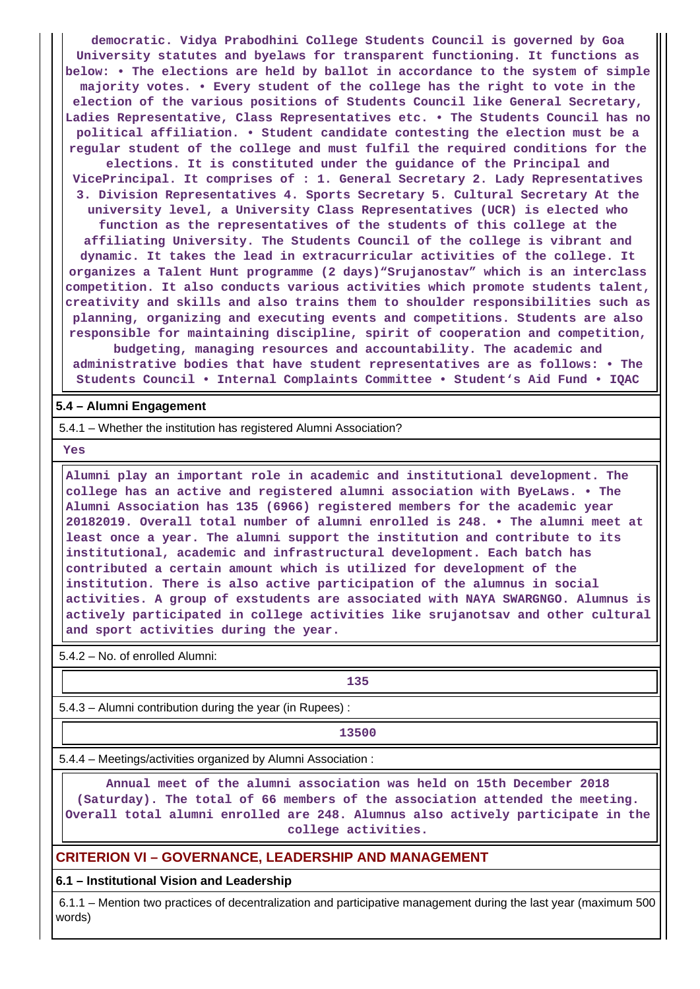**democratic. Vidya Prabodhini College Students Council is governed by Goa University statutes and byelaws for transparent functioning. It functions as below: • The elections are held by ballot in accordance to the system of simple majority votes. • Every student of the college has the right to vote in the election of the various positions of Students Council like General Secretary, Ladies Representative, Class Representatives etc. • The Students Council has no political affiliation. • Student candidate contesting the election must be a regular student of the college and must fulfil the required conditions for the elections. It is constituted under the guidance of the Principal and VicePrincipal. It comprises of : 1. General Secretary 2. Lady Representatives 3. Division Representatives 4. Sports Secretary 5. Cultural Secretary At the university level, a University Class Representatives (UCR) is elected who function as the representatives of the students of this college at the affiliating University. The Students Council of the college is vibrant and dynamic. It takes the lead in extracurricular activities of the college. It organizes a Talent Hunt programme (2 days)"Srujanostav" which is an interclass competition. It also conducts various activities which promote students talent, creativity and skills and also trains them to shoulder responsibilities such as planning, organizing and executing events and competitions. Students are also responsible for maintaining discipline, spirit of cooperation and competition, budgeting, managing resources and accountability. The academic and administrative bodies that have student representatives are as follows: • The**

**Students Council • Internal Complaints Committee • Student's Aid Fund • IQAC**

#### **5.4 – Alumni Engagement**

5.4.1 – Whether the institution has registered Alumni Association?

 **Yes**

 **Alumni play an important role in academic and institutional development. The college has an active and registered alumni association with ByeLaws. • The Alumni Association has 135 (6966) registered members for the academic year 20182019. Overall total number of alumni enrolled is 248. • The alumni meet at least once a year. The alumni support the institution and contribute to its institutional, academic and infrastructural development. Each batch has contributed a certain amount which is utilized for development of the institution. There is also active participation of the alumnus in social activities. A group of exstudents are associated with NAYA SWARGNGO. Alumnus is actively participated in college activities like srujanotsav and other cultural and sport activities during the year.**

5.4.2 – No. of enrolled Alumni:

# **135**

5.4.3 – Alumni contribution during the year (in Rupees) :

**13500**

5.4.4 – Meetings/activities organized by Alumni Association :

 **Annual meet of the alumni association was held on 15th December 2018 (Saturday). The total of 66 members of the association attended the meeting. Overall total alumni enrolled are 248. Alumnus also actively participate in the college activities.**

# **CRITERION VI – GOVERNANCE, LEADERSHIP AND MANAGEMENT**

**6.1 – Institutional Vision and Leadership**

 6.1.1 – Mention two practices of decentralization and participative management during the last year (maximum 500 words)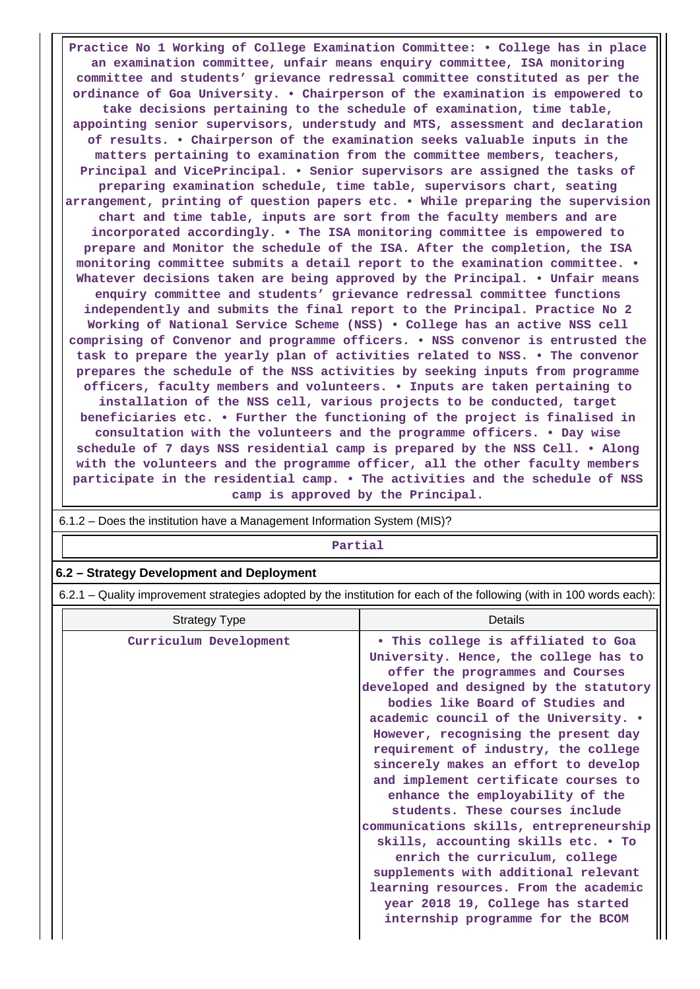**Practice No 1 Working of College Examination Committee: • College has in place an examination committee, unfair means enquiry committee, ISA monitoring committee and students' grievance redressal committee constituted as per the ordinance of Goa University. • Chairperson of the examination is empowered to take decisions pertaining to the schedule of examination, time table, appointing senior supervisors, understudy and MTS, assessment and declaration of results. • Chairperson of the examination seeks valuable inputs in the matters pertaining to examination from the committee members, teachers, Principal and VicePrincipal. • Senior supervisors are assigned the tasks of preparing examination schedule, time table, supervisors chart, seating arrangement, printing of question papers etc. • While preparing the supervision chart and time table, inputs are sort from the faculty members and are incorporated accordingly. • The ISA monitoring committee is empowered to prepare and Monitor the schedule of the ISA. After the completion, the ISA monitoring committee submits a detail report to the examination committee. • Whatever decisions taken are being approved by the Principal. • Unfair means enquiry committee and students' grievance redressal committee functions independently and submits the final report to the Principal. Practice No 2 Working of National Service Scheme (NSS) • College has an active NSS cell comprising of Convenor and programme officers. • NSS convenor is entrusted the task to prepare the yearly plan of activities related to NSS. • The convenor prepares the schedule of the NSS activities by seeking inputs from programme officers, faculty members and volunteers. • Inputs are taken pertaining to installation of the NSS cell, various projects to be conducted, target beneficiaries etc. • Further the functioning of the project is finalised in consultation with the volunteers and the programme officers. • Day wise schedule of 7 days NSS residential camp is prepared by the NSS Cell. • Along with the volunteers and the programme officer, all the other faculty members participate in the residential camp. • The activities and the schedule of NSS camp is approved by the Principal.**

| Partial                                                                                                               |                                                                                                                                                                                                                                                                                                                                                                                                                                                                                                                                                                                                                                                                                                                                                                |  |  |  |  |  |
|-----------------------------------------------------------------------------------------------------------------------|----------------------------------------------------------------------------------------------------------------------------------------------------------------------------------------------------------------------------------------------------------------------------------------------------------------------------------------------------------------------------------------------------------------------------------------------------------------------------------------------------------------------------------------------------------------------------------------------------------------------------------------------------------------------------------------------------------------------------------------------------------------|--|--|--|--|--|
| 6.2 - Strategy Development and Deployment                                                                             |                                                                                                                                                                                                                                                                                                                                                                                                                                                                                                                                                                                                                                                                                                                                                                |  |  |  |  |  |
| 6.2.1 - Quality improvement strategies adopted by the institution for each of the following (with in 100 words each): |                                                                                                                                                                                                                                                                                                                                                                                                                                                                                                                                                                                                                                                                                                                                                                |  |  |  |  |  |
| <b>Strategy Type</b>                                                                                                  | Details                                                                                                                                                                                                                                                                                                                                                                                                                                                                                                                                                                                                                                                                                                                                                        |  |  |  |  |  |
| Curriculum Development                                                                                                | . This college is affiliated to Goa<br>University. Hence, the college has to<br>offer the programmes and Courses<br>developed and designed by the statutory<br>bodies like Board of Studies and<br>academic council of the University. .<br>However, recognising the present day<br>requirement of industry, the college<br>sincerely makes an effort to develop<br>and implement certificate courses to<br>enhance the employability of the<br>students. These courses include<br>communications skills, entrepreneurship<br>skills, accounting skills etc. . To<br>enrich the curriculum, college<br>supplements with additional relevant<br>learning resources. From the academic<br>year 2018 19, College has started<br>internship programme for the BCOM |  |  |  |  |  |

6.1.2 – Does the institution have a Management Information System (MIS)?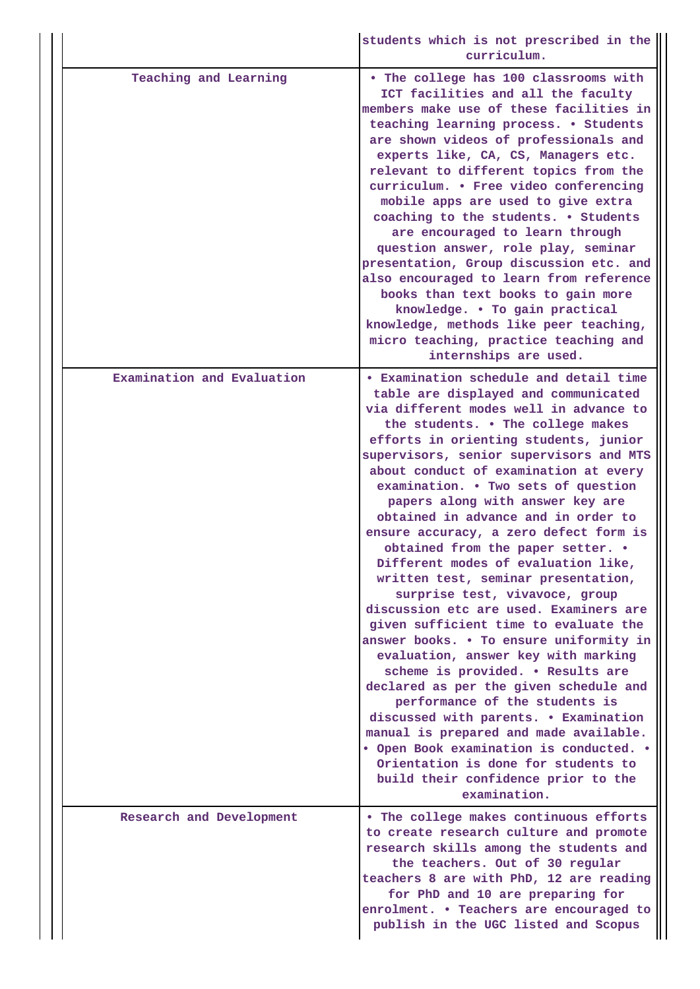|                            | students which is not prescribed in the<br>curriculum.                                                                                                                                                                                                                                                                                                                                                                                                                                                                                                                                                                                                                                                                                                                                                                                                                                                                                                                                                                                                                                                                        |
|----------------------------|-------------------------------------------------------------------------------------------------------------------------------------------------------------------------------------------------------------------------------------------------------------------------------------------------------------------------------------------------------------------------------------------------------------------------------------------------------------------------------------------------------------------------------------------------------------------------------------------------------------------------------------------------------------------------------------------------------------------------------------------------------------------------------------------------------------------------------------------------------------------------------------------------------------------------------------------------------------------------------------------------------------------------------------------------------------------------------------------------------------------------------|
| Teaching and Learning      | . The college has 100 classrooms with<br>ICT facilities and all the faculty<br>members make use of these facilities in<br>teaching learning process. . Students<br>are shown videos of professionals and<br>experts like, CA, CS, Managers etc.<br>relevant to different topics from the<br>curriculum. . Free video conferencing<br>mobile apps are used to give extra<br>coaching to the students. . Students<br>are encouraged to learn through<br>question answer, role play, seminar<br>presentation, Group discussion etc. and<br>also encouraged to learn from reference<br>books than text books to gain more<br>knowledge. . To gain practical<br>knowledge, methods like peer teaching,<br>micro teaching, practice teaching and<br>internships are used.                                                                                                                                                                                                                                                                                                                                                           |
| Examination and Evaluation | • Examination schedule and detail time<br>table are displayed and communicated<br>via different modes well in advance to<br>the students. . The college makes<br>efforts in orienting students, junior<br>supervisors, senior supervisors and MTS<br>about conduct of examination at every<br>examination. . Two sets of question<br>papers along with answer key are<br>obtained in advance and in order to<br>ensure accuracy, a zero defect form is<br>obtained from the paper setter. .<br>Different modes of evaluation like,<br>written test, seminar presentation,<br>surprise test, vivavoce, group<br>discussion etc are used. Examiners are<br>given sufficient time to evaluate the<br>answer books. . To ensure uniformity in<br>evaluation, answer key with marking<br>scheme is provided. . Results are<br>declared as per the given schedule and<br>performance of the students is<br>discussed with parents. • Examination<br>manual is prepared and made available.<br>• Open Book examination is conducted. •<br>Orientation is done for students to<br>build their confidence prior to the<br>examination. |
| Research and Development   | . The college makes continuous efforts<br>to create research culture and promote<br>research skills among the students and<br>the teachers. Out of 30 regular<br>teachers 8 are with PhD, 12 are reading<br>for PhD and 10 are preparing for<br>enrolment. . Teachers are encouraged to<br>publish in the UGC listed and Scopus                                                                                                                                                                                                                                                                                                                                                                                                                                                                                                                                                                                                                                                                                                                                                                                               |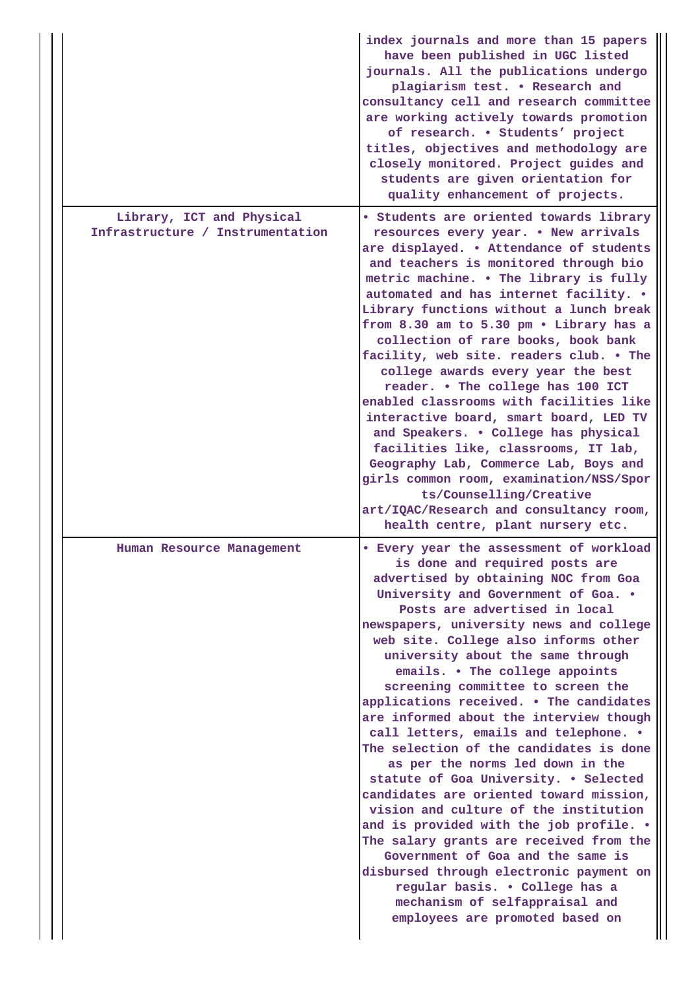|                                  | index journals and more than 15 papers<br>have been published in UGC listed<br>journals. All the publications undergo<br>plagiarism test. . Research and<br>consultancy cell and research committee<br>are working actively towards promotion<br>of research. . Students' project<br>titles, objectives and methodology are<br>closely monitored. Project guides and<br>students are given orientation for<br>quality enhancement of projects.                                                                                                                                                                                                                                                                                                                                                                                                                                                                                                                                                                   |
|----------------------------------|------------------------------------------------------------------------------------------------------------------------------------------------------------------------------------------------------------------------------------------------------------------------------------------------------------------------------------------------------------------------------------------------------------------------------------------------------------------------------------------------------------------------------------------------------------------------------------------------------------------------------------------------------------------------------------------------------------------------------------------------------------------------------------------------------------------------------------------------------------------------------------------------------------------------------------------------------------------------------------------------------------------|
| Library, ICT and Physical        | • Students are oriented towards library                                                                                                                                                                                                                                                                                                                                                                                                                                                                                                                                                                                                                                                                                                                                                                                                                                                                                                                                                                          |
| Infrastructure / Instrumentation | resources every year. . New arrivals<br>are displayed. . Attendance of students<br>and teachers is monitored through bio<br>metric machine. . The library is fully<br>automated and has internet facility. .<br>Library functions without a lunch break<br>from 8.30 am to 5.30 pm . Library has a<br>collection of rare books, book bank<br>facility, web site. readers club. . The<br>college awards every year the best<br>reader. . The college has 100 ICT<br>enabled classrooms with facilities like<br>interactive board, smart board, LED TV<br>and Speakers. . College has physical<br>facilities like, classrooms, IT lab,<br>Geography Lab, Commerce Lab, Boys and<br>girls common room, examination/NSS/Spor<br>ts/Counselling/Creative<br>art/IQAC/Research and consultancy room,                                                                                                                                                                                                                   |
|                                  | health centre, plant nursery etc.                                                                                                                                                                                                                                                                                                                                                                                                                                                                                                                                                                                                                                                                                                                                                                                                                                                                                                                                                                                |
| Human Resource Management        | • Every year the assessment of workload<br>is done and required posts are<br>advertised by obtaining NOC from Goa<br>University and Government of Goa. .<br>Posts are advertised in local<br>newspapers, university news and college<br>web site. College also informs other<br>university about the same through<br>emails. . The college appoints<br>screening committee to screen the<br>applications received. . The candidates<br>are informed about the interview though<br>call letters, emails and telephone. .<br>The selection of the candidates is done<br>as per the norms led down in the<br>statute of Goa University. . Selected<br>candidates are oriented toward mission,<br>vision and culture of the institution<br>and is provided with the job profile. .<br>The salary grants are received from the<br>Government of Goa and the same is<br>disbursed through electronic payment on<br>regular basis. . College has a<br>mechanism of selfappraisal and<br>employees are promoted based on |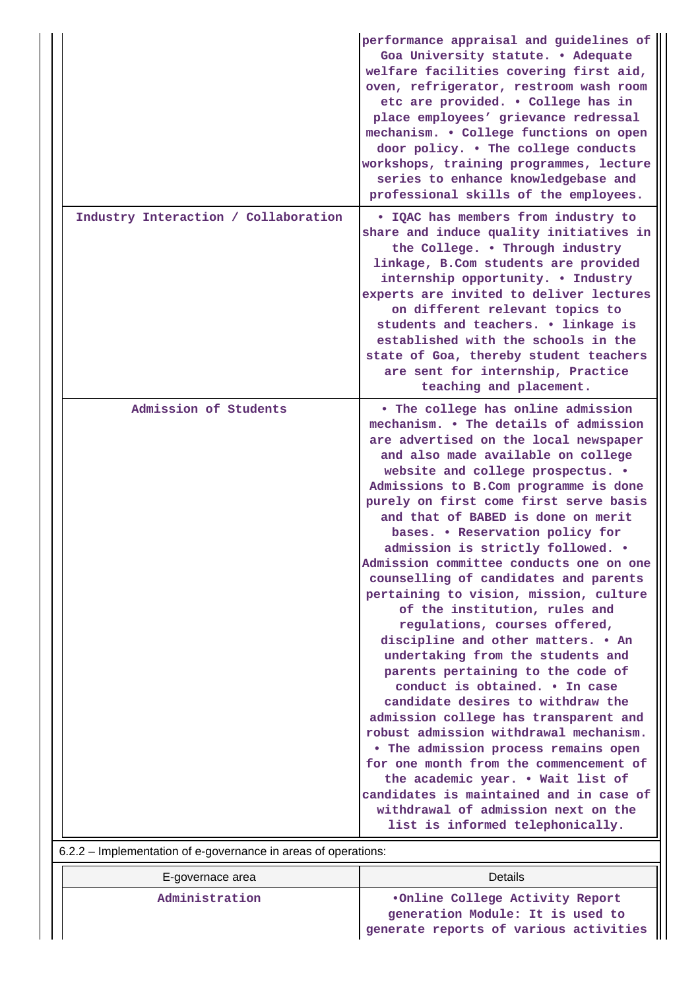|                                                                | performance appraisal and guidelines of<br>Goa University statute. . Adequate<br>welfare facilities covering first aid,<br>oven, refrigerator, restroom wash room<br>etc are provided. . College has in<br>place employees' grievance redressal<br>mechanism. . College functions on open<br>door policy. . The college conducts                                                                                                                                                                                                                                                                                                                                                                                                                                                                                                                                                                                                                                                                                                                                                    |
|----------------------------------------------------------------|-------------------------------------------------------------------------------------------------------------------------------------------------------------------------------------------------------------------------------------------------------------------------------------------------------------------------------------------------------------------------------------------------------------------------------------------------------------------------------------------------------------------------------------------------------------------------------------------------------------------------------------------------------------------------------------------------------------------------------------------------------------------------------------------------------------------------------------------------------------------------------------------------------------------------------------------------------------------------------------------------------------------------------------------------------------------------------------|
|                                                                | workshops, training programmes, lecture<br>series to enhance knowledgebase and<br>professional skills of the employees.                                                                                                                                                                                                                                                                                                                                                                                                                                                                                                                                                                                                                                                                                                                                                                                                                                                                                                                                                             |
| Industry Interaction / Collaboration                           | . IQAC has members from industry to<br>share and induce quality initiatives in<br>the College. . Through industry<br>linkage, B.Com students are provided<br>internship opportunity. . Industry<br>experts are invited to deliver lectures<br>on different relevant topics to<br>students and teachers. . linkage is<br>established with the schools in the<br>state of Goa, thereby student teachers<br>are sent for internship, Practice<br>teaching and placement.                                                                                                                                                                                                                                                                                                                                                                                                                                                                                                                                                                                                               |
| Admission of Students                                          | • The college has online admission<br>mechanism. . The details of admission<br>are advertised on the local newspaper<br>and also made available on college<br>website and college prospectus. .<br>Admissions to B.Com programme is done<br>purely on first come first serve basis<br>and that of BABED is done on merit<br>bases. . Reservation policy for<br>admission is strictly followed. .<br>Admission committee conducts one on one<br>counselling of candidates and parents<br>pertaining to vision, mission, culture<br>of the institution, rules and<br>regulations, courses offered,<br>discipline and other matters. • An<br>undertaking from the students and<br>parents pertaining to the code of<br>conduct is obtained. . In case<br>candidate desires to withdraw the<br>admission college has transparent and<br>robust admission withdrawal mechanism.<br>• The admission process remains open<br>for one month from the commencement of<br>the academic year. . Wait list of<br>candidates is maintained and in case of<br>withdrawal of admission next on the |
| 6.2.2 - Implementation of e-governance in areas of operations: | list is informed telephonically.                                                                                                                                                                                                                                                                                                                                                                                                                                                                                                                                                                                                                                                                                                                                                                                                                                                                                                                                                                                                                                                    |

| E-governace area | Details                                                             |
|------------------|---------------------------------------------------------------------|
| Administration   | .Online College Activity Report<br>generation Module: It is used to |
|                  | generate reports of various activities                              |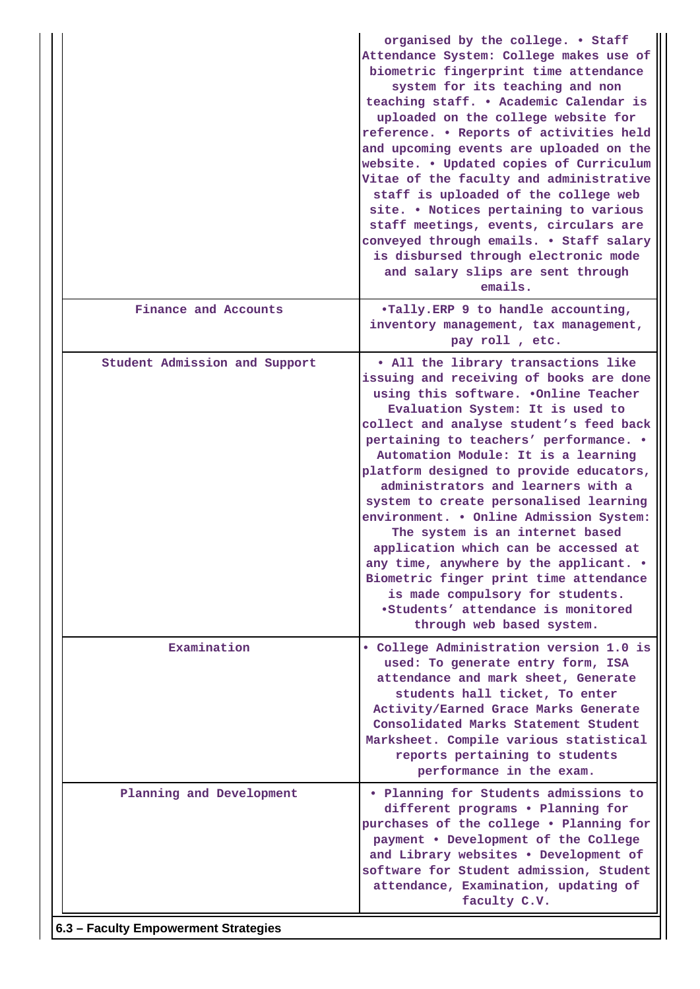|                                      | organised by the college. . Staff<br>Attendance System: College makes use of<br>biometric fingerprint time attendance<br>system for its teaching and non<br>teaching staff. . Academic Calendar is<br>uploaded on the college website for<br>reference. . Reports of activities held<br>and upcoming events are uploaded on the<br>website. . Updated copies of Curriculum<br>Vitae of the faculty and administrative<br>staff is uploaded of the college web<br>site. . Notices pertaining to various<br>staff meetings, events, circulars are<br>conveyed through emails. . Staff salary<br>is disbursed through electronic mode<br>and salary slips are sent through<br>emails.                                                 |
|--------------------------------------|------------------------------------------------------------------------------------------------------------------------------------------------------------------------------------------------------------------------------------------------------------------------------------------------------------------------------------------------------------------------------------------------------------------------------------------------------------------------------------------------------------------------------------------------------------------------------------------------------------------------------------------------------------------------------------------------------------------------------------|
| Finance and Accounts                 | .Tally.ERP 9 to handle accounting,<br>inventory management, tax management,<br>pay roll, etc.                                                                                                                                                                                                                                                                                                                                                                                                                                                                                                                                                                                                                                      |
| Student Admission and Support        | . All the library transactions like<br>issuing and receiving of books are done<br>using this software. .Online Teacher<br>Evaluation System: It is used to<br>collect and analyse student's feed back<br>pertaining to teachers' performance. .<br>Automation Module: It is a learning<br>platform designed to provide educators,<br>administrators and learners with a<br>system to create personalised learning<br>environment. . Online Admission System:<br>The system is an internet based<br>application which can be accessed at<br>any time, anywhere by the applicant. .<br>Biometric finger print time attendance<br>is made compulsory for students.<br>.Students' attendance is monitored<br>through web based system. |
| Examination                          | • College Administration version 1.0 is<br>used: To generate entry form, ISA<br>attendance and mark sheet, Generate<br>students hall ticket, To enter<br>Activity/Earned Grace Marks Generate<br>Consolidated Marks Statement Student<br>Marksheet. Compile various statistical<br>reports pertaining to students<br>performance in the exam.                                                                                                                                                                                                                                                                                                                                                                                      |
| Planning and Development             | . Planning for Students admissions to<br>different programs . Planning for<br>purchases of the college . Planning for<br>payment . Development of the College<br>and Library websites . Development of<br>software for Student admission, Student<br>attendance, Examination, updating of<br>faculty C.V.                                                                                                                                                                                                                                                                                                                                                                                                                          |
| 6.3 - Faculty Empowerment Strategies |                                                                                                                                                                                                                                                                                                                                                                                                                                                                                                                                                                                                                                                                                                                                    |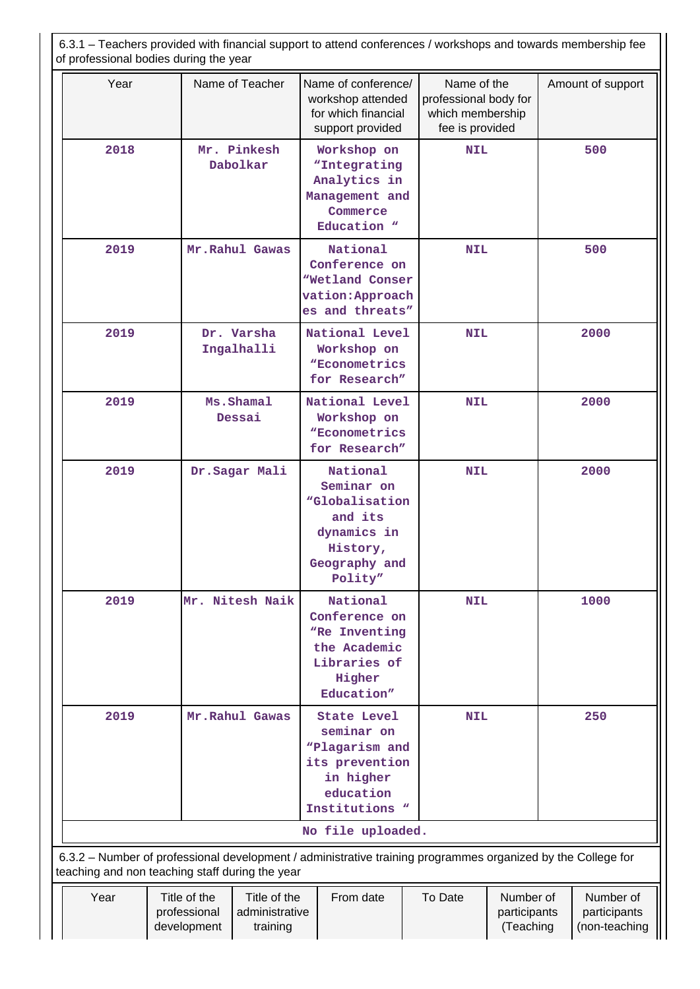| 6.3.1 – Teachers provided with financial support to attend conferences / workshops and towards membership fee<br>of professional bodies during the year |                                             |                                            |  |                                                                                                                                   |  |                                                                             |                                        |     |                                            |  |      |  |  |  |  |  |  |  |  |  |  |  |      |
|---------------------------------------------------------------------------------------------------------------------------------------------------------|---------------------------------------------|--------------------------------------------|--|-----------------------------------------------------------------------------------------------------------------------------------|--|-----------------------------------------------------------------------------|----------------------------------------|-----|--------------------------------------------|--|------|--|--|--|--|--|--|--|--|--|--|--|------|
| Year                                                                                                                                                    |                                             | Name of Teacher                            |  | Name of conference/<br>workshop attended<br>for which financial<br>support provided                                               |  | Name of the<br>professional body for<br>which membership<br>fee is provided |                                        |     | Amount of support                          |  |      |  |  |  |  |  |  |  |  |  |  |  |      |
| 2018                                                                                                                                                    |                                             | Mr. Pinkesh<br>Dabolkar                    |  | Workshop on<br>"Integrating<br>Analytics in<br>Management and<br>Commerce<br>Education "                                          |  | <b>NIL</b>                                                                  |                                        |     |                                            |  | 500  |  |  |  |  |  |  |  |  |  |  |  |      |
| 2019                                                                                                                                                    |                                             | Mr. Rahul Gawas                            |  | National<br>Conference on<br>"Wetland Conser<br>vation: Approach<br>es and threats"                                               |  | <b>NIL</b>                                                                  |                                        |     | 500                                        |  |      |  |  |  |  |  |  |  |  |  |  |  |      |
| 2019                                                                                                                                                    |                                             | Dr. Varsha<br>Ingalhalli                   |  | National Level<br>Workshop on<br><i>NECONOMetrics</i><br>for Research"                                                            |  | <b>NIL</b>                                                                  |                                        |     | 2000                                       |  |      |  |  |  |  |  |  |  |  |  |  |  |      |
| 2019                                                                                                                                                    |                                             | Ms.Shamal<br>Dessai                        |  | National Level<br>Workshop on<br><i>NECONOMETICS</i><br>for Research"                                                             |  | <b>NIL</b>                                                                  |                                        |     |                                            |  |      |  |  |  |  |  |  |  |  |  |  |  | 2000 |
| 2019                                                                                                                                                    |                                             | Dr.Sagar Mali                              |  | National<br>Seminar on<br>"Globalisation<br>and its<br>dynamics in<br>History,<br>Geography and<br>Polity"                        |  | <b>NIL</b>                                                                  |                                        |     |                                            |  | 2000 |  |  |  |  |  |  |  |  |  |  |  |      |
| 2019                                                                                                                                                    | Mr. Nitesh Naik                             |                                            |  | National<br>Conference on<br>"Re Inventing<br>the Academic<br>Libraries of<br>Higher<br>Education"                                |  | <b>NIL</b>                                                                  |                                        |     |                                            |  | 1000 |  |  |  |  |  |  |  |  |  |  |  |      |
| 2019                                                                                                                                                    |                                             | Mr.Rahul Gawas                             |  | <b>State Level</b><br>seminar on<br>"Plagarism and<br>its prevention<br>in higher<br>education<br>Institutions "                  |  | <b>NIL</b>                                                                  |                                        | 250 |                                            |  |      |  |  |  |  |  |  |  |  |  |  |  |      |
|                                                                                                                                                         |                                             |                                            |  | No file uploaded.<br>6.3.2 - Number of professional development / administrative training programmes organized by the College for |  |                                                                             |                                        |     |                                            |  |      |  |  |  |  |  |  |  |  |  |  |  |      |
| teaching and non teaching staff during the year                                                                                                         |                                             |                                            |  |                                                                                                                                   |  |                                                                             |                                        |     |                                            |  |      |  |  |  |  |  |  |  |  |  |  |  |      |
| Year                                                                                                                                                    | Title of the<br>professional<br>development | Title of the<br>administrative<br>training |  | From date                                                                                                                         |  | To Date                                                                     | Number of<br>participants<br>(Teaching |     | Number of<br>participants<br>(non-teaching |  |      |  |  |  |  |  |  |  |  |  |  |  |      |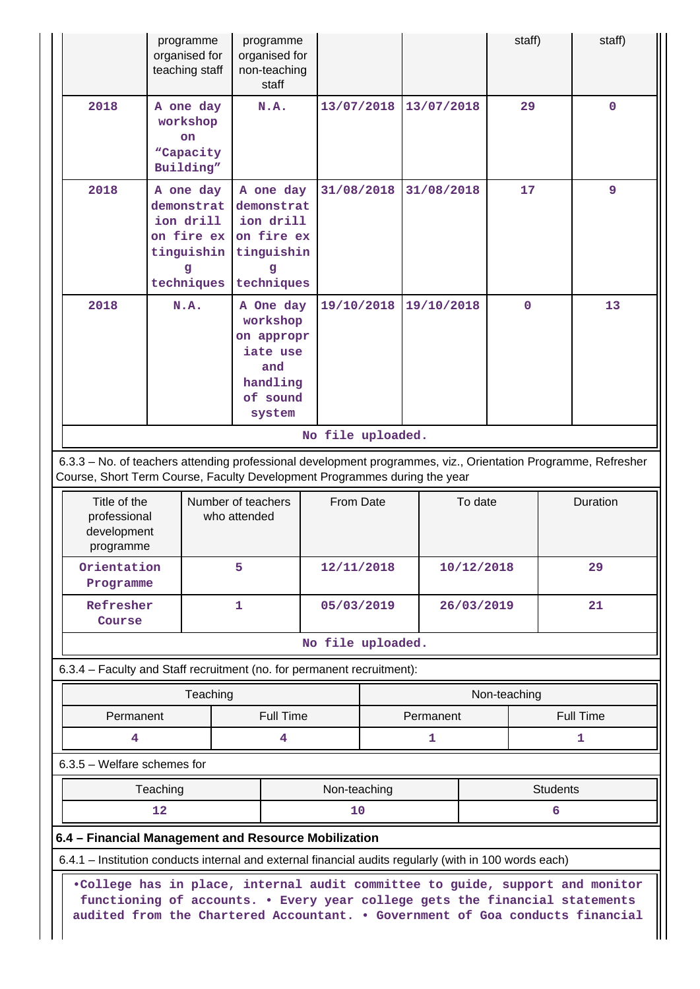|                                                                                                                                                                                                                                                                                                                                                         | programme<br>organised for<br>teaching staff                                   |                                    | programme<br>organised for<br>non-teaching<br>staff                                      |                   |  |                |         | staff)       |                 | staff)                |
|---------------------------------------------------------------------------------------------------------------------------------------------------------------------------------------------------------------------------------------------------------------------------------------------------------------------------------------------------------|--------------------------------------------------------------------------------|------------------------------------|------------------------------------------------------------------------------------------|-------------------|--|----------------|---------|--------------|-----------------|-----------------------|
| 2018                                                                                                                                                                                                                                                                                                                                                    | A one day<br>workshop<br>on<br>"Capacity<br>Building"                          |                                    | N.A.                                                                                     | 13/07/2018        |  | 13/07/2018     |         | 29           |                 | $\mathbf 0$           |
| 2018                                                                                                                                                                                                                                                                                                                                                    | A one day<br>demonstrat<br>ion drill<br>on fire ex<br>tinguishin<br>techniques |                                    | A one day<br>demonstrat<br>ion drill<br>on fire ex<br>tinguishin<br>techniques           | 31/08/2018        |  | 31/08/2018     |         | 17           |                 | 9                     |
| 2018                                                                                                                                                                                                                                                                                                                                                    | N.A.                                                                           |                                    | A One day<br>workshop<br>on appropr<br>iate use<br>and<br>handling<br>of sound<br>system | 19/10/2018        |  | 19/10/2018     |         | $\mathbf{O}$ |                 | 13                    |
|                                                                                                                                                                                                                                                                                                                                                         |                                                                                |                                    |                                                                                          | No file uploaded. |  |                |         |              |                 |                       |
| 6.3.3 - No. of teachers attending professional development programmes, viz., Orientation Programme, Refresher<br>Course, Short Term Course, Faculty Development Programmes during the year                                                                                                                                                              |                                                                                |                                    |                                                                                          |                   |  |                |         |              |                 |                       |
| Title of the<br>professional<br>development<br>programme                                                                                                                                                                                                                                                                                                |                                                                                | Number of teachers<br>who attended |                                                                                          | From Date         |  |                | To date |              |                 | Duration              |
| Orientation<br>Programme                                                                                                                                                                                                                                                                                                                                |                                                                                | 5                                  |                                                                                          | 12/11/2018        |  | 10/12/2018     |         |              |                 | 29                    |
| Refresher<br>Course                                                                                                                                                                                                                                                                                                                                     |                                                                                | $\mathbf{1}$                       |                                                                                          | 05/03/2019        |  |                |         | 26/03/2019   |                 | 21                    |
|                                                                                                                                                                                                                                                                                                                                                         |                                                                                |                                    |                                                                                          | No file uploaded. |  |                |         |              |                 |                       |
| 6.3.4 - Faculty and Staff recruitment (no. for permanent recruitment):                                                                                                                                                                                                                                                                                  |                                                                                |                                    |                                                                                          |                   |  |                |         |              |                 |                       |
|                                                                                                                                                                                                                                                                                                                                                         |                                                                                | Teaching                           |                                                                                          |                   |  |                |         | Non-teaching |                 |                       |
| Permanent<br>4                                                                                                                                                                                                                                                                                                                                          |                                                                                |                                    | <b>Full Time</b><br>4                                                                    |                   |  | Permanent<br>1 |         |              |                 | <b>Full Time</b><br>1 |
| 6.3.5 - Welfare schemes for                                                                                                                                                                                                                                                                                                                             |                                                                                |                                    |                                                                                          |                   |  |                |         |              |                 |                       |
|                                                                                                                                                                                                                                                                                                                                                         | Teaching                                                                       |                                    |                                                                                          | Non-teaching      |  |                |         |              | <b>Students</b> |                       |
|                                                                                                                                                                                                                                                                                                                                                         | $12 \overline{ }$                                                              |                                    |                                                                                          | 10                |  |                |         |              | 6               |                       |
| 6.4 - Financial Management and Resource Mobilization                                                                                                                                                                                                                                                                                                    |                                                                                |                                    |                                                                                          |                   |  |                |         |              |                 |                       |
|                                                                                                                                                                                                                                                                                                                                                         |                                                                                |                                    |                                                                                          |                   |  |                |         |              |                 |                       |
| 6.4.1 - Institution conducts internal and external financial audits regularly (with in 100 words each)<br>.College has in place, internal audit committee to guide, support and monitor<br>functioning of accounts. . Every year college gets the financial statements<br>audited from the Chartered Accountant. . Government of Goa conducts financial |                                                                                |                                    |                                                                                          |                   |  |                |         |              |                 |                       |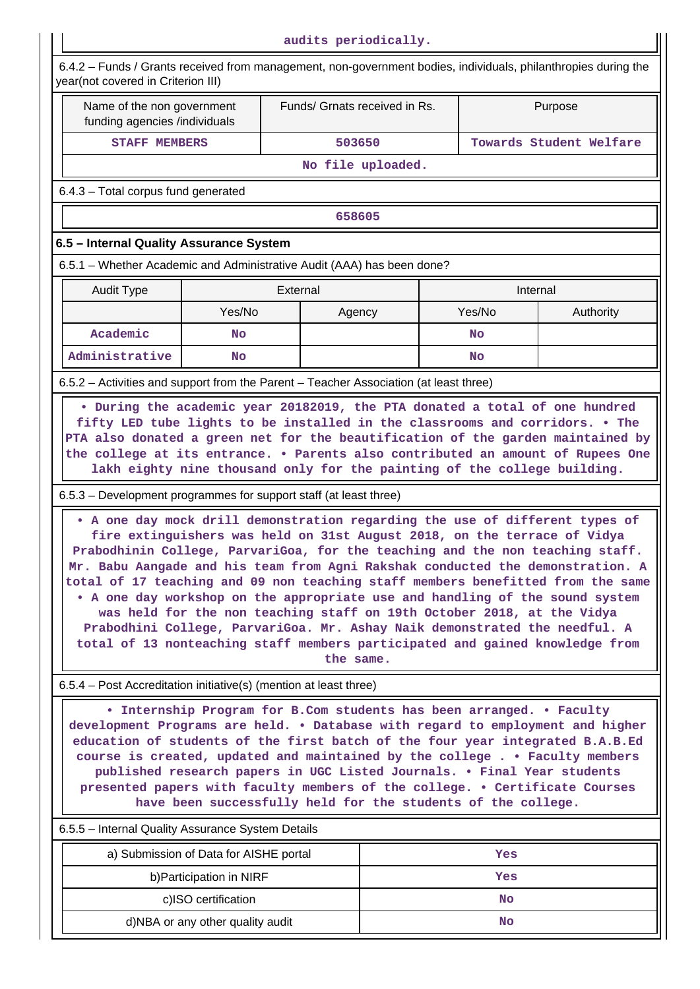| audits periodically.                                                                                                                                                                                                                                                                                                                                                                                                                                                                                                                                                                                                                                                                                                                                                                                                                                                                                                                                                       |                                  |          |                               |                   |         |           |                         |
|----------------------------------------------------------------------------------------------------------------------------------------------------------------------------------------------------------------------------------------------------------------------------------------------------------------------------------------------------------------------------------------------------------------------------------------------------------------------------------------------------------------------------------------------------------------------------------------------------------------------------------------------------------------------------------------------------------------------------------------------------------------------------------------------------------------------------------------------------------------------------------------------------------------------------------------------------------------------------|----------------------------------|----------|-------------------------------|-------------------|---------|-----------|-------------------------|
| 6.4.2 - Funds / Grants received from management, non-government bodies, individuals, philanthropies during the<br>year(not covered in Criterion III)                                                                                                                                                                                                                                                                                                                                                                                                                                                                                                                                                                                                                                                                                                                                                                                                                       |                                  |          |                               |                   |         |           |                         |
| Name of the non government<br>funding agencies /individuals                                                                                                                                                                                                                                                                                                                                                                                                                                                                                                                                                                                                                                                                                                                                                                                                                                                                                                                |                                  |          | Funds/ Grnats received in Rs. |                   | Purpose |           |                         |
| <b>STAFF MEMBERS</b>                                                                                                                                                                                                                                                                                                                                                                                                                                                                                                                                                                                                                                                                                                                                                                                                                                                                                                                                                       |                                  |          | 503650                        |                   |         |           | Towards Student Welfare |
|                                                                                                                                                                                                                                                                                                                                                                                                                                                                                                                                                                                                                                                                                                                                                                                                                                                                                                                                                                            |                                  |          |                               | No file uploaded. |         |           |                         |
| 6.4.3 - Total corpus fund generated                                                                                                                                                                                                                                                                                                                                                                                                                                                                                                                                                                                                                                                                                                                                                                                                                                                                                                                                        |                                  |          |                               |                   |         |           |                         |
|                                                                                                                                                                                                                                                                                                                                                                                                                                                                                                                                                                                                                                                                                                                                                                                                                                                                                                                                                                            |                                  |          | 658605                        |                   |         |           |                         |
| 6.5 - Internal Quality Assurance System                                                                                                                                                                                                                                                                                                                                                                                                                                                                                                                                                                                                                                                                                                                                                                                                                                                                                                                                    |                                  |          |                               |                   |         |           |                         |
| 6.5.1 - Whether Academic and Administrative Audit (AAA) has been done?                                                                                                                                                                                                                                                                                                                                                                                                                                                                                                                                                                                                                                                                                                                                                                                                                                                                                                     |                                  |          |                               |                   |         |           |                         |
| <b>Audit Type</b>                                                                                                                                                                                                                                                                                                                                                                                                                                                                                                                                                                                                                                                                                                                                                                                                                                                                                                                                                          |                                  | External |                               |                   |         | Internal  |                         |
|                                                                                                                                                                                                                                                                                                                                                                                                                                                                                                                                                                                                                                                                                                                                                                                                                                                                                                                                                                            | Yes/No                           |          | Agency                        |                   |         | Yes/No    | Authority               |
| Academic                                                                                                                                                                                                                                                                                                                                                                                                                                                                                                                                                                                                                                                                                                                                                                                                                                                                                                                                                                   | No                               |          |                               |                   |         | <b>No</b> |                         |
| Administrative                                                                                                                                                                                                                                                                                                                                                                                                                                                                                                                                                                                                                                                                                                                                                                                                                                                                                                                                                             | No                               |          |                               |                   |         | No        |                         |
| 6.5.2 - Activities and support from the Parent - Teacher Association (at least three)                                                                                                                                                                                                                                                                                                                                                                                                                                                                                                                                                                                                                                                                                                                                                                                                                                                                                      |                                  |          |                               |                   |         |           |                         |
| the college at its entrance. . Parents also contributed an amount of Rupees One<br>lakh eighty nine thousand only for the painting of the college building.<br>6.5.3 – Development programmes for support staff (at least three)<br>. A one day mock drill demonstration regarding the use of different types of<br>fire extinguishers was held on 31st August 2018, on the terrace of Vidya<br>Prabodhinin College, ParvariGoa, for the teaching and the non teaching staff.<br>Mr. Babu Aangade and his team from Agni Rakshak conducted the demonstration. A<br>total of 17 teaching and 09 non teaching staff members benefitted from the same<br>• A one day workshop on the appropriate use and handling of the sound system<br>was held for the non teaching staff on 19th October 2018, at the Vidya<br>Prabodhini College, ParvariGoa. Mr. Ashay Naik demonstrated the needful. A<br>total of 13 nonteaching staff members participated and gained knowledge from |                                  |          | the same.                     |                   |         |           |                         |
| 6.5.4 – Post Accreditation initiative(s) (mention at least three)                                                                                                                                                                                                                                                                                                                                                                                                                                                                                                                                                                                                                                                                                                                                                                                                                                                                                                          |                                  |          |                               |                   |         |           |                         |
| • Internship Program for B.Com students has been arranged. • Faculty<br>development Programs are held. . Database with regard to employment and higher<br>education of students of the first batch of the four year integrated B.A.B.Ed<br>course is created, updated and maintained by the college. . Faculty members<br>published research papers in UGC Listed Journals. . Final Year students<br>presented papers with faculty members of the college. . Certificate Courses<br>have been successfully held for the students of the college.                                                                                                                                                                                                                                                                                                                                                                                                                           |                                  |          |                               |                   |         |           |                         |
| 6.5.5 - Internal Quality Assurance System Details                                                                                                                                                                                                                                                                                                                                                                                                                                                                                                                                                                                                                                                                                                                                                                                                                                                                                                                          |                                  |          |                               |                   |         |           |                         |
| a) Submission of Data for AISHE portal                                                                                                                                                                                                                                                                                                                                                                                                                                                                                                                                                                                                                                                                                                                                                                                                                                                                                                                                     |                                  |          |                               |                   |         | Yes       |                         |
|                                                                                                                                                                                                                                                                                                                                                                                                                                                                                                                                                                                                                                                                                                                                                                                                                                                                                                                                                                            | b) Participation in NIRF         |          |                               |                   |         | Yes       |                         |
|                                                                                                                                                                                                                                                                                                                                                                                                                                                                                                                                                                                                                                                                                                                                                                                                                                                                                                                                                                            | c)ISO certification              |          |                               |                   |         | <b>No</b> |                         |
|                                                                                                                                                                                                                                                                                                                                                                                                                                                                                                                                                                                                                                                                                                                                                                                                                                                                                                                                                                            | d)NBA or any other quality audit |          |                               |                   |         | No        |                         |
|                                                                                                                                                                                                                                                                                                                                                                                                                                                                                                                                                                                                                                                                                                                                                                                                                                                                                                                                                                            |                                  |          |                               |                   |         |           |                         |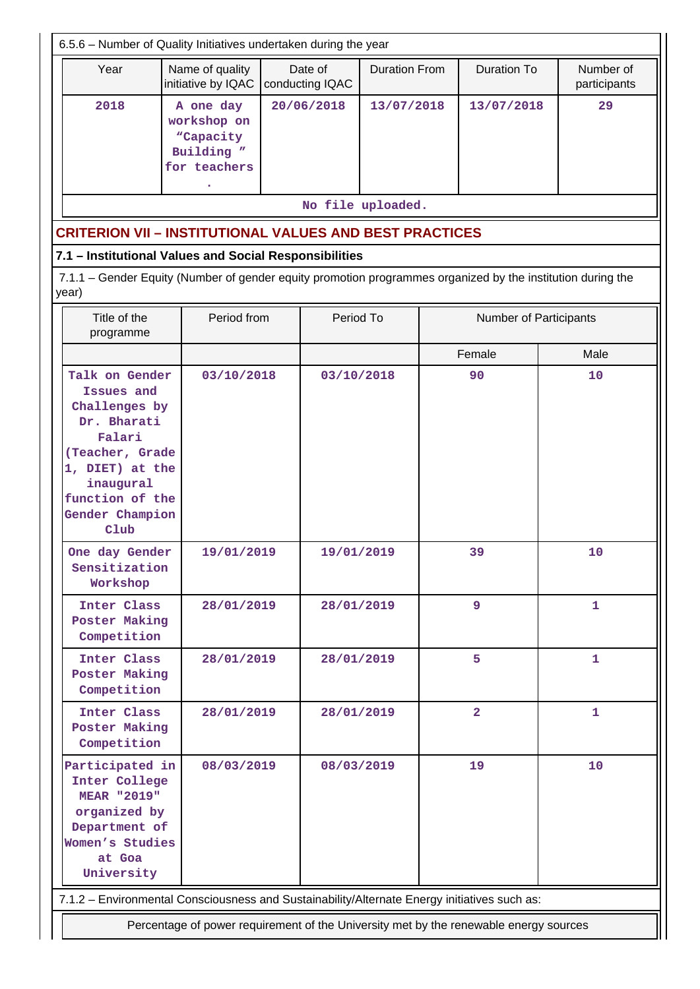| 6.5.6 - Number of Quality Initiatives undertaken during the year                                                                                                        |                                                                     |                            |            |                      |  |                               |                           |  |  |
|-------------------------------------------------------------------------------------------------------------------------------------------------------------------------|---------------------------------------------------------------------|----------------------------|------------|----------------------|--|-------------------------------|---------------------------|--|--|
| Year                                                                                                                                                                    | Name of quality<br>initiative by IQAC                               | Date of<br>conducting IQAC |            | <b>Duration From</b> |  | <b>Duration To</b>            | Number of<br>participants |  |  |
| 2018                                                                                                                                                                    | A one day<br>workshop on<br>"Capacity<br>Building "<br>for teachers |                            | 20/06/2018 | 13/07/2018           |  | 13/07/2018                    | 29                        |  |  |
|                                                                                                                                                                         |                                                                     |                            |            | No file uploaded.    |  |                               |                           |  |  |
| <b>CRITERION VII - INSTITUTIONAL VALUES AND BEST PRACTICES</b>                                                                                                          |                                                                     |                            |            |                      |  |                               |                           |  |  |
| 7.1 - Institutional Values and Social Responsibilities                                                                                                                  |                                                                     |                            |            |                      |  |                               |                           |  |  |
| 7.1.1 – Gender Equity (Number of gender equity promotion programmes organized by the institution during the<br>year)                                                    |                                                                     |                            |            |                      |  |                               |                           |  |  |
| Title of the<br>programme                                                                                                                                               | Period from                                                         |                            | Period To  |                      |  | <b>Number of Participants</b> |                           |  |  |
|                                                                                                                                                                         |                                                                     |                            |            |                      |  | Female                        | Male                      |  |  |
| Talk on Gender<br>Issues and<br>Challenges by<br>Dr. Bharati<br>Falari<br>(Teacher, Grade<br>1, DIET) at the<br>inaugural<br>function of the<br>Gender Champion<br>C1ub | 03/10/2018                                                          |                            | 03/10/2018 |                      |  | 90                            | 10                        |  |  |
| One day Gender<br>Sensitization<br>Workshop                                                                                                                             | 19/01/2019                                                          |                            | 19/01/2019 |                      |  | 39                            | 10                        |  |  |
| Inter Class<br>Poster Making<br>Competition                                                                                                                             | 28/01/2019                                                          |                            | 28/01/2019 |                      |  | 9                             | 1                         |  |  |
| Inter Class<br>Poster Making<br>Competition                                                                                                                             | 28/01/2019                                                          |                            | 28/01/2019 |                      |  | 5                             | $\mathbf{1}$              |  |  |
| Inter Class<br>Poster Making<br>Competition                                                                                                                             | 28/01/2019                                                          |                            | 28/01/2019 |                      |  | $\overline{\mathbf{2}}$       | $\mathbf{1}$              |  |  |
| Participated in<br>Inter College<br><b>MEAR "2019"</b><br>organized by<br>Department of<br>Women's Studies<br>at Goa<br>University                                      | 08/03/2019                                                          |                            | 08/03/2019 |                      |  | 19                            | 10                        |  |  |
| 7.1.2 - Environmental Consciousness and Sustainability/Alternate Energy initiatives such as:                                                                            |                                                                     |                            |            |                      |  |                               |                           |  |  |
| Percentage of power requirement of the University met by the renewable energy sources                                                                                   |                                                                     |                            |            |                      |  |                               |                           |  |  |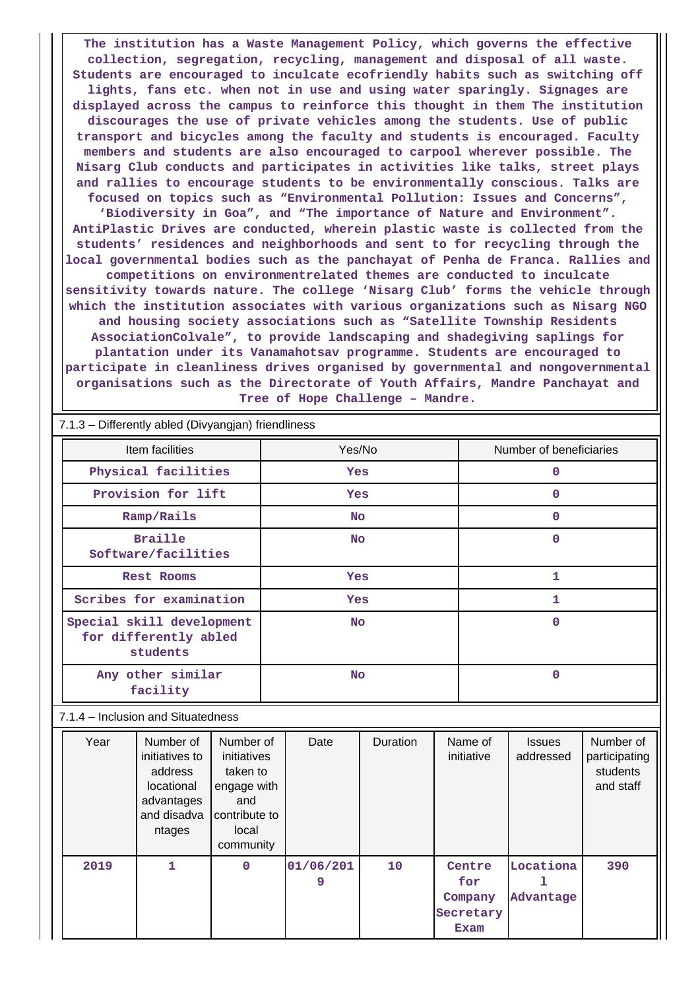**The institution has a Waste Management Policy, which governs the effective collection, segregation, recycling, management and disposal of all waste. Students are encouraged to inculcate ecofriendly habits such as switching off lights, fans etc. when not in use and using water sparingly. Signages are displayed across the campus to reinforce this thought in them The institution discourages the use of private vehicles among the students. Use of public transport and bicycles among the faculty and students is encouraged. Faculty members and students are also encouraged to carpool wherever possible. The Nisarg Club conducts and participates in activities like talks, street plays and rallies to encourage students to be environmentally conscious. Talks are focused on topics such as "Environmental Pollution: Issues and Concerns", 'Biodiversity in Goa", and "The importance of Nature and Environment". AntiPlastic Drives are conducted, wherein plastic waste is collected from the students' residences and neighborhoods and sent to for recycling through the local governmental bodies such as the panchayat of Penha de Franca. Rallies and competitions on environmentrelated themes are conducted to inculcate sensitivity towards nature. The college 'Nisarg Club' forms the vehicle through which the institution associates with various organizations such as Nisarg NGO and housing society associations such as "Satellite Township Residents AssociationColvale", to provide landscaping and shadegiving saplings for plantation under its Vanamahotsav programme. Students are encouraged to participate in cleanliness drives organised by governmental and nongovernmental organisations such as the Directorate of Youth Affairs, Mandre Panchayat and Tree of Hope Challenge – Mandre.**

|                                    | $5.1$ , $3.5.0$ , $3.5.0$ , $3.0$ , $3.0$ , $3.0$ , $3.0$ , $3.0$ , $3.0$ , $3.0$ , $3.0$ , $3.0$ , $3.0$ , $3.0$ , $3.0$ , $3.0$ , $3.0$ , $3.0$ , $3.0$ , $3.0$ , $3.0$ , $3.0$ , $3.0$ , $3.0$ , $3.0$ , $3.0$ , $3.0$ , $3.0$ , $3.0$ , $3.0$ , $3.0$ , |                                                                                                                                                                                                  |             |           |                |          |                         |                                               |                              |                                                     |
|------------------------------------|-------------------------------------------------------------------------------------------------------------------------------------------------------------------------------------------------------------------------------------------------------------|--------------------------------------------------------------------------------------------------------------------------------------------------------------------------------------------------|-------------|-----------|----------------|----------|-------------------------|-----------------------------------------------|------------------------------|-----------------------------------------------------|
| Item facilities                    |                                                                                                                                                                                                                                                             |                                                                                                                                                                                                  | Yes/No      |           |                |          | Number of beneficiaries |                                               |                              |                                                     |
|                                    | Physical facilities                                                                                                                                                                                                                                         |                                                                                                                                                                                                  |             | Yes       |                |          |                         | $\mathbf 0$                                   |                              |                                                     |
|                                    |                                                                                                                                                                                                                                                             | Provision for lift                                                                                                                                                                               |             | Yes       |                |          |                         | 0                                             |                              |                                                     |
|                                    |                                                                                                                                                                                                                                                             | Ramp/Rails                                                                                                                                                                                       |             |           | <b>No</b>      |          | $\mathbf{0}$            |                                               |                              |                                                     |
|                                    |                                                                                                                                                                                                                                                             | <b>Braille</b><br>Software/facilities                                                                                                                                                            |             | <b>No</b> |                |          |                         | $\mathbf 0$                                   |                              |                                                     |
|                                    |                                                                                                                                                                                                                                                             | <b>Rest Rooms</b>                                                                                                                                                                                |             | Yes       |                |          |                         | $\mathbf{1}$                                  |                              |                                                     |
|                                    |                                                                                                                                                                                                                                                             | Scribes for examination                                                                                                                                                                          |             | Yes       |                |          |                         | 1                                             |                              |                                                     |
|                                    | Special skill development<br>for differently abled<br>students                                                                                                                                                                                              |                                                                                                                                                                                                  |             | <b>No</b> |                |          |                         | $\mathbf{0}$                                  |                              |                                                     |
|                                    | Any other similar<br>facility                                                                                                                                                                                                                               |                                                                                                                                                                                                  |             | <b>No</b> |                |          | $\mathbf 0$             |                                               |                              |                                                     |
| 7.1.4 - Inclusion and Situatedness |                                                                                                                                                                                                                                                             |                                                                                                                                                                                                  |             |           |                |          |                         |                                               |                              |                                                     |
|                                    | Year                                                                                                                                                                                                                                                        | Number of<br>Number of<br>initiatives<br>initiatives to<br>address<br>taken to<br>locational<br>engage with<br>advantages<br>and<br>and disadva<br>contribute to<br>local<br>ntages<br>community |             |           | Date           | Duration |                         | Name of<br>initiative                         | <b>Issues</b><br>addressed   | Number of<br>participating<br>students<br>and staff |
|                                    | 2019                                                                                                                                                                                                                                                        | $\mathbf{1}$                                                                                                                                                                                     | $\mathbf 0$ |           | 01/06/201<br>9 | 10       |                         | Centre<br>for<br>Company<br>Secretary<br>Exam | Locationa<br>ı.<br>Advantage | 390                                                 |

7.1.3 – Differently abled (Divyangjan) friendliness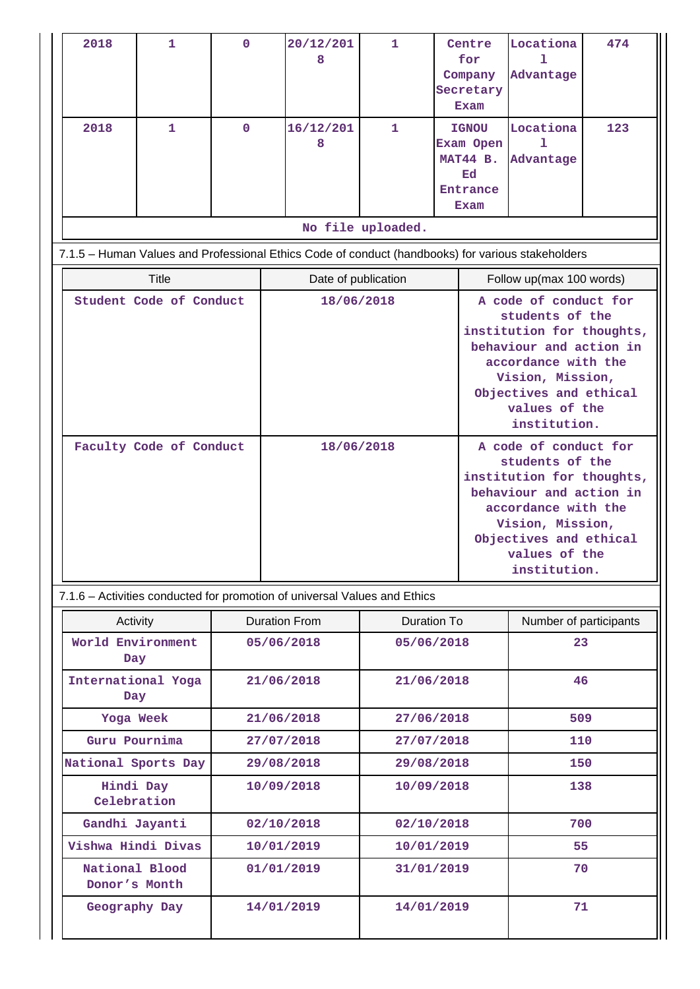| 2018                                                                                              | 1                                                                         | $\mathbf{O}$ |                                            | 20/12/201<br>8           | 1                 |                                                                 | Centre<br>for<br>Company<br>Secretary<br>Exam                                                                                                                                                          | Locationa<br>ı<br>Advantage | 474 |
|---------------------------------------------------------------------------------------------------|---------------------------------------------------------------------------|--------------|--------------------------------------------|--------------------------|-------------------|-----------------------------------------------------------------|--------------------------------------------------------------------------------------------------------------------------------------------------------------------------------------------------------|-----------------------------|-----|
| 2018                                                                                              | 1                                                                         | $\mathbf{O}$ |                                            | 16/12/201<br>8           | 1                 | <b>IGNOU</b><br>Exam Open<br>MAT44 B.<br>Ed<br>Entrance<br>Exam |                                                                                                                                                                                                        | Locationa<br>ı<br>Advantage | 123 |
|                                                                                                   |                                                                           |              |                                            |                          | No file uploaded. |                                                                 |                                                                                                                                                                                                        |                             |     |
| 7.1.5 - Human Values and Professional Ethics Code of conduct (handbooks) for various stakeholders |                                                                           |              |                                            |                          |                   |                                                                 |                                                                                                                                                                                                        |                             |     |
|                                                                                                   | <b>Title</b>                                                              |              |                                            | Date of publication      |                   | Follow up(max 100 words)                                        |                                                                                                                                                                                                        |                             |     |
|                                                                                                   | Student Code of Conduct                                                   |              | 18/06/2018                                 |                          |                   |                                                                 | A code of conduct for<br>students of the<br>institution for thoughts,<br>behaviour and action in<br>accordance with the<br>Vision, Mission,<br>Objectives and ethical<br>values of the<br>institution. |                             |     |
| Faculty Code of Conduct                                                                           |                                                                           |              |                                            | 18/06/2018               |                   |                                                                 | A code of conduct for<br>students of the<br>institution for thoughts,<br>behaviour and action in<br>accordance with the<br>Vision, Mission,<br>Objectives and ethical<br>values of the<br>institution. |                             |     |
|                                                                                                   | 7.1.6 - Activities conducted for promotion of universal Values and Ethics |              |                                            |                          |                   |                                                                 |                                                                                                                                                                                                        |                             |     |
| Activity                                                                                          |                                                                           |              | <b>Duration From</b><br><b>Duration To</b> |                          |                   |                                                                 |                                                                                                                                                                                                        | Number of participants      |     |
| World Environment<br>Day                                                                          |                                                                           |              | 05/06/2018<br>05/06/2018                   |                          |                   |                                                                 |                                                                                                                                                                                                        | 23                          |     |
| International Yoga<br>Day                                                                         |                                                                           |              | 21/06/2018                                 |                          |                   | 21/06/2018                                                      |                                                                                                                                                                                                        | 46                          |     |
|                                                                                                   | Yoga Week                                                                 |              |                                            | 21/06/2018<br>27/06/2018 |                   |                                                                 |                                                                                                                                                                                                        |                             | 509 |
|                                                                                                   | Guru Pournima                                                             |              |                                            | 27/07/2018<br>27/07/2018 |                   |                                                                 | 110                                                                                                                                                                                                    |                             |     |
| National Sports Day                                                                               |                                                                           |              | 29/08/2018<br>29/08/2018                   |                          |                   | 150                                                             |                                                                                                                                                                                                        |                             |     |
|                                                                                                   | Hindi Day<br>Celebration                                                  |              |                                            | 10/09/2018               | 10/09/2018        |                                                                 |                                                                                                                                                                                                        | 138                         |     |
| Gandhi Jayanti                                                                                    |                                                                           |              |                                            | 02/10/2018               | 02/10/2018        |                                                                 |                                                                                                                                                                                                        | 700                         |     |
| Vishwa Hindi Divas                                                                                |                                                                           |              |                                            | 10/01/2019               | 10/01/2019        |                                                                 |                                                                                                                                                                                                        | 55                          |     |
| National Blood<br>Donor's Month                                                                   |                                                                           |              | 01/01/2019<br>31/01/2019                   |                          |                   |                                                                 |                                                                                                                                                                                                        | 70                          |     |
|                                                                                                   | Geography Day                                                             |              |                                            | 14/01/2019               | 14/01/2019        |                                                                 | 71                                                                                                                                                                                                     |                             |     |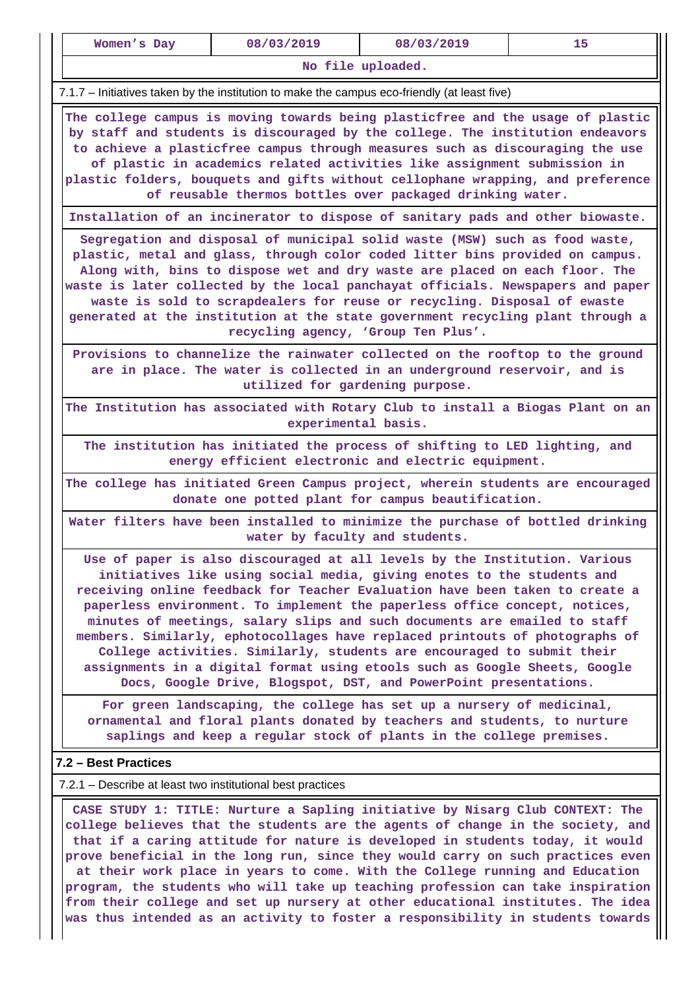| Women's Day                                                                                                                                                                                                                                                                                                                                                                                                                                                                                                                                                                                                                                                                                                 | 08/03/2019                                                                                                                            | 08/03/2019                                                                     | 15 |  |  |  |  |  |
|-------------------------------------------------------------------------------------------------------------------------------------------------------------------------------------------------------------------------------------------------------------------------------------------------------------------------------------------------------------------------------------------------------------------------------------------------------------------------------------------------------------------------------------------------------------------------------------------------------------------------------------------------------------------------------------------------------------|---------------------------------------------------------------------------------------------------------------------------------------|--------------------------------------------------------------------------------|----|--|--|--|--|--|
|                                                                                                                                                                                                                                                                                                                                                                                                                                                                                                                                                                                                                                                                                                             |                                                                                                                                       | No file uploaded.                                                              |    |  |  |  |  |  |
| 7.1.7 – Initiatives taken by the institution to make the campus eco-friendly (at least five)                                                                                                                                                                                                                                                                                                                                                                                                                                                                                                                                                                                                                |                                                                                                                                       |                                                                                |    |  |  |  |  |  |
| The college campus is moving towards being plasticfree and the usage of plastic<br>by staff and students is discouraged by the college. The institution endeavors<br>to achieve a plasticfree campus through measures such as discouraging the use<br>of plastic in academics related activities like assignment submission in<br>plastic folders, bouquets and gifts without cellophane wrapping, and preference<br>of reusable thermos bottles over packaged drinking water.                                                                                                                                                                                                                              |                                                                                                                                       |                                                                                |    |  |  |  |  |  |
|                                                                                                                                                                                                                                                                                                                                                                                                                                                                                                                                                                                                                                                                                                             |                                                                                                                                       | Installation of an incinerator to dispose of sanitary pads and other biowaste. |    |  |  |  |  |  |
| Segregation and disposal of municipal solid waste (MSW) such as food waste,<br>plastic, metal and glass, through color coded litter bins provided on campus.<br>Along with, bins to dispose wet and dry waste are placed on each floor. The<br>waste is later collected by the local panchayat officials. Newspapers and paper<br>waste is sold to scrapdealers for reuse or recycling. Disposal of ewaste<br>generated at the institution at the state government recycling plant through a<br>recycling agency, 'Group Ten Plus'.                                                                                                                                                                         |                                                                                                                                       |                                                                                |    |  |  |  |  |  |
| Provisions to channelize the rainwater collected on the rooftop to the ground<br>are in place. The water is collected in an underground reservoir, and is<br>utilized for gardening purpose.                                                                                                                                                                                                                                                                                                                                                                                                                                                                                                                |                                                                                                                                       |                                                                                |    |  |  |  |  |  |
| The Institution has associated with Rotary Club to install a Biogas Plant on an<br>experimental basis.                                                                                                                                                                                                                                                                                                                                                                                                                                                                                                                                                                                                      |                                                                                                                                       |                                                                                |    |  |  |  |  |  |
| The institution has initiated the process of shifting to LED lighting, and<br>energy efficient electronic and electric equipment.                                                                                                                                                                                                                                                                                                                                                                                                                                                                                                                                                                           |                                                                                                                                       |                                                                                |    |  |  |  |  |  |
|                                                                                                                                                                                                                                                                                                                                                                                                                                                                                                                                                                                                                                                                                                             | The college has initiated Green Campus project, wherein students are encouraged<br>donate one potted plant for campus beautification. |                                                                                |    |  |  |  |  |  |
|                                                                                                                                                                                                                                                                                                                                                                                                                                                                                                                                                                                                                                                                                                             | water by faculty and students.                                                                                                        | Water filters have been installed to minimize the purchase of bottled drinking |    |  |  |  |  |  |
| Use of paper is also discouraged at all levels by the Institution. Various<br>initiatives like using social media, giving enotes to the students and<br>receiving online feedback for Teacher Evaluation have been taken to create a<br>paperless environment. To implement the paperless office concept, notices,<br>minutes of meetings, salary slips and such documents are emailed to staff<br>members. Similarly, ephotocollages have replaced printouts of photographs of<br>College activities. Similarly, students are encouraged to submit their<br>assignments in a digital format using etools such as Google Sheets, Google<br>Docs, Google Drive, Blogspot, DST, and PowerPoint presentations. |                                                                                                                                       |                                                                                |    |  |  |  |  |  |
| For green landscaping, the college has set up a nursery of medicinal,<br>ornamental and floral plants donated by teachers and students, to nurture<br>saplings and keep a regular stock of plants in the college premises.                                                                                                                                                                                                                                                                                                                                                                                                                                                                                  |                                                                                                                                       |                                                                                |    |  |  |  |  |  |
| 7.2 - Best Practices                                                                                                                                                                                                                                                                                                                                                                                                                                                                                                                                                                                                                                                                                        |                                                                                                                                       |                                                                                |    |  |  |  |  |  |
| 7.2.1 – Describe at least two institutional best practices                                                                                                                                                                                                                                                                                                                                                                                                                                                                                                                                                                                                                                                  |                                                                                                                                       |                                                                                |    |  |  |  |  |  |
| CASE STUDY 1: TITLE: Nurture a Sapling initiative by Nisarg Club CONTEXT: The<br>college believes that the students are the agents of change in the society, and<br>that if a caring attitude for nature is developed in students today, it would<br>prove beneficial in the long run, since they would carry on such practices even<br>at their work place in years to come. With the College running and Education<br>program, the students who will take up teaching profession can take inspiration<br>from their college and set up nursery at other educational institutes. The idea                                                                                                                  |                                                                                                                                       |                                                                                |    |  |  |  |  |  |
| was thus intended as an activity to foster a responsibility in students towards                                                                                                                                                                                                                                                                                                                                                                                                                                                                                                                                                                                                                             |                                                                                                                                       |                                                                                |    |  |  |  |  |  |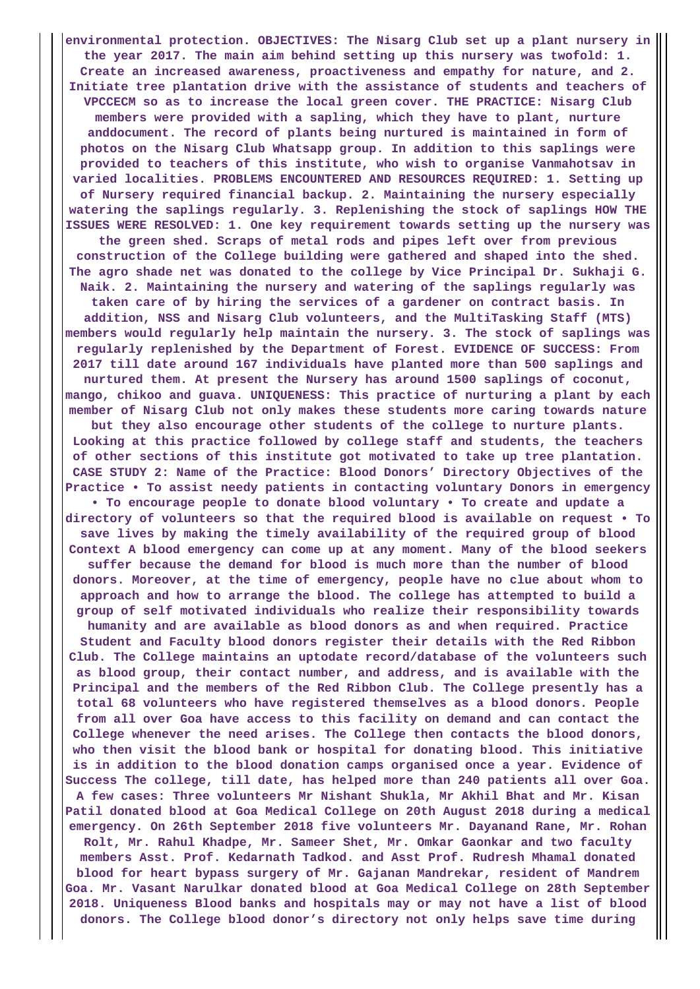**environmental protection. OBJECTIVES: The Nisarg Club set up a plant nursery in the year 2017. The main aim behind setting up this nursery was twofold: 1. Create an increased awareness, proactiveness and empathy for nature, and 2. Initiate tree plantation drive with the assistance of students and teachers of VPCCECM so as to increase the local green cover. THE PRACTICE: Nisarg Club members were provided with a sapling, which they have to plant, nurture anddocument. The record of plants being nurtured is maintained in form of photos on the Nisarg Club Whatsapp group. In addition to this saplings were provided to teachers of this institute, who wish to organise Vanmahotsav in varied localities. PROBLEMS ENCOUNTERED AND RESOURCES REQUIRED: 1. Setting up of Nursery required financial backup. 2. Maintaining the nursery especially watering the saplings regularly. 3. Replenishing the stock of saplings HOW THE ISSUES WERE RESOLVED: 1. One key requirement towards setting up the nursery was the green shed. Scraps of metal rods and pipes left over from previous construction of the College building were gathered and shaped into the shed. The agro shade net was donated to the college by Vice Principal Dr. Sukhaji G. Naik. 2. Maintaining the nursery and watering of the saplings regularly was taken care of by hiring the services of a gardener on contract basis. In addition, NSS and Nisarg Club volunteers, and the MultiTasking Staff (MTS) members would regularly help maintain the nursery. 3. The stock of saplings was regularly replenished by the Department of Forest. EVIDENCE OF SUCCESS: From 2017 till date around 167 individuals have planted more than 500 saplings and nurtured them. At present the Nursery has around 1500 saplings of coconut, mango, chikoo and guava. UNIQUENESS: This practice of nurturing a plant by each member of Nisarg Club not only makes these students more caring towards nature but they also encourage other students of the college to nurture plants. Looking at this practice followed by college staff and students, the teachers of other sections of this institute got motivated to take up tree plantation. CASE STUDY 2: Name of the Practice: Blood Donors' Directory Objectives of the Practice • To assist needy patients in contacting voluntary Donors in emergency • To encourage people to donate blood voluntary • To create and update a directory of volunteers so that the required blood is available on request • To save lives by making the timely availability of the required group of blood Context A blood emergency can come up at any moment. Many of the blood seekers suffer because the demand for blood is much more than the number of blood donors. Moreover, at the time of emergency, people have no clue about whom to approach and how to arrange the blood. The college has attempted to build a group of self motivated individuals who realize their responsibility towards humanity and are available as blood donors as and when required. Practice Student and Faculty blood donors register their details with the Red Ribbon Club. The College maintains an uptodate record/database of the volunteers such as blood group, their contact number, and address, and is available with the Principal and the members of the Red Ribbon Club. The College presently has a total 68 volunteers who have registered themselves as a blood donors. People from all over Goa have access to this facility on demand and can contact the College whenever the need arises. The College then contacts the blood donors, who then visit the blood bank or hospital for donating blood. This initiative is in addition to the blood donation camps organised once a year. Evidence of Success The college, till date, has helped more than 240 patients all over Goa. A few cases: Three volunteers Mr Nishant Shukla, Mr Akhil Bhat and Mr. Kisan Patil donated blood at Goa Medical College on 20th August 2018 during a medical emergency. On 26th September 2018 five volunteers Mr. Dayanand Rane, Mr. Rohan Rolt, Mr. Rahul Khadpe, Mr. Sameer Shet, Mr. Omkar Gaonkar and two faculty members Asst. Prof. Kedarnath Tadkod. and Asst Prof. Rudresh Mhamal donated blood for heart bypass surgery of Mr. Gajanan Mandrekar, resident of Mandrem Goa. Mr. Vasant Narulkar donated blood at Goa Medical College on 28th September 2018. Uniqueness Blood banks and hospitals may or may not have a list of blood donors. The College blood donor's directory not only helps save time during**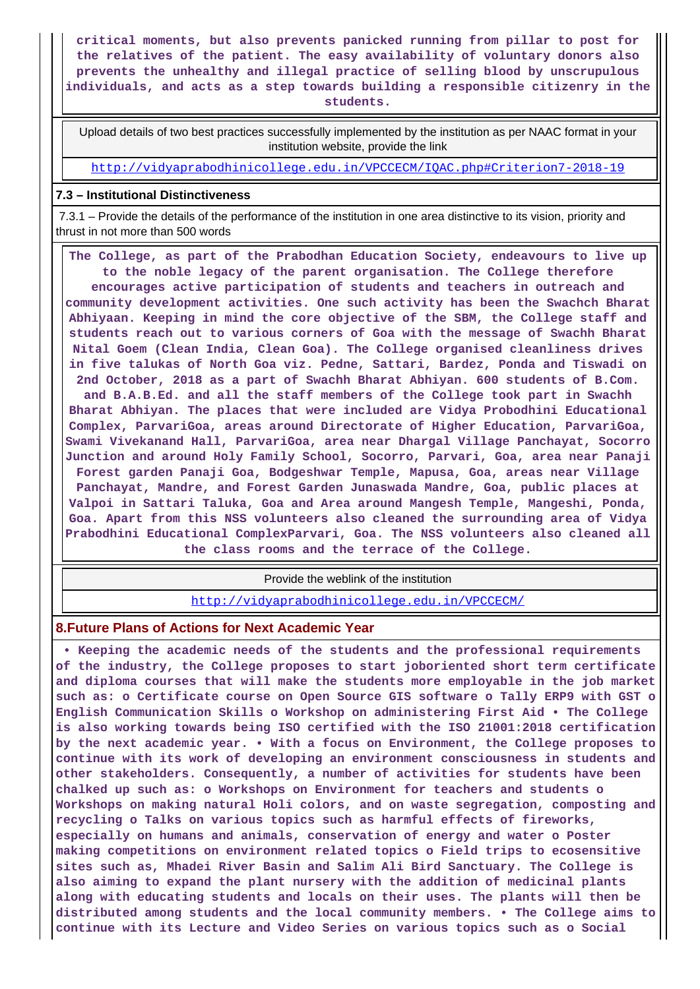**critical moments, but also prevents panicked running from pillar to post for the relatives of the patient. The easy availability of voluntary donors also prevents the unhealthy and illegal practice of selling blood by unscrupulous individuals, and acts as a step towards building a responsible citizenry in the students.**

 Upload details of two best practices successfully implemented by the institution as per NAAC format in your institution website, provide the link

<http://vidyaprabodhinicollege.edu.in/VPCCECM/IQAC.php#Criterion7-2018-19>

#### **7.3 – Institutional Distinctiveness**

 7.3.1 – Provide the details of the performance of the institution in one area distinctive to its vision, priority and thrust in not more than 500 words

 **The College, as part of the Prabodhan Education Society, endeavours to live up to the noble legacy of the parent organisation. The College therefore encourages active participation of students and teachers in outreach and community development activities. One such activity has been the Swachch Bharat Abhiyaan. Keeping in mind the core objective of the SBM, the College staff and students reach out to various corners of Goa with the message of Swachh Bharat Nital Goem (Clean India, Clean Goa). The College organised cleanliness drives in five talukas of North Goa viz. Pedne, Sattari, Bardez, Ponda and Tiswadi on 2nd October, 2018 as a part of Swachh Bharat Abhiyan. 600 students of B.Com. and B.A.B.Ed. and all the staff members of the College took part in Swachh Bharat Abhiyan. The places that were included are Vidya Probodhini Educational Complex, ParvariGoa, areas around Directorate of Higher Education, ParvariGoa, Swami Vivekanand Hall, ParvariGoa, area near Dhargal Village Panchayat, Socorro Junction and around Holy Family School, Socorro, Parvari, Goa, area near Panaji Forest garden Panaji Goa, Bodgeshwar Temple, Mapusa, Goa, areas near Village Panchayat, Mandre, and Forest Garden Junaswada Mandre, Goa, public places at Valpoi in Sattari Taluka, Goa and Area around Mangesh Temple, Mangeshi, Ponda, Goa. Apart from this NSS volunteers also cleaned the surrounding area of Vidya Prabodhini Educational ComplexParvari, Goa. The NSS volunteers also cleaned all the class rooms and the terrace of the College.**

Provide the weblink of the institution

<http://vidyaprabodhinicollege.edu.in/VPCCECM/>

#### **8.Future Plans of Actions for Next Academic Year**

 **• Keeping the academic needs of the students and the professional requirements of the industry, the College proposes to start joboriented short term certificate and diploma courses that will make the students more employable in the job market such as: o Certificate course on Open Source GIS software o Tally ERP9 with GST o English Communication Skills o Workshop on administering First Aid • The College is also working towards being ISO certified with the ISO 21001:2018 certification by the next academic year. • With a focus on Environment, the College proposes to continue with its work of developing an environment consciousness in students and other stakeholders. Consequently, a number of activities for students have been chalked up such as: o Workshops on Environment for teachers and students o Workshops on making natural Holi colors, and on waste segregation, composting and recycling o Talks on various topics such as harmful effects of fireworks, especially on humans and animals, conservation of energy and water o Poster making competitions on environment related topics o Field trips to ecosensitive sites such as, Mhadei River Basin and Salim Ali Bird Sanctuary. The College is also aiming to expand the plant nursery with the addition of medicinal plants along with educating students and locals on their uses. The plants will then be distributed among students and the local community members. • The College aims to continue with its Lecture and Video Series on various topics such as o Social**